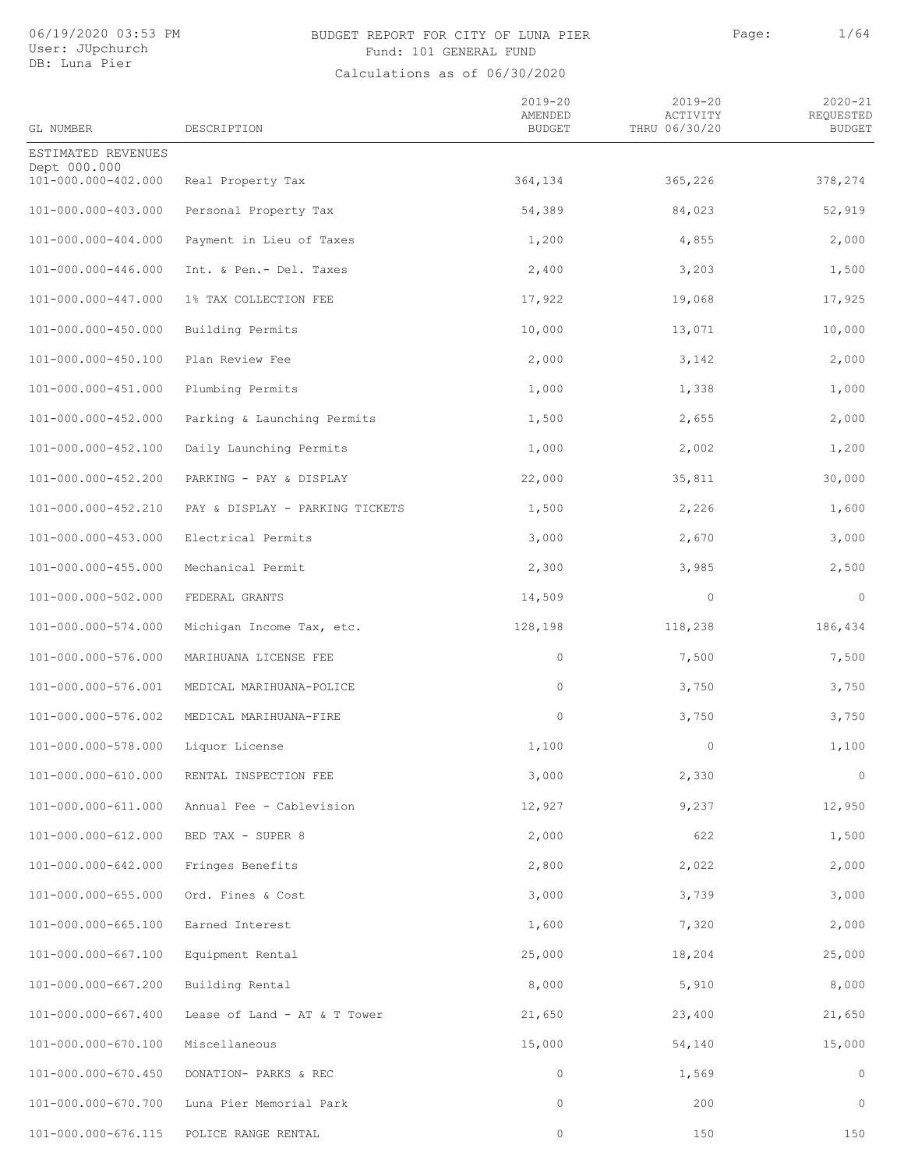## BUDGET REPORT FOR CITY OF LUNA PIER PAGE: Page: 1/64 Fund: 101 GENERAL FUND

| GL NUMBER                           | DESCRIPTION                     | $2019 - 20$<br>AMENDED<br><b>BUDGET</b> | $2019 - 20$<br>ACTIVITY<br>THRU 06/30/20 | $2020 - 21$<br>REQUESTED<br><b>BUDGET</b> |
|-------------------------------------|---------------------------------|-----------------------------------------|------------------------------------------|-------------------------------------------|
| ESTIMATED REVENUES                  |                                 |                                         |                                          |                                           |
| Dept 000.000<br>101-000.000-402.000 | Real Property Tax               | 364,134                                 | 365,226                                  | 378,274                                   |
| 101-000.000-403.000                 | Personal Property Tax           | 54,389                                  | 84,023                                   | 52,919                                    |
| 101-000.000-404.000                 | Payment in Lieu of Taxes        | 1,200                                   | 4,855                                    | 2,000                                     |
| 101-000.000-446.000                 | Int. & Pen.- Del. Taxes         | 2,400                                   | 3,203                                    | 1,500                                     |
| 101-000.000-447.000                 | 1% TAX COLLECTION FEE           | 17,922                                  | 19,068                                   | 17,925                                    |
| 101-000.000-450.000                 | Building Permits                | 10,000                                  | 13,071                                   | 10,000                                    |
| 101-000.000-450.100                 | Plan Review Fee                 | 2,000                                   | 3,142                                    | 2,000                                     |
| 101-000.000-451.000                 | Plumbing Permits                | 1,000                                   | 1,338                                    | 1,000                                     |
| 101-000.000-452.000                 | Parking & Launching Permits     | 1,500                                   | 2,655                                    | 2,000                                     |
| 101-000.000-452.100                 | Daily Launching Permits         | 1,000                                   | 2,002                                    | 1,200                                     |
| 101-000.000-452.200                 | PARKING - PAY & DISPLAY         | 22,000                                  | 35,811                                   | 30,000                                    |
| 101-000.000-452.210                 | PAY & DISPLAY - PARKING TICKETS | 1,500                                   | 2,226                                    | 1,600                                     |
| 101-000.000-453.000                 | Electrical Permits              | 3,000                                   | 2,670                                    | 3,000                                     |
| 101-000.000-455.000                 | Mechanical Permit               | 2,300                                   | 3,985                                    | 2,500                                     |
| 101-000.000-502.000                 | FEDERAL GRANTS                  | 14,509                                  | $\circ$                                  | $\circ$                                   |
| 101-000.000-574.000                 | Michigan Income Tax, etc.       | 128,198                                 | 118,238                                  | 186,434                                   |
| 101-000.000-576.000                 | MARIHUANA LICENSE FEE           | $\circ$                                 | 7,500                                    | 7,500                                     |
| 101-000.000-576.001                 | MEDICAL MARIHUANA-POLICE        | 0                                       | 3,750                                    | 3,750                                     |
| 101-000.000-576.002                 | MEDICAL MARIHUANA-FIRE          | $\circ$                                 | 3,750                                    | 3,750                                     |
| 101-000.000-578.000                 | Liquor License                  | 1,100                                   | 0                                        | 1,100                                     |
| 101-000.000-610.000                 | RENTAL INSPECTION FEE           | 3,000                                   | 2,330                                    | $\circ$                                   |
| 101-000.000-611.000                 | Annual Fee - Cablevision        | 12,927                                  | 9,237                                    | 12,950                                    |
| 101-000.000-612.000                 | BED TAX - SUPER 8               | 2,000                                   | 622                                      | 1,500                                     |
| 101-000.000-642.000                 | Fringes Benefits                | 2,800                                   | 2,022                                    | 2,000                                     |
| 101-000.000-655.000                 | Ord. Fines & Cost               | 3,000                                   | 3,739                                    | 3,000                                     |
| 101-000.000-665.100                 | Earned Interest                 | 1,600                                   | 7,320                                    | 2,000                                     |
| 101-000.000-667.100                 | Equipment Rental                | 25,000                                  | 18,204                                   | 25,000                                    |
| 101-000.000-667.200                 | Building Rental                 | 8,000                                   | 5,910                                    | 8,000                                     |
| 101-000.000-667.400                 | Lease of Land - AT & T Tower    | 21,650                                  | 23,400                                   | 21,650                                    |
| 101-000.000-670.100                 | Miscellaneous                   | 15,000                                  | 54,140                                   | 15,000                                    |
| 101-000.000-670.450                 | DONATION- PARKS & REC           | $\circ$                                 | 1,569                                    | $\circ$                                   |
| 101-000.000-670.700                 | Luna Pier Memorial Park         | $\circ$                                 | 200                                      | $\circ$                                   |
| 101-000.000-676.115                 | POLICE RANGE RENTAL             | $\mathbb O$                             | 150                                      | 150                                       |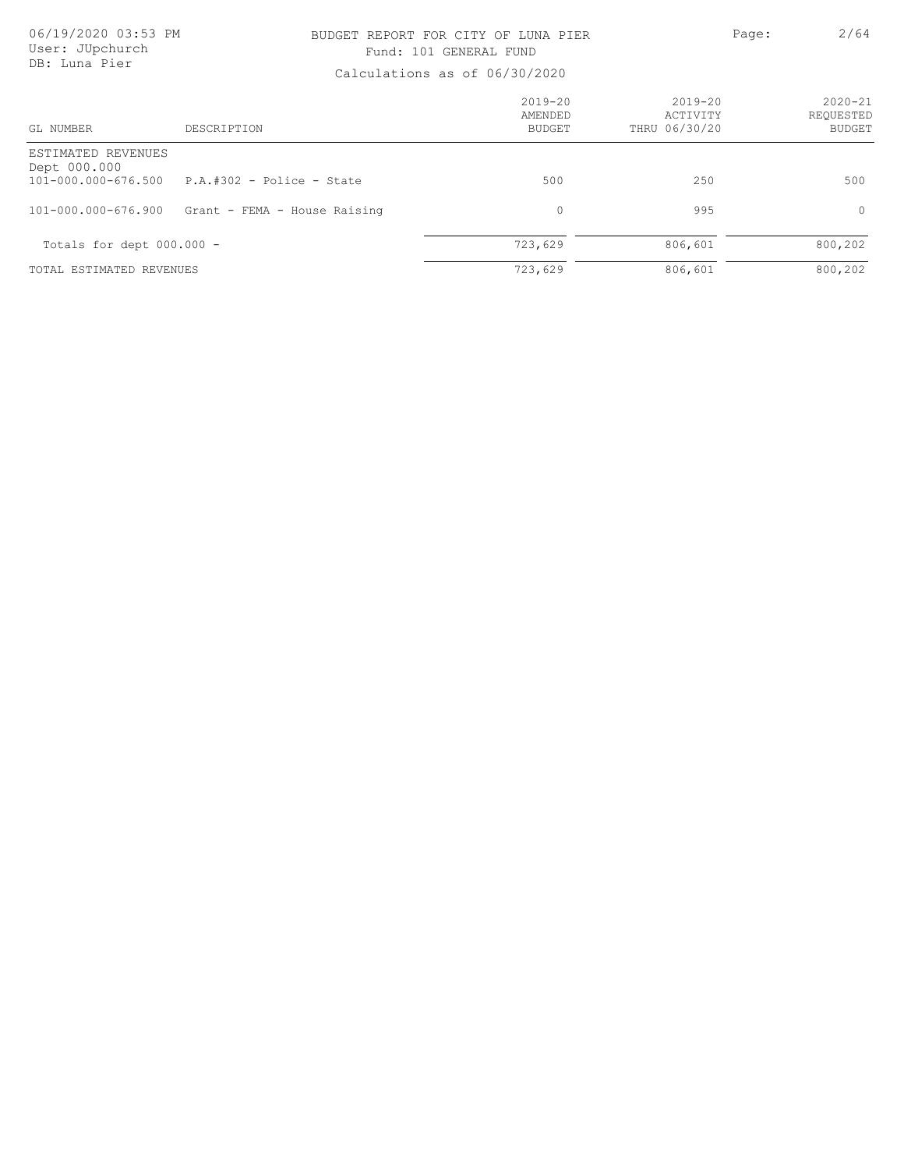### BUDGET REPORT FOR CITY OF LUNA PIER PAGE: Page: 2/64 Fund: 101 GENERAL FUND

| GL NUMBER                                                       | DESCRIPTION                  | $2019 - 20$<br>AMENDED<br>BUDGET | $2019 - 20$<br>ACTIVITY<br>THRU 06/30/20 | $2020 - 21$<br>REOUESTED<br><b>BUDGET</b> |
|-----------------------------------------------------------------|------------------------------|----------------------------------|------------------------------------------|-------------------------------------------|
| ESTIMATED REVENUES<br>Dept 000.000<br>$101 - 000.000 - 676.500$ | $P.A. #302 - Police - State$ | 500                              | 250                                      | 500                                       |
| 101-000.000-676.900                                             | Grant - FEMA - House Raising | $\mathbf 0$                      | 995                                      | $\circ$                                   |
| Totals for dept $000.000 -$                                     |                              | 723,629                          | 806,601                                  | 800,202                                   |
| TOTAL ESTIMATED REVENUES                                        |                              | 723,629                          | 806,601                                  | 800,202                                   |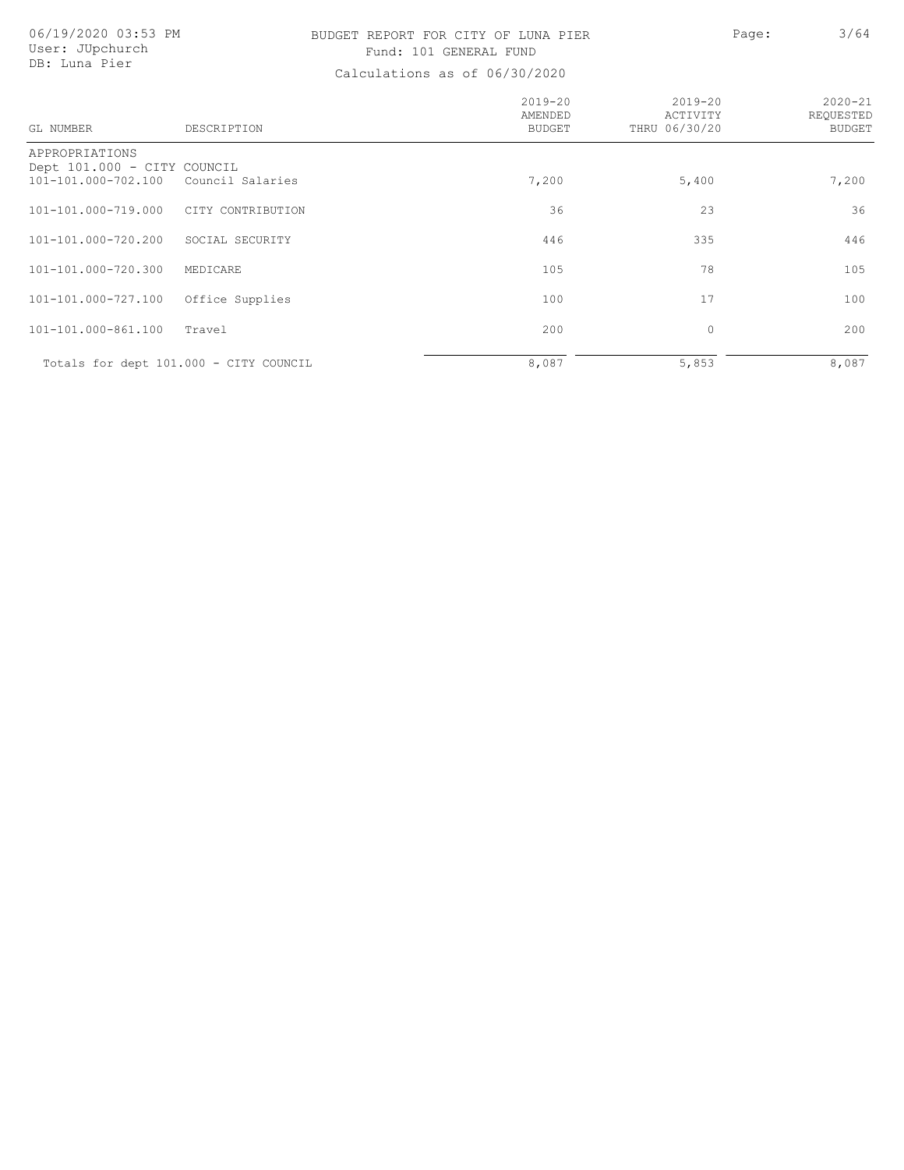## BUDGET REPORT FOR CITY OF LUNA PIER PAGE: Page: 3/64 Fund: 101 GENERAL FUND

| GL NUMBER                                                            | DESCRIPTION                            | $2019 - 20$<br>AMENDED<br><b>BUDGET</b> | $2019 - 20$<br>ACTIVITY<br>THRU 06/30/20 | $2020 - 21$<br>REQUESTED<br><b>BUDGET</b> |
|----------------------------------------------------------------------|----------------------------------------|-----------------------------------------|------------------------------------------|-------------------------------------------|
| APPROPRIATIONS<br>Dept 101.000 - CITY COUNCIL<br>101-101.000-702.100 | Council Salaries                       | 7,200                                   | 5,400                                    | 7,200                                     |
| 101-101.000-719.000                                                  | CITY CONTRIBUTION                      | 36                                      | 23                                       | 36                                        |
| 101-101.000-720.200                                                  | SOCIAL SECURITY                        | 446                                     | 335                                      | 446                                       |
| 101-101.000-720.300                                                  | MEDICARE                               | 105                                     | 78                                       | 105                                       |
| 101-101.000-727.100                                                  | Office Supplies                        | 100                                     | 17                                       | 100                                       |
| 101-101.000-861.100                                                  | Travel                                 | 200                                     | $\circ$                                  | 200                                       |
|                                                                      | Totals for dept 101.000 - CITY COUNCIL | 8,087                                   | 5,853                                    | 8,087                                     |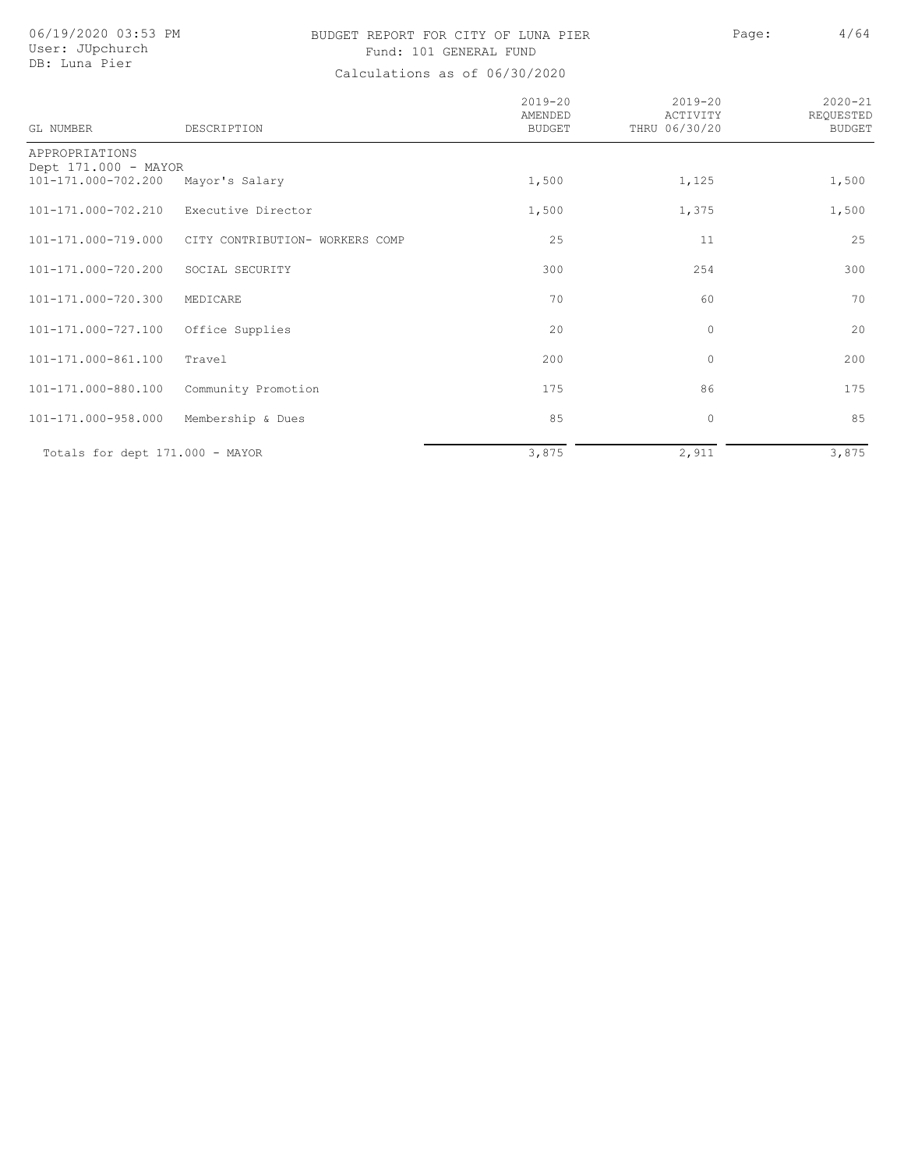## BUDGET REPORT FOR CITY OF LUNA PIER PAGE: Page: 4/64 Fund: 101 GENERAL FUND

| <b>GL NUMBER</b>                            | DESCRIPTION                     | $2019 - 20$<br>AMENDED<br><b>BUDGET</b> | $2019 - 20$<br>ACTIVITY<br>THRU 06/30/20 | $2020 - 21$<br>REQUESTED<br><b>BUDGET</b> |
|---------------------------------------------|---------------------------------|-----------------------------------------|------------------------------------------|-------------------------------------------|
| APPROPRIATIONS                              |                                 |                                         |                                          |                                           |
| Dept 171.000 - MAYOR<br>101-171.000-702.200 | Mayor's Salary                  | 1,500                                   | 1,125                                    | 1,500                                     |
| 101-171.000-702.210                         | Executive Director              | 1,500                                   | 1,375                                    | 1,500                                     |
| 101-171.000-719.000                         | CITY CONTRIBUTION- WORKERS COMP | 25                                      | 11                                       | 25                                        |
| 101-171.000-720.200                         | SOCIAL SECURITY                 | 300                                     | 254                                      | 300                                       |
| 101-171.000-720.300                         | MEDICARE                        | 70                                      | 60                                       | 70                                        |
| 101-171.000-727.100                         | Office Supplies                 | 20                                      | $\circ$                                  | 20                                        |
| 101-171.000-861.100                         | Travel                          | 200                                     | $\mathbf{0}$                             | 200                                       |
| 101-171.000-880.100                         | Community Promotion             | 175                                     | 86                                       | 175                                       |
| 101-171.000-958.000                         | Membership & Dues               | 85                                      | $\circ$                                  | 85                                        |
| Totals for dept 171.000 - MAYOR             |                                 | 3,875                                   | 2,911                                    | 3,875                                     |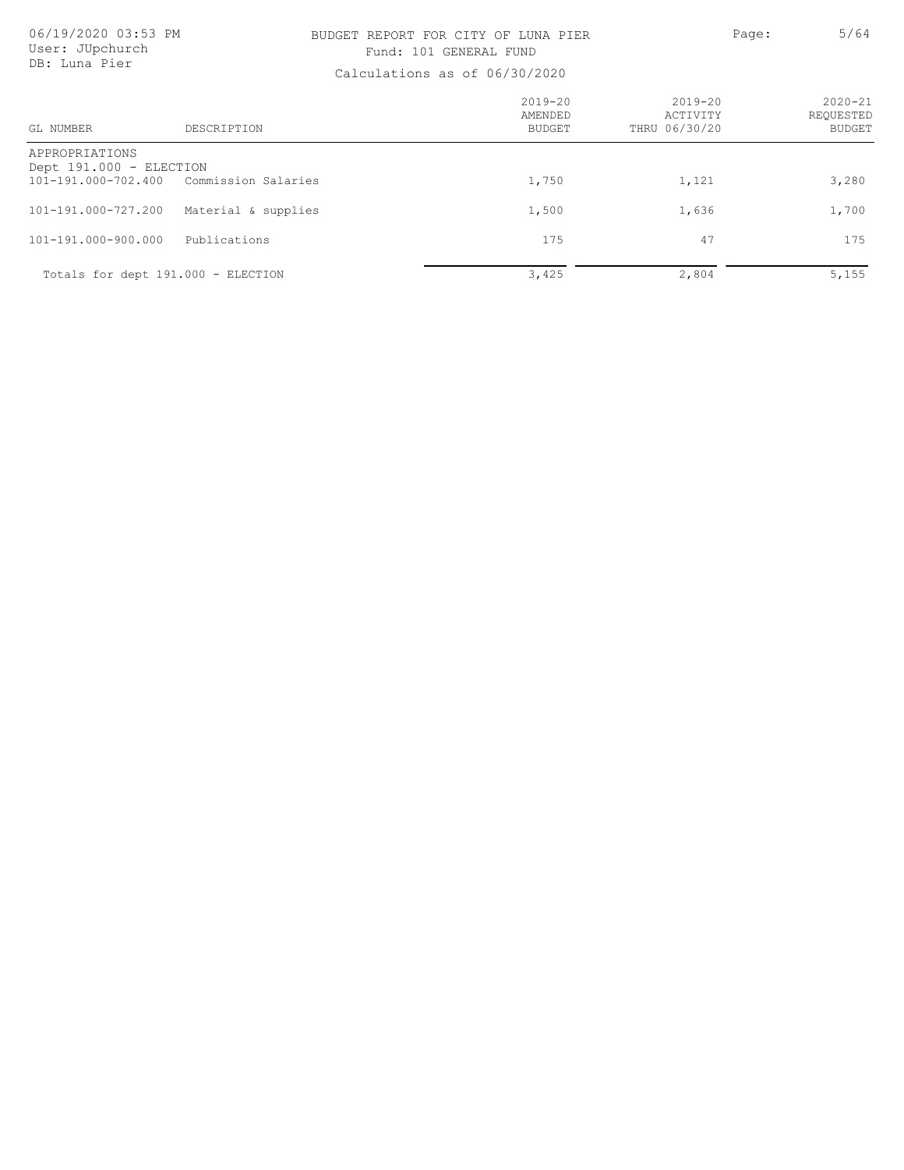## BUDGET REPORT FOR CITY OF LUNA PIER PAGE: Page: 5/64 Fund: 101 GENERAL FUND

| GL NUMBER                                 | DESCRIPTION                        | $2019 - 20$<br>AMENDED<br><b>BUDGET</b> | $2019 - 20$<br>ACTIVITY<br>THRU 06/30/20 | $2020 - 21$<br>REOUESTED<br><b>BUDGET</b> |
|-------------------------------------------|------------------------------------|-----------------------------------------|------------------------------------------|-------------------------------------------|
| APPROPRIATIONS<br>Dept 191.000 - ELECTION |                                    |                                         |                                          |                                           |
| 101-191.000-702.400                       | Commission Salaries                | 1,750                                   | 1,121                                    | 3,280                                     |
| 101-191.000-727.200                       | Material & supplies                | 1,500                                   | 1,636                                    | 1,700                                     |
| 101-191.000-900.000                       | Publications                       | 175                                     | 47                                       | 175                                       |
|                                           | Totals for dept 191.000 - ELECTION | 3,425                                   | 2,804                                    | 5,155                                     |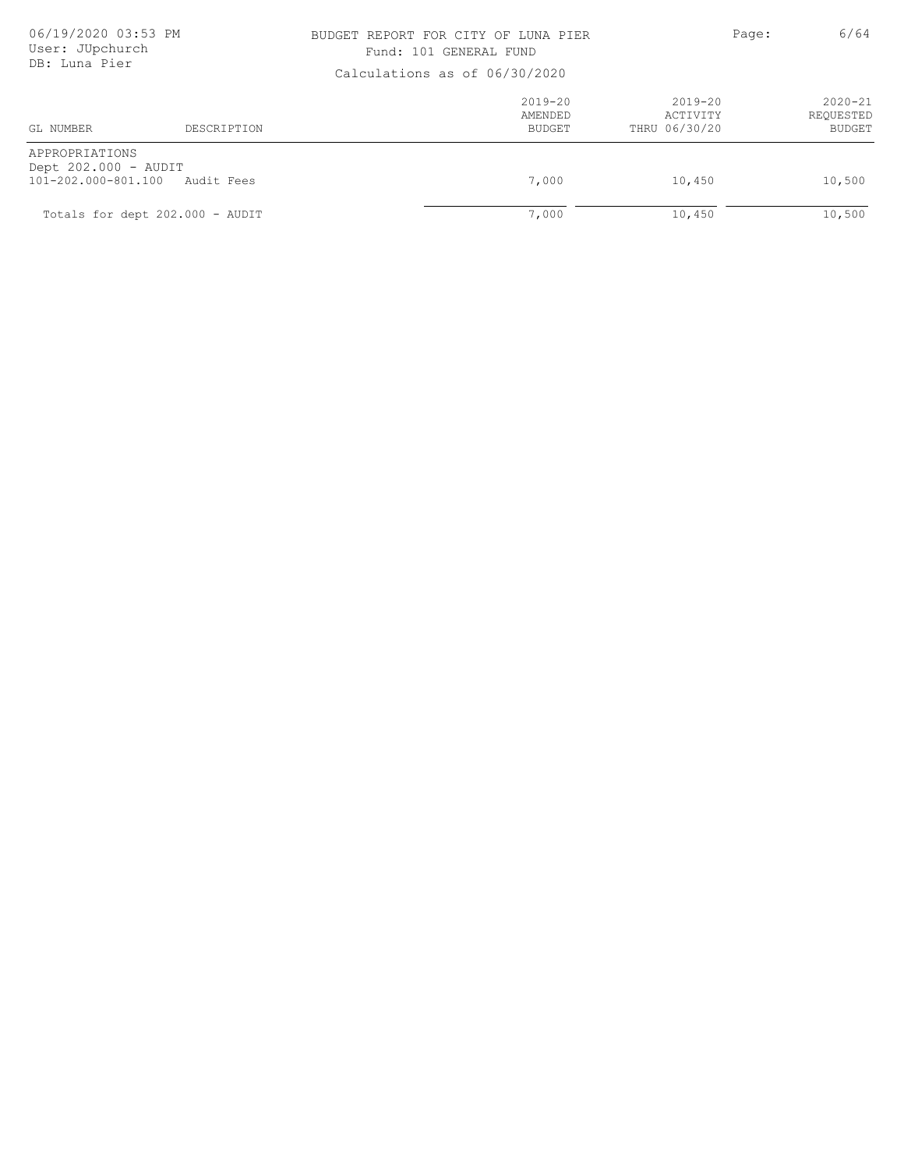### BUDGET REPORT FOR CITY OF LUNA PIER PAGE: Page: 6/64 Fund: 101 GENERAL FUND

| Calcalactons as of 00, 30, 2020                               |                                 |                                  |                                      |                                           |
|---------------------------------------------------------------|---------------------------------|----------------------------------|--------------------------------------|-------------------------------------------|
| GL NUMBER                                                     | DESCRIPTION                     | $2019 - 20$<br>AMENDED<br>BUDGET | 2019-20<br>ACTIVITY<br>THRU 06/30/20 | $2020 - 21$<br>REQUESTED<br><b>BUDGET</b> |
| APPROPRIATIONS<br>Dept 202.000 - AUDIT<br>101-202.000-801.100 | Audit Fees                      | 7,000                            | 10,450                               | 10,500                                    |
|                                                               | Totals for dept 202.000 - AUDIT | 7,000                            | 10,450                               | 10,500                                    |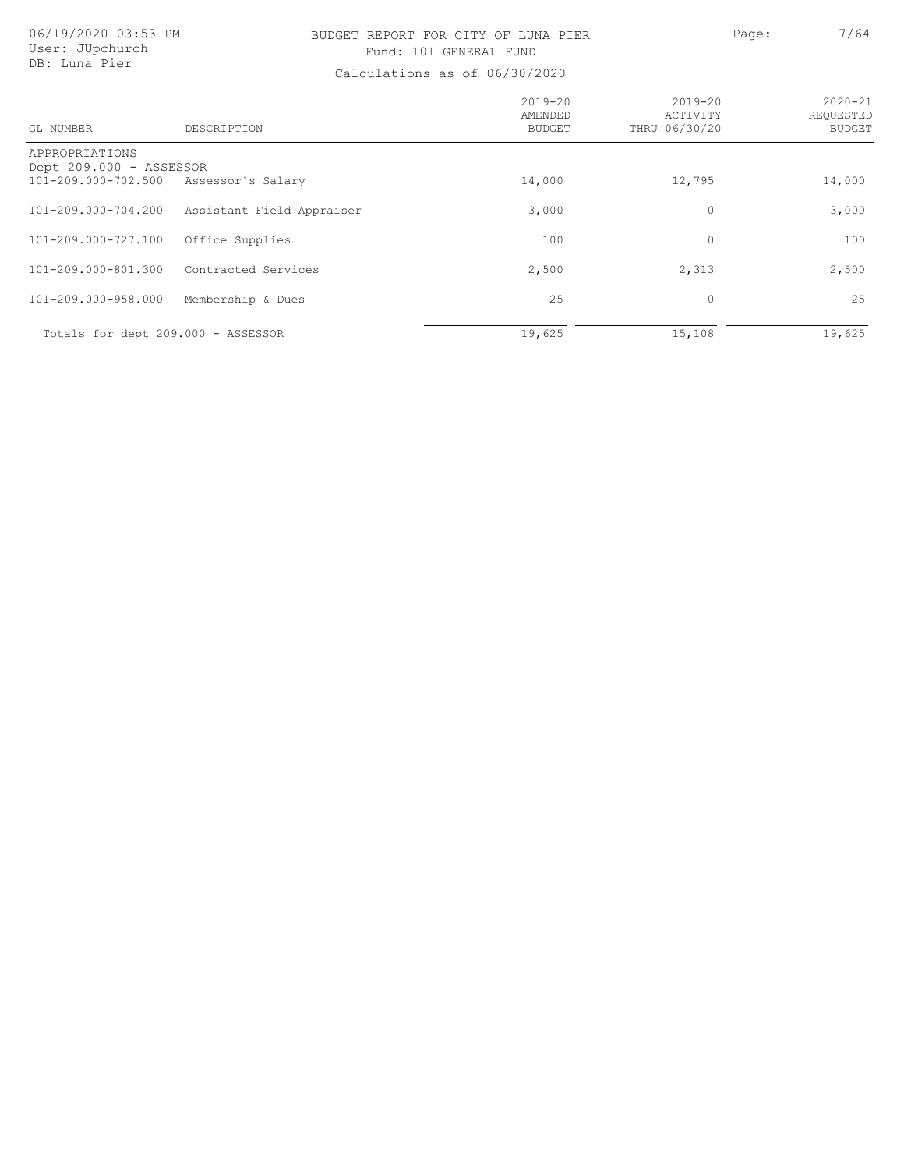## BUDGET REPORT FOR CITY OF LUNA PIER PAGE: Page: 7/64 Fund: 101 GENERAL FUND

| GL NUMBER                                                                          | DESCRIPTION               | $2019 - 20$<br>AMENDED<br><b>BUDGET</b> | $2019 - 20$<br>ACTIVITY<br>THRU 06/30/20 | $2020 - 21$<br>REOUESTED<br><b>BUDGET</b> |
|------------------------------------------------------------------------------------|---------------------------|-----------------------------------------|------------------------------------------|-------------------------------------------|
| APPROPRIATIONS<br>Dept 209.000 - ASSESSOR<br>101-209.000-702.500 Assessor's Salary |                           | 14,000                                  | 12,795                                   | 14,000                                    |
| 101-209.000-704.200                                                                | Assistant Field Appraiser | 3,000                                   | 0                                        | 3,000                                     |
| 101-209.000-727.100                                                                | Office Supplies           | 100                                     | 0                                        | 100                                       |
| 101-209.000-801.300                                                                | Contracted Services       | 2,500                                   | 2,313                                    | 2,500                                     |
| 101-209.000-958.000                                                                | Membership & Dues         | 25                                      | 0                                        | 25                                        |
| Totals for dept 209.000 - ASSESSOR                                                 |                           | 19,625                                  | 15,108                                   | 19,625                                    |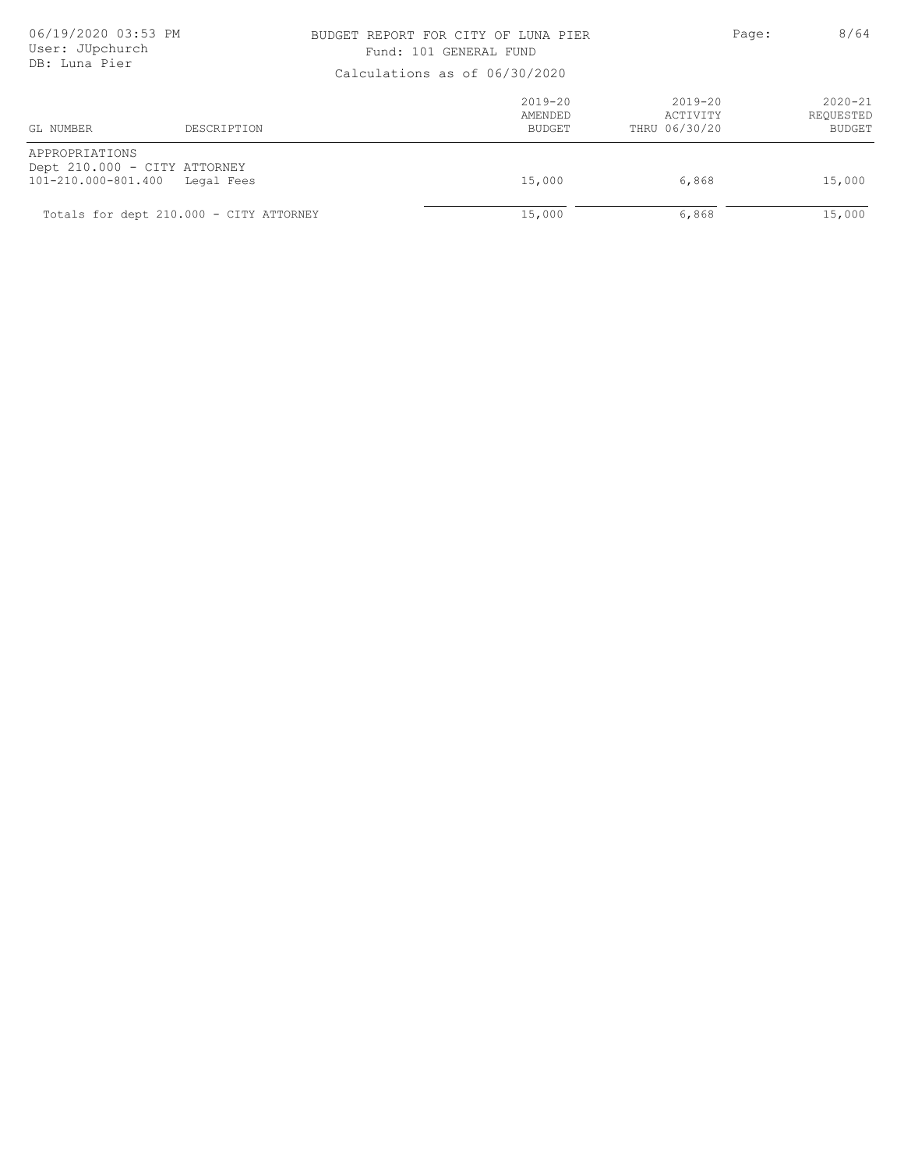### BUDGET REPORT FOR CITY OF LUNA PIER PAGE: Page: 8/64 Fund: 101 GENERAL FUND

| Calcalactorio ao 01 00,00,2020        |                                            |                                  |                                      |                                           |
|---------------------------------------|--------------------------------------------|----------------------------------|--------------------------------------|-------------------------------------------|
| GL NUMBER                             | DESCRIPTION                                | $2019 - 20$<br>AMENDED<br>BUDGET | 2019-20<br>ACTIVITY<br>THRU 06/30/20 | $2020 - 21$<br>REOUESTED<br><b>BUDGET</b> |
| APPROPRIATIONS<br>101-210.000-801.400 | Dept 210.000 - CITY ATTORNEY<br>Legal Fees | 15,000                           | 6,868                                | 15,000                                    |
|                                       | Totals for dept 210.000 - CITY ATTORNEY    | 15,000                           | 6,868                                | 15,000                                    |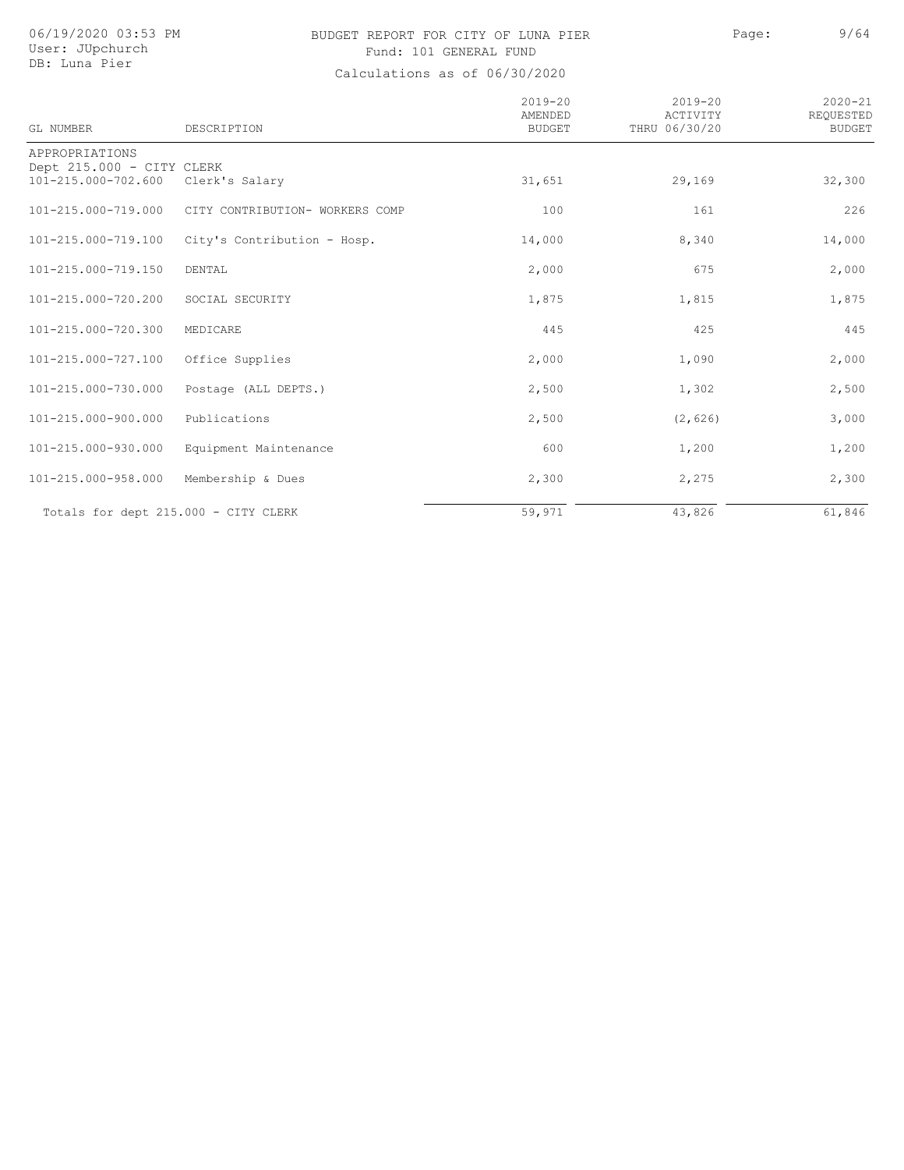## BUDGET REPORT FOR CITY OF LUNA PIER PAGE: Page: 9/64 Fund: 101 GENERAL FUND

| GL NUMBER                                        | DESCRIPTION                     | $2019 - 20$<br>AMENDED<br><b>BUDGET</b> | $2019 - 20$<br>ACTIVITY<br>THRU 06/30/20 | $2020 - 21$<br>REQUESTED<br><b>BUDGET</b> |
|--------------------------------------------------|---------------------------------|-----------------------------------------|------------------------------------------|-------------------------------------------|
| APPROPRIATIONS                                   |                                 |                                         |                                          |                                           |
| Dept 215.000 - CITY CLERK<br>101-215.000-702.600 | Clerk's Salary                  | 31,651                                  | 29,169                                   | 32,300                                    |
|                                                  |                                 |                                         |                                          |                                           |
| 101-215.000-719.000                              | CITY CONTRIBUTION- WORKERS COMP | 100                                     | 161                                      | 226                                       |
| 101-215.000-719.100                              | City's Contribution - Hosp.     | 14,000                                  | 8,340                                    | 14,000                                    |
| 101-215.000-719.150                              | DENTAL                          | 2,000                                   | 675                                      | 2,000                                     |
| 101-215.000-720.200                              | SOCIAL SECURITY                 | 1,875                                   | 1,815                                    | 1,875                                     |
| 101-215.000-720.300                              | MEDICARE                        | 445                                     | 425                                      | 445                                       |
| 101-215.000-727.100                              | Office Supplies                 | 2,000                                   | 1,090                                    | 2,000                                     |
| 101-215.000-730.000                              | Postage (ALL DEPTS.)            | 2,500                                   | 1,302                                    | 2,500                                     |
| 101-215.000-900.000                              | Publications                    | 2,500                                   | (2, 626)                                 | 3,000                                     |
| 101-215.000-930.000                              | Equipment Maintenance           | 600                                     | 1,200                                    | 1,200                                     |
| 101-215.000-958.000                              | Membership & Dues               | 2,300                                   | 2,275                                    | 2,300                                     |
| Totals for dept 215.000 - CITY CLERK             |                                 | 59,971                                  | 43,826                                   | 61,846                                    |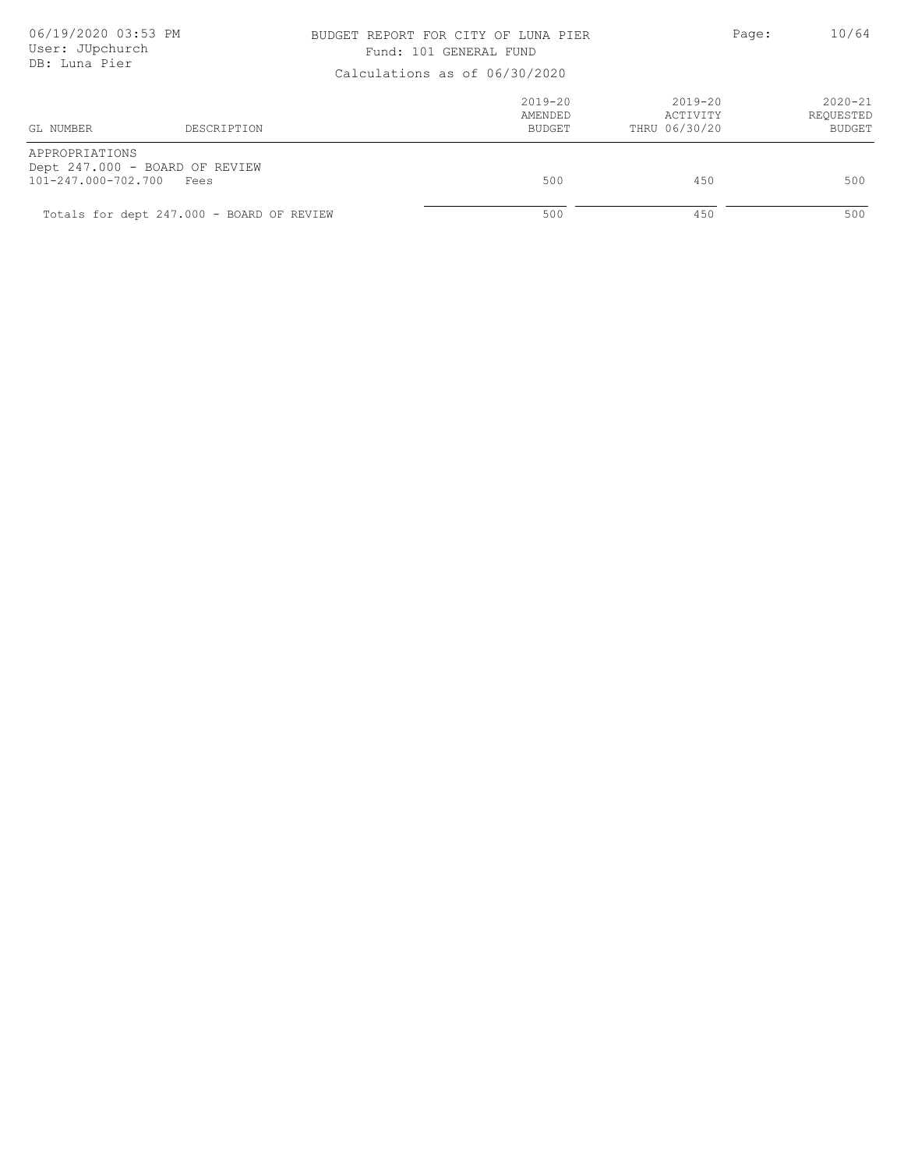### BUDGET REPORT FOR CITY OF LUNA PIER PAGE: Page: 10/64 Fund: 101 GENERAL FUND

| Calculations as Of 00/30/2020         |                                           |                                         |                                          |                                           |
|---------------------------------------|-------------------------------------------|-----------------------------------------|------------------------------------------|-------------------------------------------|
| GL NUMBER                             | DESCRIPTION                               | $2019 - 20$<br>AMENDED<br><b>BUDGET</b> | $2019 - 20$<br>ACTIVITY<br>THRU 06/30/20 | $2020 - 21$<br>REQUESTED<br><b>BUDGET</b> |
| APPROPRIATIONS<br>101-247.000-702.700 | Dept 247.000 - BOARD OF REVIEW<br>Fees    | 500                                     | 450                                      | 500                                       |
|                                       | Totals for dept 247.000 - BOARD OF REVIEW | 500                                     | 450                                      | 500                                       |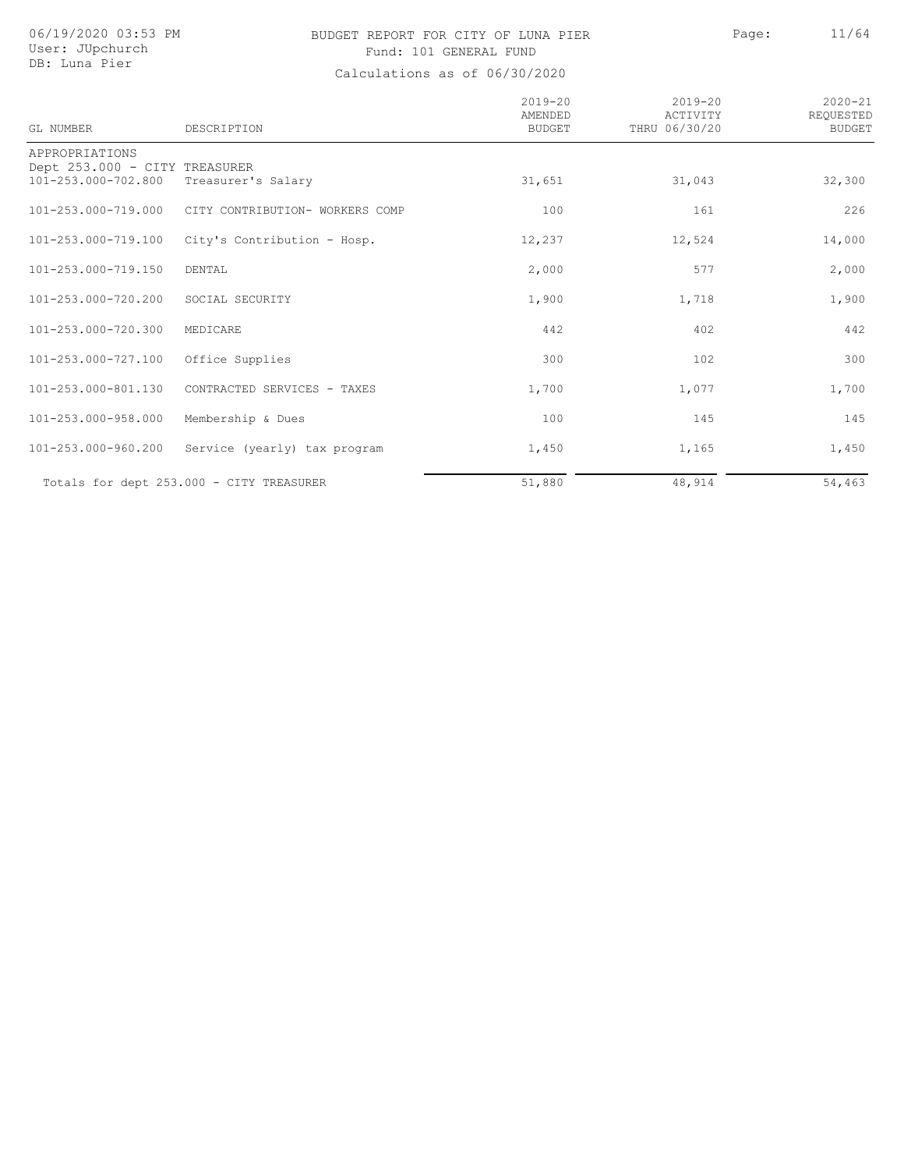## BUDGET REPORT FOR CITY OF LUNA PIER PAGE: Page: 11/64 Fund: 101 GENERAL FUND

| GL NUMBER                                                              | DESCRIPTION                              | $2019 - 20$<br><b>AMENDED</b><br>BUDGET | $2019 - 20$<br>ACTIVITY<br>THRU 06/30/20 | $2020 - 21$<br>REOUESTED<br><b>BUDGET</b> |
|------------------------------------------------------------------------|------------------------------------------|-----------------------------------------|------------------------------------------|-------------------------------------------|
| APPROPRIATIONS<br>Dept 253.000 - CITY TREASURER<br>101-253.000-702.800 | Treasurer's Salary                       | 31,651                                  | 31,043                                   | 32,300                                    |
| 101-253.000-719.000                                                    | CITY CONTRIBUTION- WORKERS COMP          | 100                                     | 161                                      | 226                                       |
| 101-253.000-719.100                                                    | City's Contribution - Hosp.              | 12,237                                  | 12,524                                   | 14,000                                    |
| 101-253.000-719.150                                                    | DENTAL                                   | 2,000                                   | 577                                      | 2,000                                     |
| 101-253.000-720.200                                                    | SOCIAL SECURITY                          | 1,900                                   | 1,718                                    | 1,900                                     |
| 101-253.000-720.300                                                    | MEDICARE                                 | 442                                     | 402                                      | 442                                       |
| 101-253.000-727.100                                                    | Office Supplies                          | 300                                     | 102                                      | 300                                       |
| 101-253.000-801.130                                                    | CONTRACTED SERVICES - TAXES              | 1,700                                   | 1,077                                    | 1,700                                     |
| 101-253.000-958.000                                                    | Membership & Dues                        | 100                                     | 145                                      | 145                                       |
| 101-253.000-960.200                                                    | Service (yearly) tax program             | 1,450                                   | 1,165                                    | 1,450                                     |
|                                                                        | Totals for dept 253.000 - CITY TREASURER | 51,880                                  | 48,914                                   | 54,463                                    |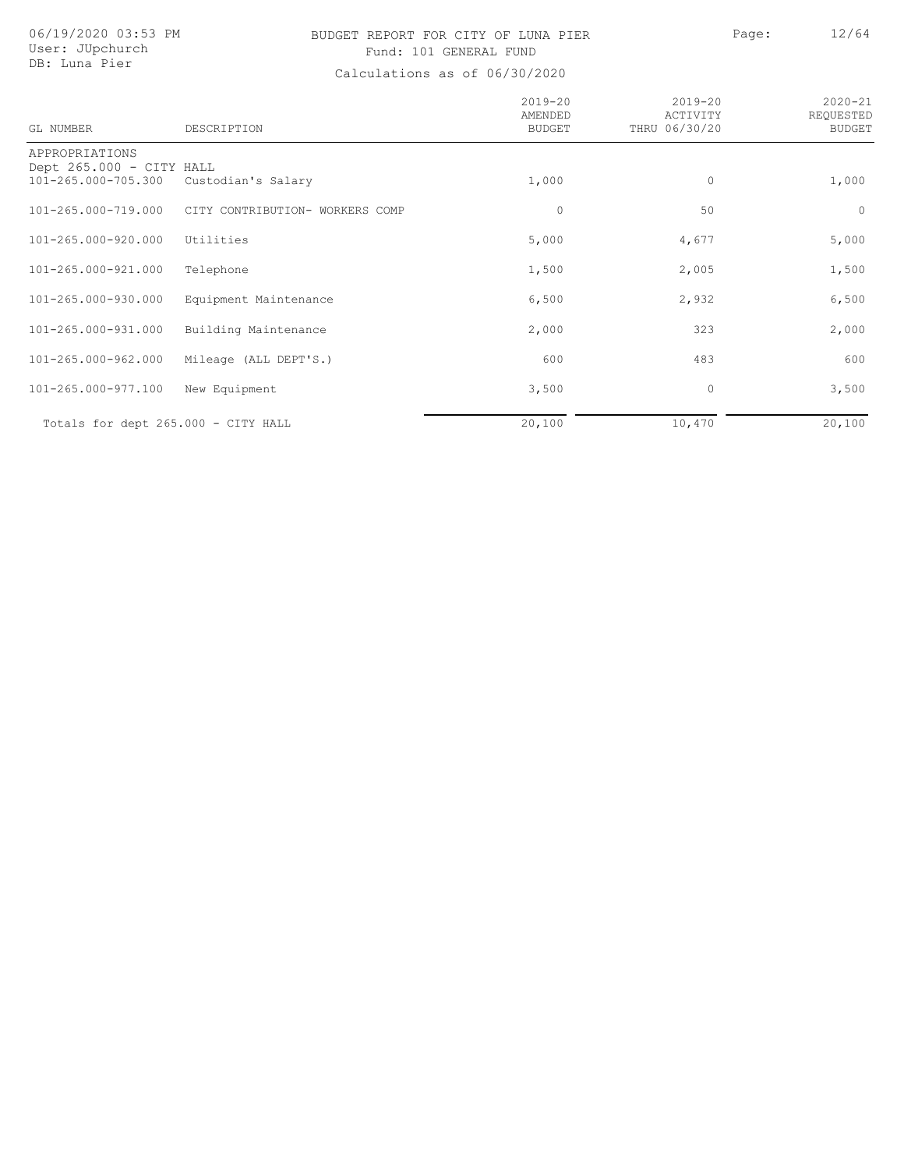# BUDGET REPORT FOR CITY OF LUNA PIER Page: 12/64 Fund: 101 GENERAL FUND

| GL NUMBER                                                         | DESCRIPTION                     | $2019 - 20$<br>AMENDED<br><b>BUDGET</b> | $2019 - 20$<br>ACTIVITY<br>THRU 06/30/20 | $2020 - 21$<br>REQUESTED<br><b>BUDGET</b> |
|-------------------------------------------------------------------|---------------------------------|-----------------------------------------|------------------------------------------|-------------------------------------------|
| APPROPRIATIONS<br>Dept 265.000 - CITY HALL<br>101-265.000-705.300 | Custodian's Salary              | 1,000                                   | $\circ$                                  | 1,000                                     |
| 101-265.000-719.000                                               | CITY CONTRIBUTION- WORKERS COMP | $\circ$                                 | 50                                       | $\circ$                                   |
| 101-265.000-920.000                                               | Utilities                       | 5,000                                   | 4,677                                    | 5,000                                     |
| 101-265.000-921.000                                               | Telephone                       | 1,500                                   | 2,005                                    | 1,500                                     |
| 101-265.000-930.000                                               | Equipment Maintenance           | 6,500                                   | 2,932                                    | 6,500                                     |
| 101-265.000-931.000                                               | Building Maintenance            | 2,000                                   | 323                                      | 2,000                                     |
| 101-265.000-962.000                                               | Mileage (ALL DEPT'S.)           | 600                                     | 483                                      | 600                                       |
| 101-265.000-977.100                                               | New Equipment                   | 3,500                                   | 0                                        | 3,500                                     |
| Totals for dept 265.000 - CITY HALL                               |                                 | 20,100                                  | 10,470                                   | 20,100                                    |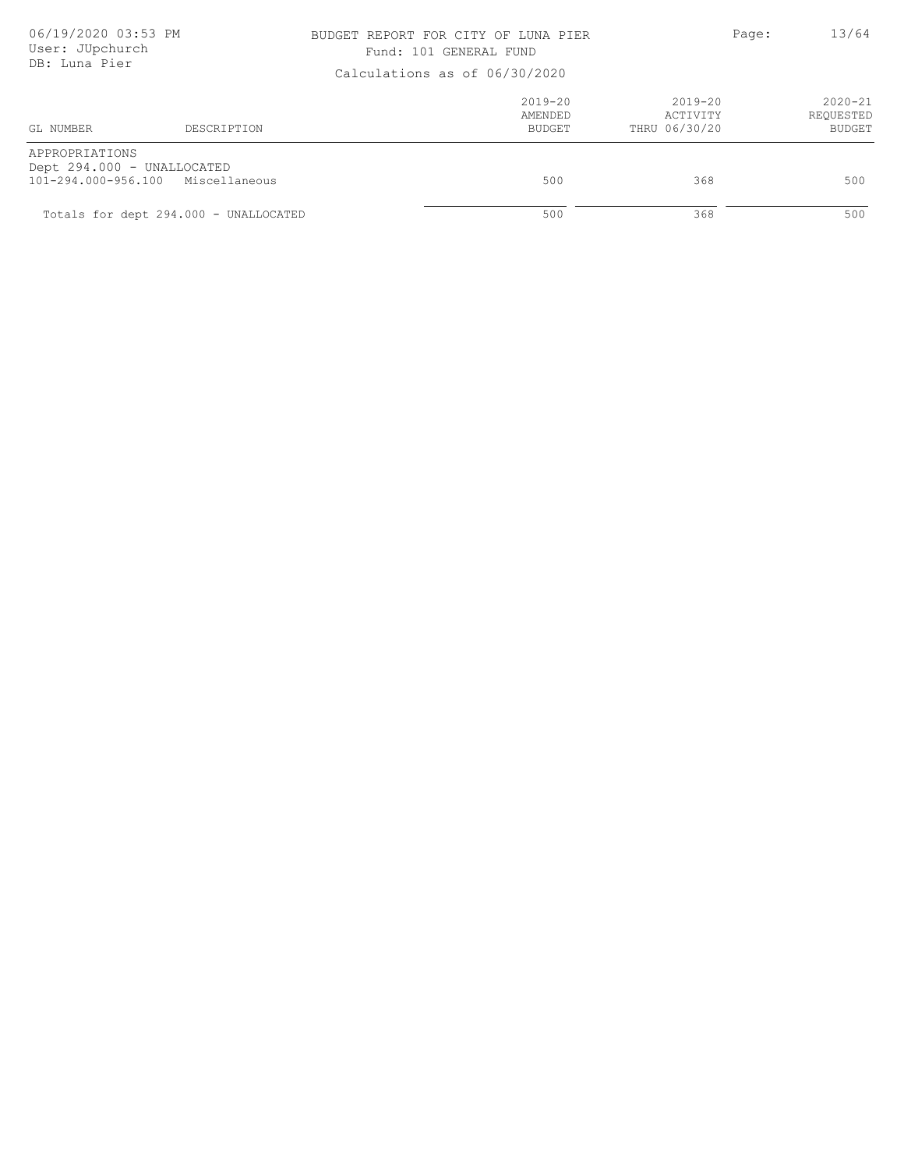### BUDGET REPORT FOR CITY OF LUNA PIER PAGE: Page: 13/64 Fund: 101 GENERAL FUND

| Calculations as Of 00/30/2020                |                                       |                                  |                                          |                                           |  |
|----------------------------------------------|---------------------------------------|----------------------------------|------------------------------------------|-------------------------------------------|--|
| GL NUMBER                                    | DESCRIPTION                           | $2019 - 20$<br>AMENDED<br>BUDGET | $2019 - 20$<br>ACTIVITY<br>THRU 06/30/20 | $2020 - 21$<br>REQUESTED<br><b>BUDGET</b> |  |
| APPROPRIATIONS<br>Dept 294.000 - UNALLOCATED | 101-294.000-956.100 Miscellaneous     | 500                              | 368                                      | 500                                       |  |
|                                              | Totals for dept 294.000 - UNALLOCATED | 500                              | 368                                      | 500                                       |  |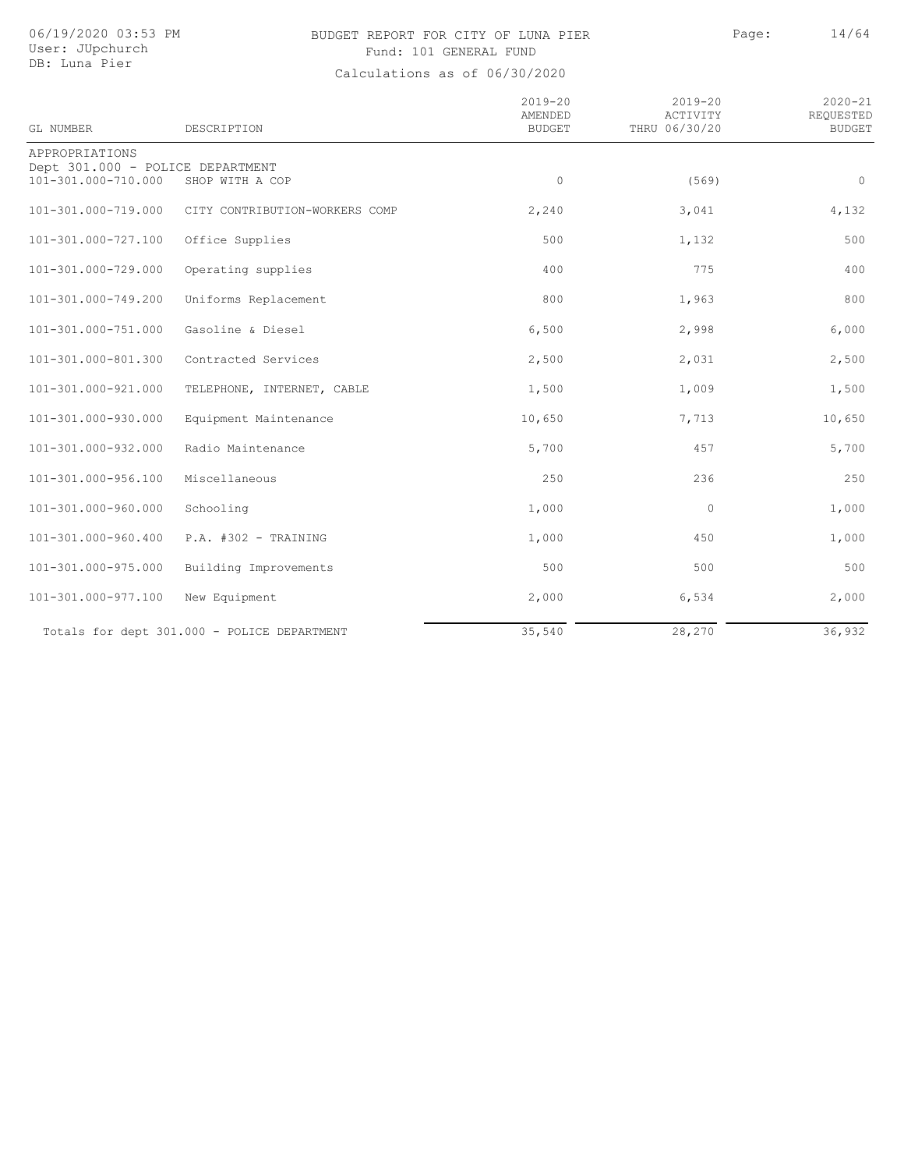# BUDGET REPORT FOR CITY OF LUNA PIER Page: 14/64 Fund: 101 GENERAL FUND

| GL NUMBER                                               | DESCRIPTION                                 | $2019 - 20$<br>AMENDED<br><b>BUDGET</b> | $2019 - 20$<br>ACTIVITY<br>THRU 06/30/20 | $2020 - 21$<br>REQUESTED<br><b>BUDGET</b> |
|---------------------------------------------------------|---------------------------------------------|-----------------------------------------|------------------------------------------|-------------------------------------------|
| APPROPRIATIONS                                          |                                             |                                         |                                          |                                           |
| Dept 301.000 - POLICE DEPARTMENT<br>101-301.000-710.000 | SHOP WITH A COP                             | $\circ$                                 | (569)                                    | $\circ$                                   |
| 101-301.000-719.000                                     | CITY CONTRIBUTION-WORKERS COMP              | 2,240                                   | 3,041                                    | 4,132                                     |
| 101-301.000-727.100                                     | Office Supplies                             | 500                                     | 1,132                                    | 500                                       |
| 101-301.000-729.000                                     | Operating supplies                          | 400                                     | 775                                      | 400                                       |
| 101-301.000-749.200                                     | Uniforms Replacement                        | 800                                     | 1,963                                    | 800                                       |
| 101-301.000-751.000                                     | Gasoline & Diesel                           | 6,500                                   | 2,998                                    | 6,000                                     |
| 101-301.000-801.300                                     | Contracted Services                         | 2,500                                   | 2,031                                    | 2,500                                     |
| 101-301.000-921.000                                     | TELEPHONE, INTERNET, CABLE                  | 1,500                                   | 1,009                                    | 1,500                                     |
| 101-301.000-930.000                                     | Equipment Maintenance                       | 10,650                                  | 7,713                                    | 10,650                                    |
| 101-301.000-932.000                                     | Radio Maintenance                           | 5,700                                   | 457                                      | 5,700                                     |
| 101-301.000-956.100                                     | Miscellaneous                               | 250                                     | 236                                      | 250                                       |
| 101-301.000-960.000                                     | Schooling                                   | 1,000                                   | $\circ$                                  | 1,000                                     |
| 101-301.000-960.400                                     | $P.A.$ #302 - TRAINING                      | 1,000                                   | 450                                      | 1,000                                     |
| 101-301.000-975.000                                     | Building Improvements                       | 500                                     | 500                                      | 500                                       |
| 101-301.000-977.100                                     | New Equipment                               | 2,000                                   | 6,534                                    | 2,000                                     |
|                                                         | Totals for dept 301.000 - POLICE DEPARTMENT | 35,540                                  | 28,270                                   | 36,932                                    |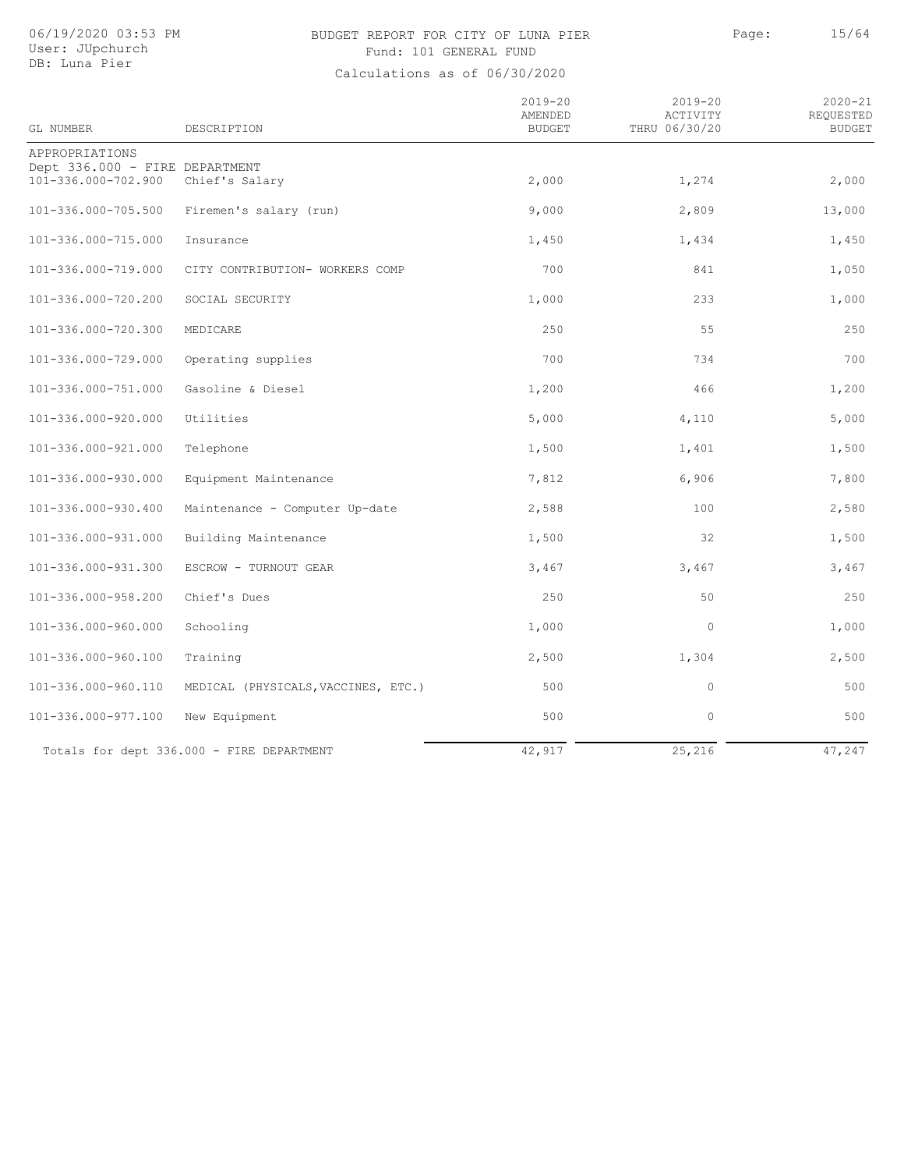# BUDGET REPORT FOR CITY OF LUNA PIER Page: 15/64 Fund: 101 GENERAL FUND

| GL NUMBER                                             | DESCRIPTION                               | $2019 - 20$<br>AMENDED<br><b>BUDGET</b> | $2019 - 20$<br>ACTIVITY<br>THRU 06/30/20 | $2020 - 21$<br>REQUESTED<br><b>BUDGET</b> |
|-------------------------------------------------------|-------------------------------------------|-----------------------------------------|------------------------------------------|-------------------------------------------|
| APPROPRIATIONS                                        |                                           |                                         |                                          |                                           |
| Dept 336.000 - FIRE DEPARTMENT<br>101-336.000-702.900 | Chief's Salary                            | 2,000                                   | 1,274                                    | 2,000                                     |
|                                                       |                                           |                                         |                                          |                                           |
| 101-336.000-705.500                                   | Firemen's salary (run)                    | 9,000                                   | 2,809                                    | 13,000                                    |
| 101-336.000-715.000                                   | Insurance                                 | 1,450                                   | 1,434                                    | 1,450                                     |
| 101-336.000-719.000                                   | CITY CONTRIBUTION- WORKERS COMP           | 700                                     | 841                                      | 1,050                                     |
| 101-336.000-720.200                                   | SOCIAL SECURITY                           | 1,000                                   | 233                                      | 1,000                                     |
| 101-336.000-720.300                                   | MEDICARE                                  | 250                                     | 55                                       | 250                                       |
| 101-336.000-729.000                                   | Operating supplies                        | 700                                     | 734                                      | 700                                       |
| 101-336.000-751.000                                   | Gasoline & Diesel                         | 1,200                                   | 466                                      | 1,200                                     |
| 101-336.000-920.000                                   | Utilities                                 | 5,000                                   | 4,110                                    | 5,000                                     |
| 101-336.000-921.000                                   | Telephone                                 | 1,500                                   | 1,401                                    | 1,500                                     |
| 101-336.000-930.000                                   | Equipment Maintenance                     | 7,812                                   | 6,906                                    | 7,800                                     |
| 101-336.000-930.400                                   | Maintenance - Computer Up-date            | 2,588                                   | 100                                      | 2,580                                     |
| 101-336.000-931.000                                   | Building Maintenance                      | 1,500                                   | 32                                       | 1,500                                     |
| 101-336.000-931.300                                   | ESCROW - TURNOUT GEAR                     | 3,467                                   | 3,467                                    | 3,467                                     |
| 101-336.000-958.200                                   | Chief's Dues                              | 250                                     | 50                                       | 250                                       |
| 101-336.000-960.000                                   | Schooling                                 | 1,000                                   | $\circ$                                  | 1,000                                     |
| 101-336.000-960.100                                   | Training                                  | 2,500                                   | 1,304                                    | 2,500                                     |
| 101-336.000-960.110                                   | MEDICAL (PHYSICALS, VACCINES, ETC.)       | 500                                     | $\circ$                                  | 500                                       |
| 101-336.000-977.100                                   | New Equipment                             | 500                                     | $\circ$                                  | 500                                       |
|                                                       | Totals for dept 336.000 - FIRE DEPARTMENT | 42,917                                  | 25,216                                   | 47,247                                    |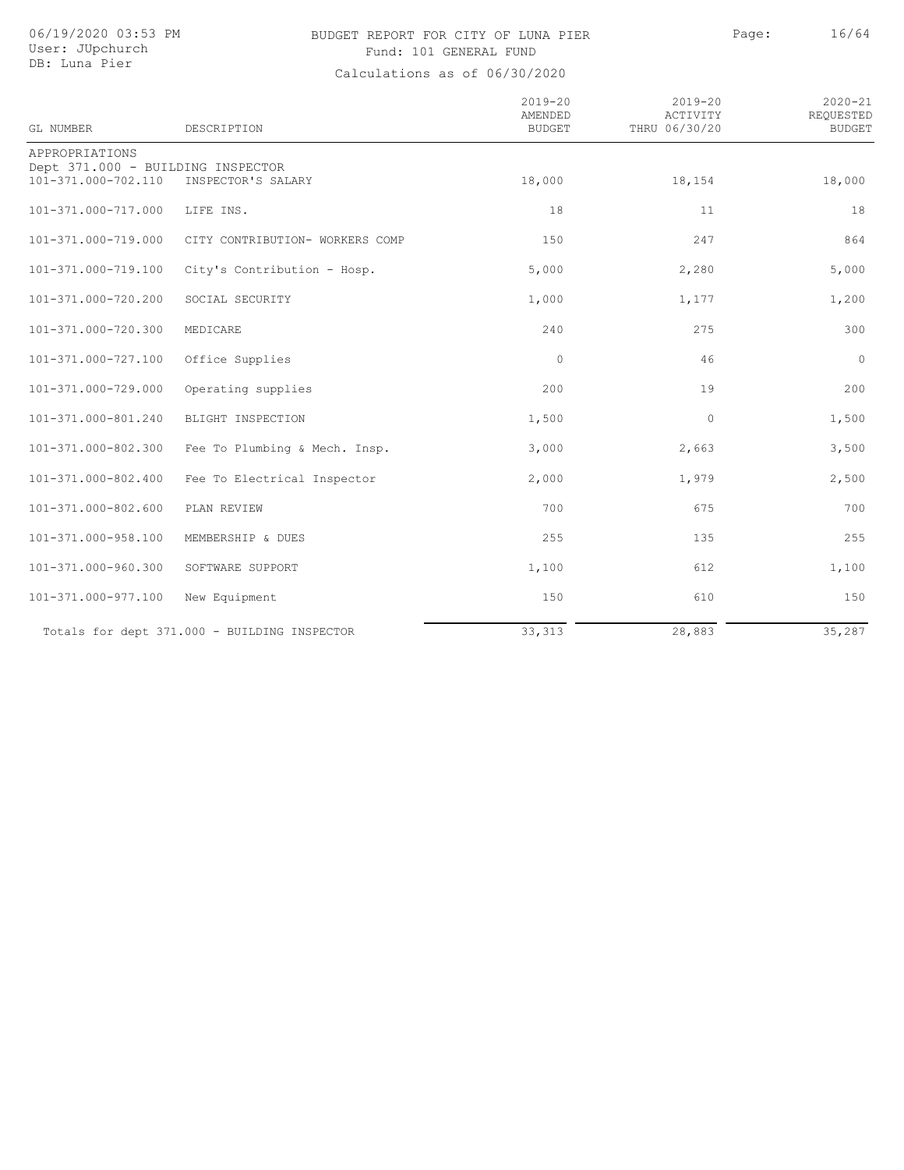# BUDGET REPORT FOR CITY OF LUNA PIER Page: 16/64 Fund: 101 GENERAL FUND

| GL NUMBER                                                | DESCRIPTION                                  | $2019 - 20$<br>AMENDED<br><b>BUDGET</b> | $2019 - 20$<br>ACTIVITY<br>THRU 06/30/20 | $2020 - 21$<br>REQUESTED<br><b>BUDGET</b> |
|----------------------------------------------------------|----------------------------------------------|-----------------------------------------|------------------------------------------|-------------------------------------------|
| APPROPRIATIONS                                           |                                              |                                         |                                          |                                           |
| Dept 371.000 - BUILDING INSPECTOR<br>101-371.000-702.110 | INSPECTOR'S SALARY                           | 18,000                                  | 18,154                                   | 18,000                                    |
| 101-371.000-717.000                                      | LIFE INS.                                    | 18                                      | 11                                       | 18                                        |
| 101-371.000-719.000                                      | CITY CONTRIBUTION- WORKERS COMP              | 150                                     | 247                                      | 864                                       |
| 101-371.000-719.100                                      | City's Contribution - Hosp.                  | 5,000                                   | 2,280                                    | 5,000                                     |
| 101-371.000-720.200                                      | SOCIAL SECURITY                              | 1,000                                   | 1,177                                    | 1,200                                     |
| 101-371.000-720.300                                      | MEDICARE                                     | 240                                     | 275                                      | 300                                       |
| 101-371.000-727.100                                      | Office Supplies                              | $\circ$                                 | 46                                       | $\circ$                                   |
| 101-371.000-729.000                                      | Operating supplies                           | 200                                     | 19                                       | 200                                       |
| 101-371.000-801.240                                      | BLIGHT INSPECTION                            | 1,500                                   | $\circ$                                  | 1,500                                     |
| 101-371.000-802.300                                      | Fee To Plumbing & Mech. Insp.                | 3,000                                   | 2,663                                    | 3,500                                     |
| 101-371.000-802.400                                      | Fee To Electrical Inspector                  | 2,000                                   | 1,979                                    | 2,500                                     |
| 101-371.000-802.600                                      | PLAN REVIEW                                  | 700                                     | 675                                      | 700                                       |
| 101-371.000-958.100                                      | MEMBERSHIP & DUES                            | 255                                     | 135                                      | 255                                       |
| 101-371.000-960.300                                      | SOFTWARE SUPPORT                             | 1,100                                   | 612                                      | 1,100                                     |
| 101-371.000-977.100                                      | New Equipment                                | 150                                     | 610                                      | 150                                       |
|                                                          | Totals for dept 371.000 - BUILDING INSPECTOR | 33, 313                                 | 28,883                                   | 35,287                                    |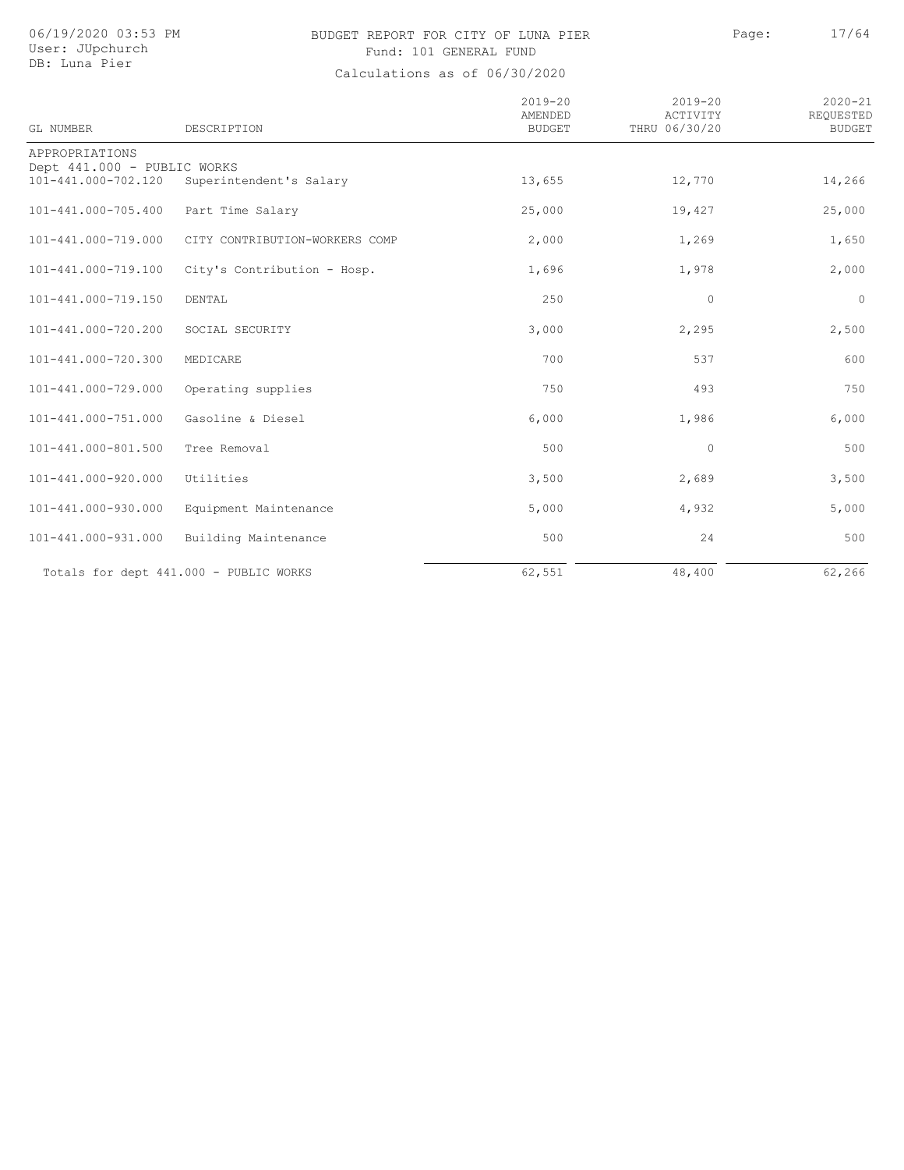# BUDGET REPORT FOR CITY OF LUNA PIER Page: 17/64 Fund: 101 GENERAL FUND

| GL NUMBER                                          | DESCRIPTION                            | $2019 - 20$<br>AMENDED<br><b>BUDGET</b> | $2019 - 20$<br>ACTIVITY<br>THRU 06/30/20 | $2020 - 21$<br>REQUESTED<br><b>BUDGET</b> |
|----------------------------------------------------|----------------------------------------|-----------------------------------------|------------------------------------------|-------------------------------------------|
| APPROPRIATIONS                                     |                                        |                                         |                                          |                                           |
| Dept 441.000 - PUBLIC WORKS<br>101-441.000-702.120 | Superintendent's Salary                | 13,655                                  | 12,770                                   | 14,266                                    |
| 101-441.000-705.400                                | Part Time Salary                       | 25,000                                  | 19,427                                   | 25,000                                    |
| 101-441.000-719.000                                | CITY CONTRIBUTION-WORKERS COMP         | 2,000                                   | 1,269                                    | 1,650                                     |
| 101-441.000-719.100                                | City's Contribution - Hosp.            | 1,696                                   | 1,978                                    | 2,000                                     |
| 101-441.000-719.150                                | DENTAL                                 | 250                                     | $\circ$                                  | $\circ$                                   |
| 101-441.000-720.200                                | SOCIAL SECURITY                        | 3,000                                   | 2,295                                    | 2,500                                     |
| 101-441.000-720.300                                | MEDICARE                               | 700                                     | 537                                      | 600                                       |
| 101-441.000-729.000                                | Operating supplies                     | 750                                     | 493                                      | 750                                       |
| 101-441.000-751.000                                | Gasoline & Diesel                      | 6,000                                   | 1,986                                    | 6,000                                     |
| 101-441.000-801.500                                | Tree Removal                           | 500                                     | $\circ$                                  | 500                                       |
| 101-441.000-920.000                                | Utilities                              | 3,500                                   | 2,689                                    | 3,500                                     |
| 101-441.000-930.000                                | Equipment Maintenance                  | 5,000                                   | 4,932                                    | 5,000                                     |
| 101-441.000-931.000                                | Building Maintenance                   | 500                                     | 24                                       | 500                                       |
|                                                    | Totals for dept 441.000 - PUBLIC WORKS | 62,551                                  | 48,400                                   | 62,266                                    |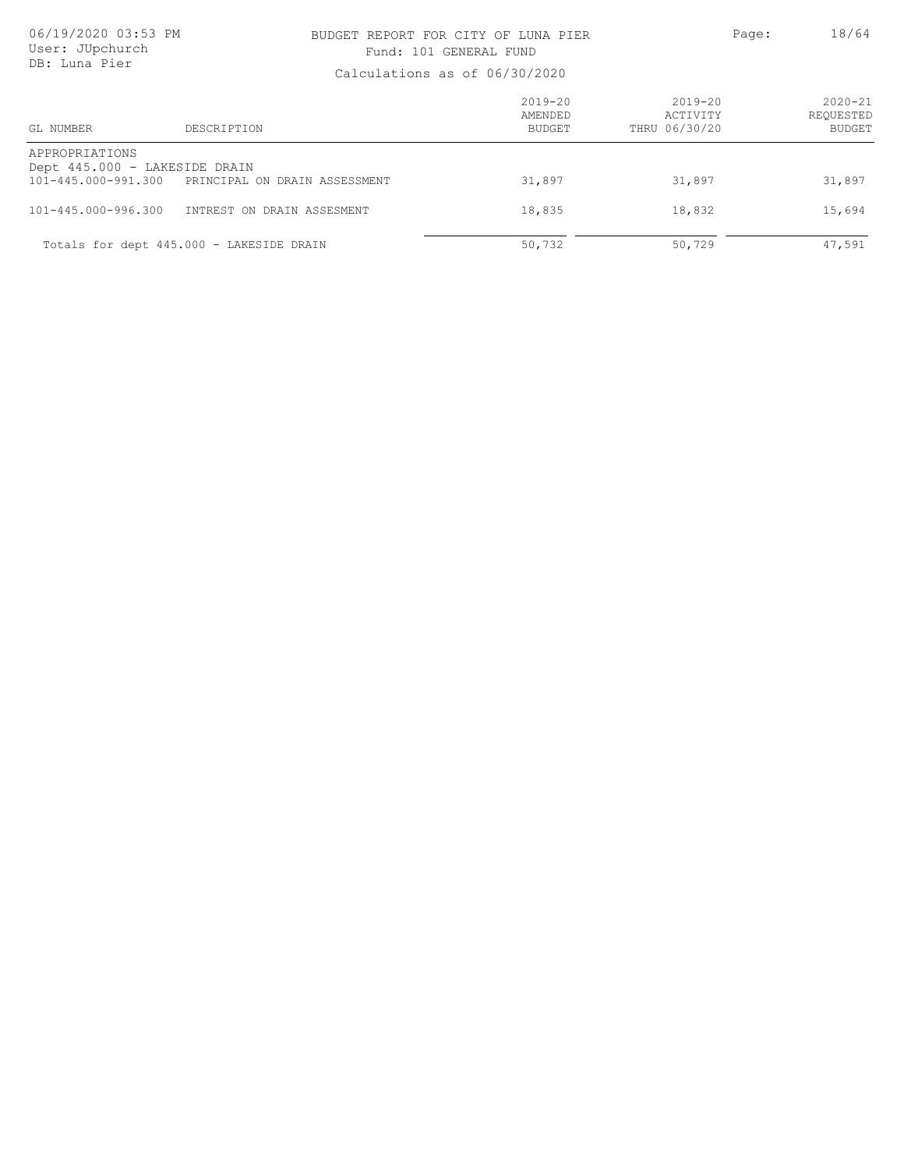### BUDGET REPORT FOR CITY OF LUNA PIER PAGE: Page: 18/64 Fund: 101 GENERAL FUND

| GL NUMBER                                                              | DESCRIPTION                              | $2019 - 20$<br>AMENDED<br><b>BUDGET</b> | $2019 - 20$<br>ACTIVITY<br>THRU 06/30/20 | $2020 - 21$<br>REOUESTED<br><b>BUDGET</b> |
|------------------------------------------------------------------------|------------------------------------------|-----------------------------------------|------------------------------------------|-------------------------------------------|
| APPROPRIATIONS<br>Dept 445.000 - LAKESIDE DRAIN<br>101-445.000-991.300 | PRINCIPAL ON DRAIN ASSESSMENT            | 31,897                                  | 31,897                                   | 31,897                                    |
| $101 - 445.000 - 996.300$                                              | INTREST ON DRAIN ASSESMENT               | 18,835                                  | 18,832                                   | 15,694                                    |
|                                                                        | Totals for dept 445.000 - LAKESIDE DRAIN | 50,732                                  | 50,729                                   | 47,591                                    |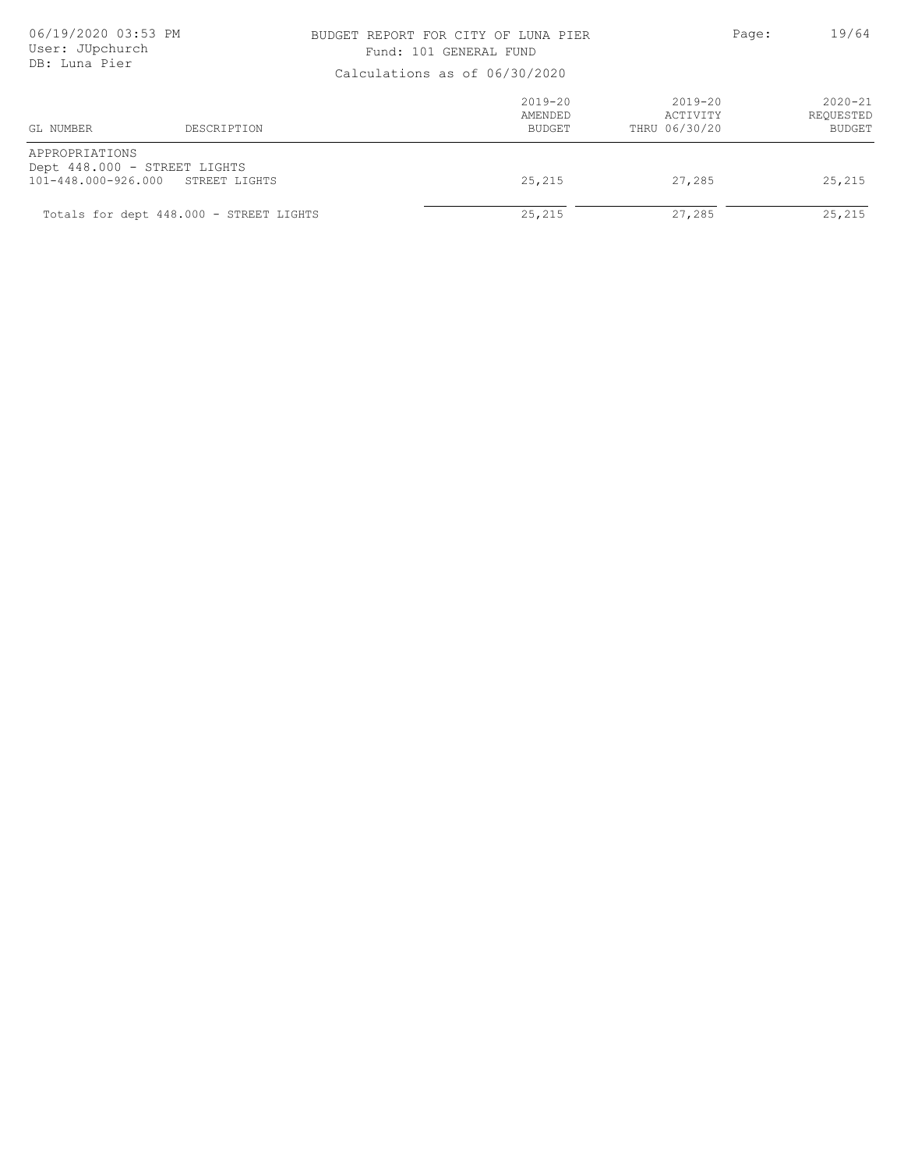### BUDGET REPORT FOR CITY OF LUNA PIER PAGE: Page: 19/64 Fund: 101 GENERAL FUND

| Calculations as Of 00/30/2020         |                                               |                                  |                                          |                                           |
|---------------------------------------|-----------------------------------------------|----------------------------------|------------------------------------------|-------------------------------------------|
| GL NUMBER                             | DESCRIPTION                                   | $2019 - 20$<br>AMENDED<br>BUDGET | $2019 - 20$<br>ACTIVITY<br>THRU 06/30/20 | $2020 - 21$<br>REQUESTED<br><b>BUDGET</b> |
| APPROPRIATIONS<br>101-448.000-926.000 | Dept 448.000 - STREET LIGHTS<br>STREET LIGHTS | 25,215                           | 27,285                                   | 25,215                                    |
|                                       | Totals for dept 448.000 - STREET LIGHTS       | 25,215                           | 27,285                                   | 25,215                                    |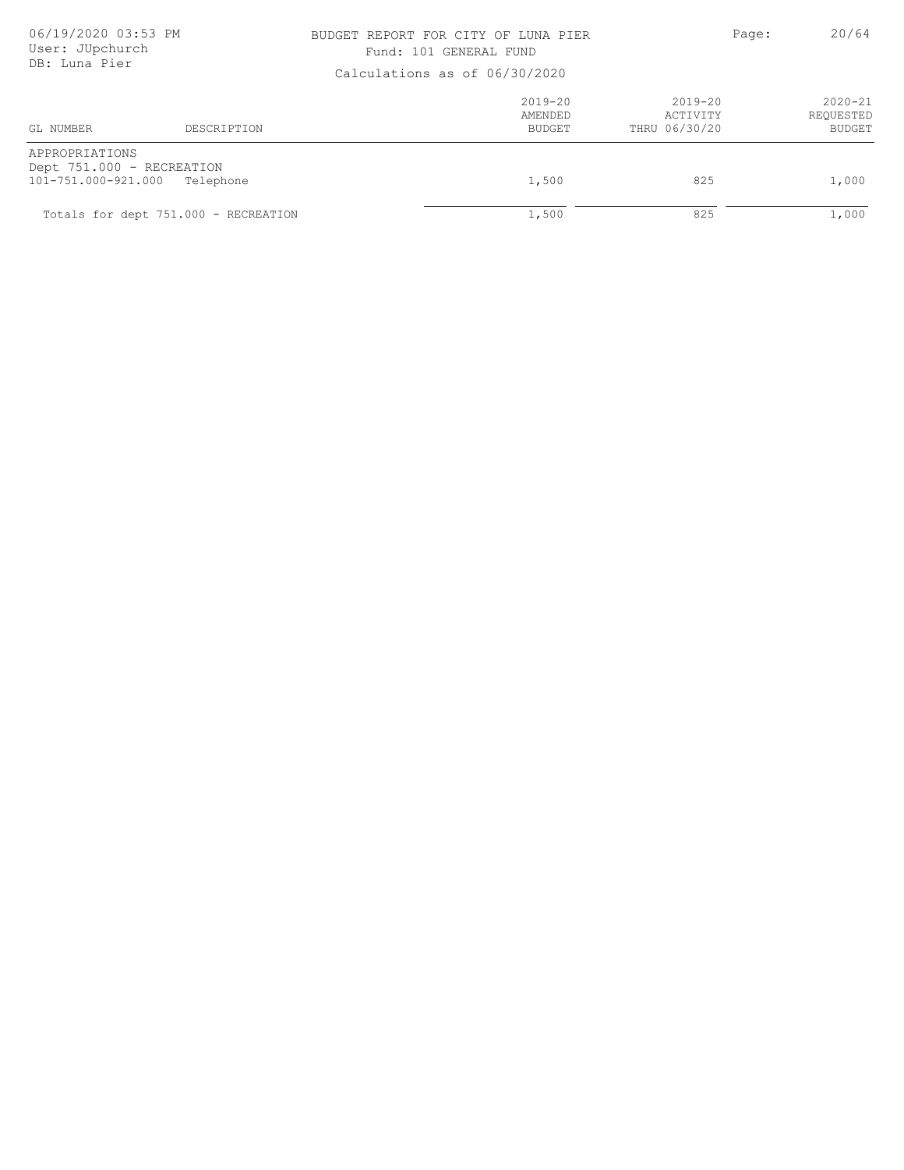### BUDGET REPORT FOR CITY OF LUNA PIER PAGE: Page: 20/64 Fund: 101 GENERAL FUND

| Calculations as Of 00/30/2020                                      |                                      |                                         |                                          |                                           |  |
|--------------------------------------------------------------------|--------------------------------------|-----------------------------------------|------------------------------------------|-------------------------------------------|--|
| GL NUMBER                                                          | DESCRIPTION                          | $2019 - 20$<br>AMENDED<br><b>BUDGET</b> | $2019 - 20$<br>ACTIVITY<br>THRU 06/30/20 | $2020 - 21$<br>REQUESTED<br><b>BUDGET</b> |  |
| APPROPRIATIONS<br>Dept 751.000 - RECREATION<br>101-751.000-921.000 | Telephone                            | 1,500                                   | 825                                      | 1,000                                     |  |
|                                                                    | Totals for dept 751.000 - RECREATION | 1,500                                   | 825                                      | 1,000                                     |  |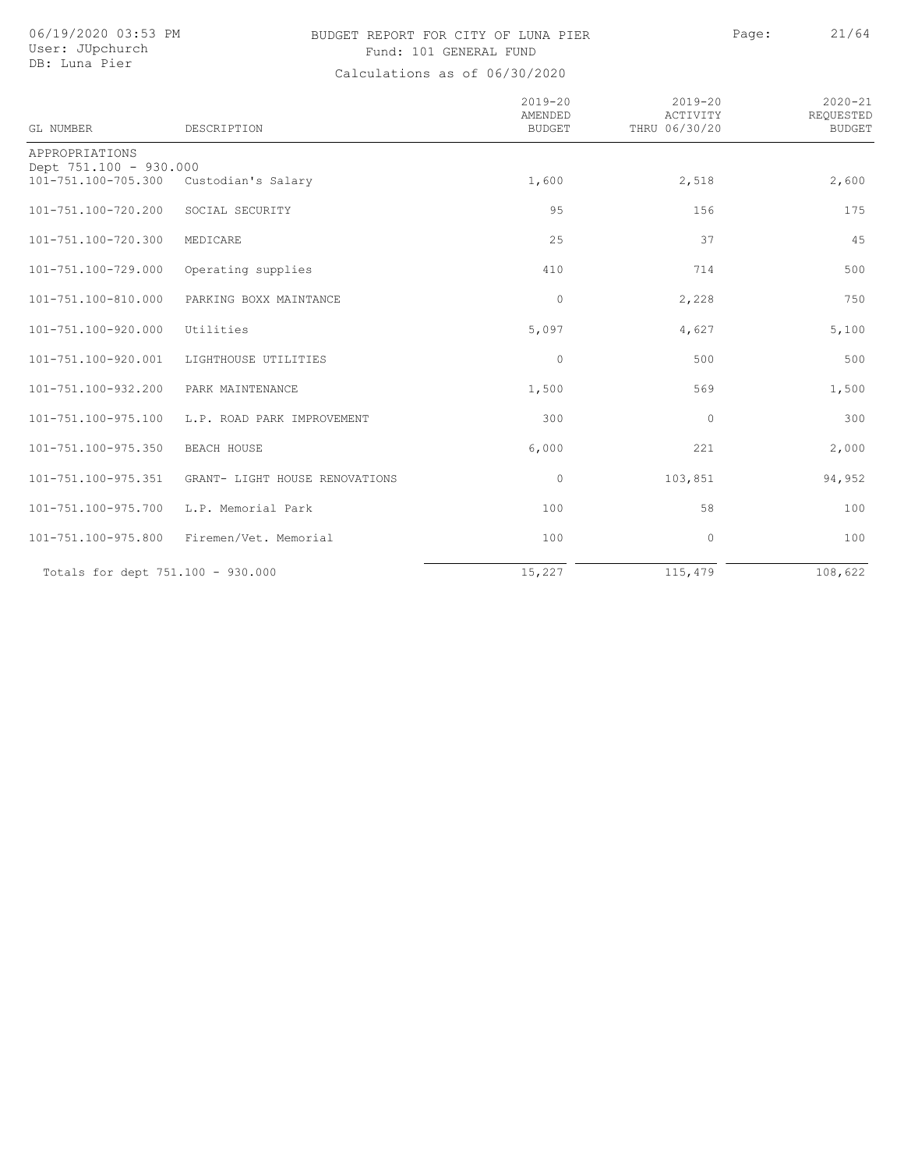# BUDGET REPORT FOR CITY OF LUNA PIER Page: 21/64 Fund: 101 GENERAL FUND

| <b>GL NUMBER</b>                              | DESCRIPTION                    | $2019 - 20$<br>AMENDED<br><b>BUDGET</b> | $2019 - 20$<br>ACTIVITY<br>THRU 06/30/20 | $2020 - 21$<br>REQUESTED<br><b>BUDGET</b> |
|-----------------------------------------------|--------------------------------|-----------------------------------------|------------------------------------------|-------------------------------------------|
| APPROPRIATIONS                                |                                |                                         |                                          |                                           |
| Dept 751.100 - 930.000<br>101-751.100-705.300 | Custodian's Salary             | 1,600                                   | 2,518                                    | 2,600                                     |
| 101-751.100-720.200                           | SOCIAL SECURITY                | 95                                      | 156                                      | 175                                       |
| 101-751.100-720.300                           | MEDICARE                       | 25                                      | 37                                       | 45                                        |
| 101-751.100-729.000                           | Operating supplies             | 410                                     | 714                                      | 500                                       |
| 101-751.100-810.000                           | PARKING BOXX MAINTANCE         | $\circ$                                 | 2,228                                    | 750                                       |
| 101-751.100-920.000                           | Utilities                      | 5,097                                   | 4,627                                    | 5,100                                     |
| 101-751.100-920.001                           | LIGHTHOUSE UTILITIES           | $\circ$                                 | 500                                      | 500                                       |
| 101-751.100-932.200                           | PARK MAINTENANCE               | 1,500                                   | 569                                      | 1,500                                     |
| 101-751.100-975.100                           | L.P. ROAD PARK IMPROVEMENT     | 300                                     | $\mathbf{0}$                             | 300                                       |
| 101-751.100-975.350                           | BEACH HOUSE                    | 6,000                                   | 221                                      | 2,000                                     |
| 101-751.100-975.351                           | GRANT- LIGHT HOUSE RENOVATIONS | $\circ$                                 | 103,851                                  | 94,952                                    |
| 101-751.100-975.700                           | L.P. Memorial Park             | 100                                     | 58                                       | 100                                       |
| 101-751.100-975.800                           | Firemen/Vet. Memorial          | 100                                     | $\circ$                                  | 100                                       |
| Totals for dept 751.100 - 930.000             |                                | 15,227                                  | 115,479                                  | 108,622                                   |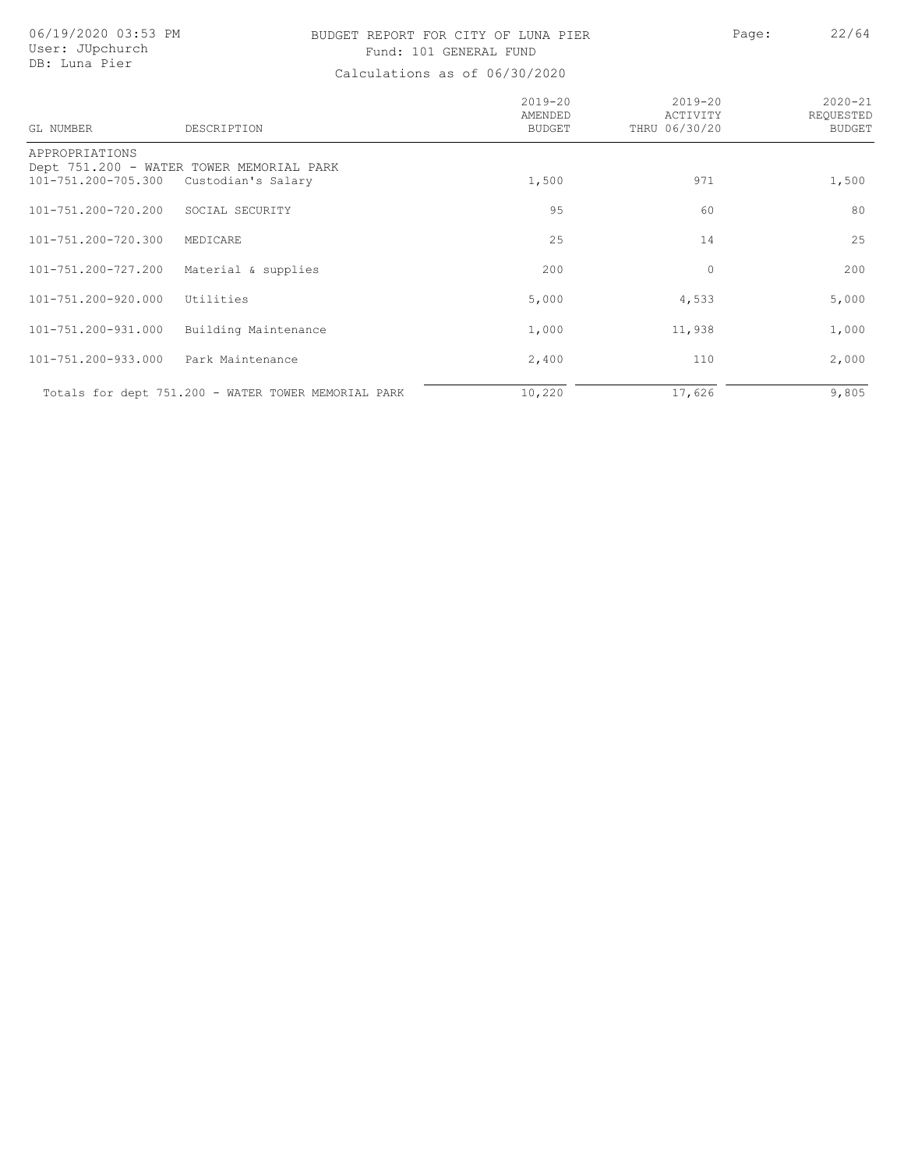# BUDGET REPORT FOR CITY OF LUNA PIER Page: 22/64 Fund: 101 GENERAL FUND

| GL NUMBER                             | DESCRIPTION                                                    | $2019 - 20$<br>AMENDED<br><b>BUDGET</b> | $2019 - 20$<br>ACTIVITY<br>THRU 06/30/20 | $2020 - 21$<br>REOUESTED<br><b>BUDGET</b> |
|---------------------------------------|----------------------------------------------------------------|-----------------------------------------|------------------------------------------|-------------------------------------------|
| APPROPRIATIONS<br>101-751.200-705.300 | Dept 751.200 - WATER TOWER MEMORIAL PARK<br>Custodian's Salary | 1,500                                   | 971                                      | 1,500                                     |
| 101-751.200-720.200                   | SOCIAL SECURITY                                                | 95                                      | 60                                       | 80                                        |
| 101-751.200-720.300                   | MEDICARE                                                       | 25                                      | 14                                       | 25                                        |
| 101-751.200-727.200                   | Material & supplies                                            | 200                                     | $\mathbf 0$                              | 200                                       |
| 101-751.200-920.000                   | Utilities                                                      | 5,000                                   | 4,533                                    | 5,000                                     |
| 101-751.200-931.000                   | Building Maintenance                                           | 1,000                                   | 11,938                                   | 1,000                                     |
| 101-751.200-933.000                   | Park Maintenance                                               | 2,400                                   | 110                                      | 2,000                                     |
|                                       | Totals for dept 751.200 - WATER TOWER MEMORIAL PARK            | 10,220                                  | 17,626                                   | 9,805                                     |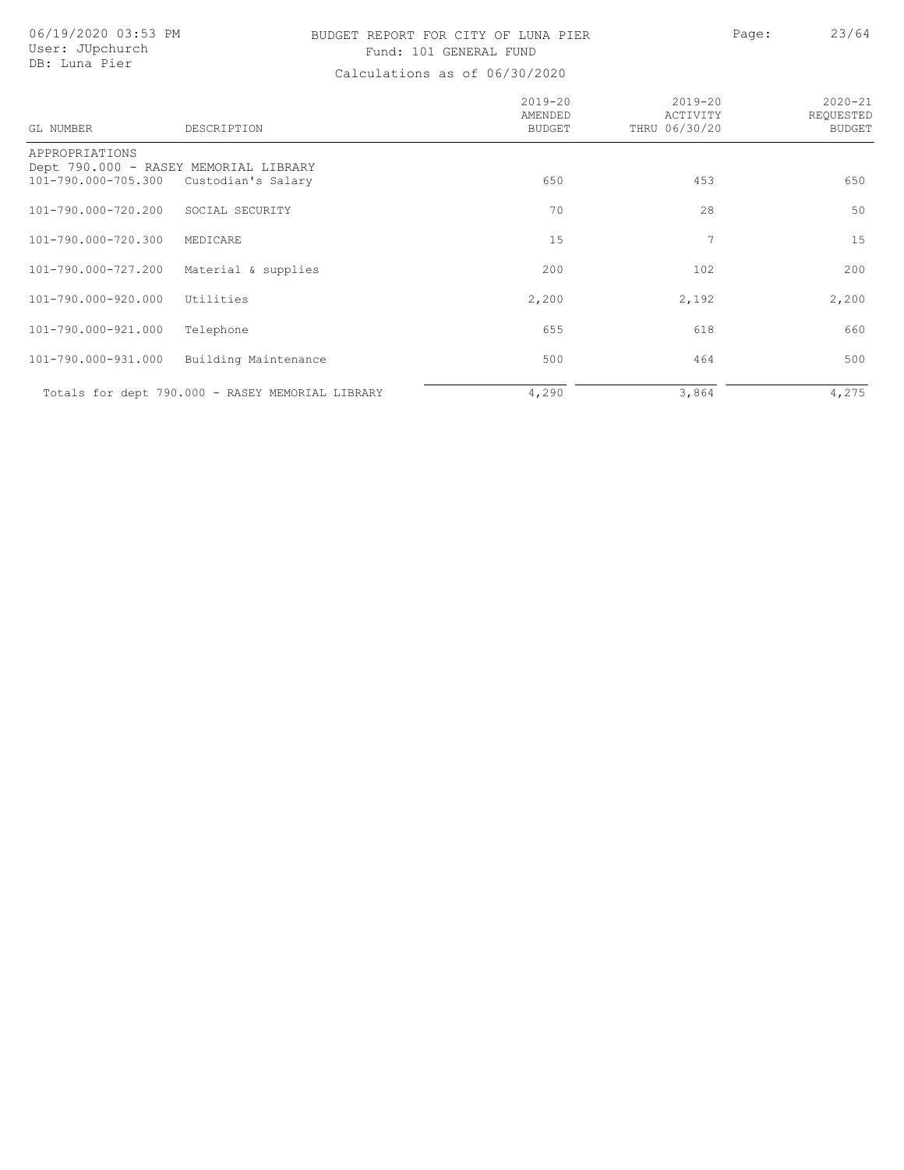# BUDGET REPORT FOR CITY OF LUNA PIER FOR Page: 23/64 Fund: 101 GENERAL FUND

| GL NUMBER                             | DESCRIPTION                                                 | $2019 - 20$<br>AMENDED<br><b>BUDGET</b> | $2019 - 20$<br>ACTIVITY<br>THRU 06/30/20 | $2020 - 21$<br>REQUESTED<br><b>BUDGET</b> |
|---------------------------------------|-------------------------------------------------------------|-----------------------------------------|------------------------------------------|-------------------------------------------|
| APPROPRIATIONS<br>101-790.000-705.300 | Dept 790.000 - RASEY MEMORIAL LIBRARY<br>Custodian's Salary | 650                                     | 453                                      | 650                                       |
| 101-790.000-720.200                   | SOCIAL SECURITY                                             | 70                                      | 28                                       | 50                                        |
| 101-790.000-720.300                   | MEDICARE                                                    | 15                                      | 7                                        | 15                                        |
| 101-790.000-727.200                   | Material & supplies                                         | 200                                     | 102                                      | 200                                       |
| 101-790.000-920.000                   | Utilities                                                   | 2,200                                   | 2,192                                    | 2,200                                     |
| 101-790.000-921.000                   | Telephone                                                   | 655                                     | 618                                      | 660                                       |
| 101-790.000-931.000                   | Building Maintenance                                        | 500                                     | 464                                      | 500                                       |
|                                       | Totals for dept 790.000 - RASEY MEMORIAL LIBRARY            | 4,290                                   | 3,864                                    | 4,275                                     |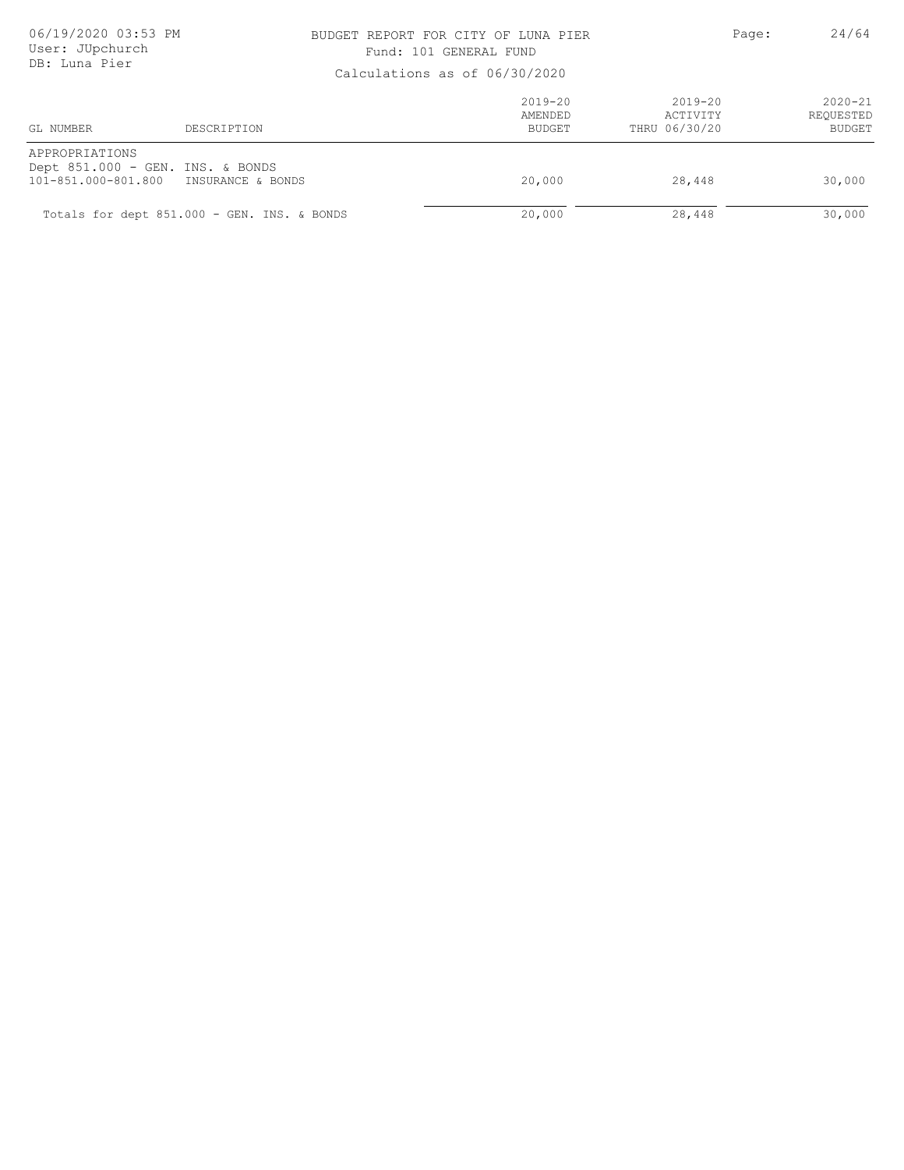### BUDGET REPORT FOR CITY OF LUNA PIER PAGE: Page: 24/64 Fund: 101 GENERAL FUND

| CUICULUCICUM UN VI VV/VV/LVLV         |                                                       |                                  |                                          |                                           |
|---------------------------------------|-------------------------------------------------------|----------------------------------|------------------------------------------|-------------------------------------------|
| GL NUMBER                             | DESCRIPTION                                           | $2019 - 20$<br>AMENDED<br>BUDGET | $2019 - 20$<br>ACTIVITY<br>THRU 06/30/20 | $2020 - 21$<br>REQUESTED<br><b>BUDGET</b> |
| APPROPRIATIONS<br>101-851.000-801.800 | Dept 851.000 - GEN. INS. & BONDS<br>INSURANCE & BONDS | 20,000                           | 28,448                                   | 30,000                                    |
|                                       | Totals for dept 851.000 - GEN. INS. & BONDS           | 20,000                           | 28,448                                   | 30,000                                    |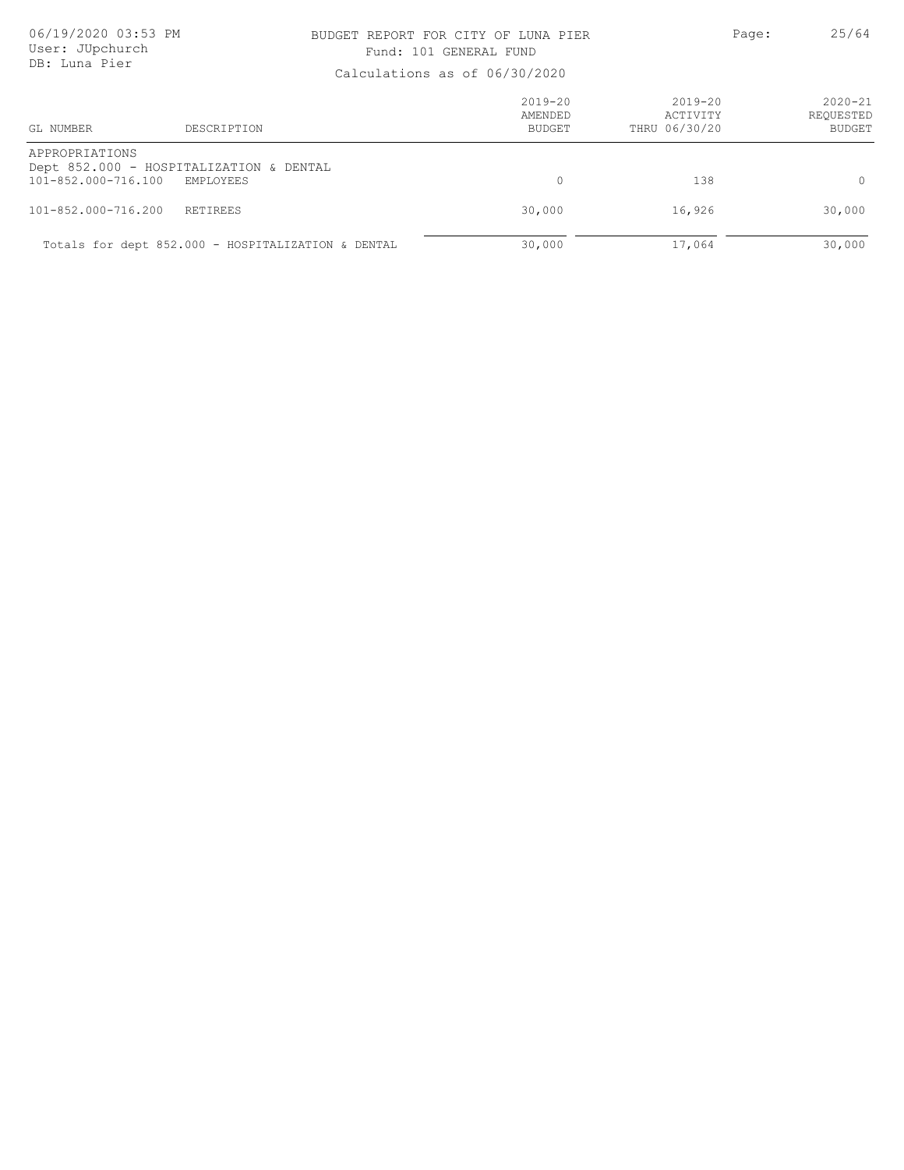### BUDGET REPORT FOR CITY OF LUNA PIER PAGE: Page: 25/64 Fund: 101 GENERAL FUND

| GL NUMBER                             | DESCRIPTION                                                 | $2019 - 20$<br>AMENDED<br><b>BUDGET</b> | 2019-20<br>ACTIVITY<br>THRU 06/30/20 | $2020 - 21$<br>REQUESTED<br><b>BUDGET</b> |
|---------------------------------------|-------------------------------------------------------------|-----------------------------------------|--------------------------------------|-------------------------------------------|
| APPROPRIATIONS<br>101-852.000-716.100 | Dept 852.000 - HOSPITALIZATION & DENTAL<br><b>EMPLOYEES</b> |                                         | 138                                  | $\Omega$                                  |
| 101-852.000-716.200                   | <b>RETIREES</b>                                             | 30,000                                  | 16,926                               | 30,000                                    |
|                                       | Totals for dept 852.000 - HOSPITALIZATION & DENTAL          | 30,000                                  | 17,064                               | 30,000                                    |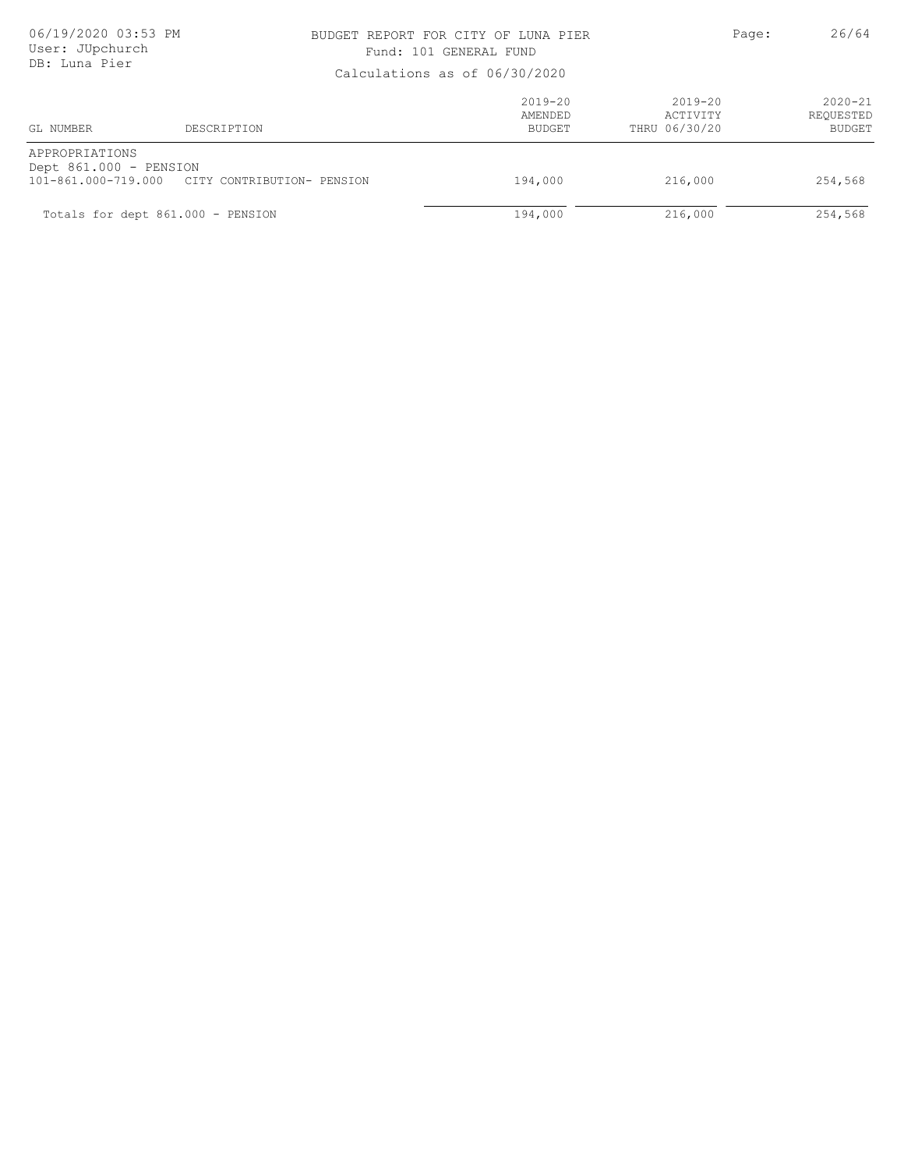### BUDGET REPORT FOR CITY OF LUNA PIER PAGE: Page: 26/64 Fund: 101 GENERAL FUND

| Calculations as Of 00/30/2020            |                                                |                                  |                                          |                                    |
|------------------------------------------|------------------------------------------------|----------------------------------|------------------------------------------|------------------------------------|
| GL NUMBER                                | DESCRIPTION                                    | $2019 - 20$<br>AMENDED<br>BUDGET | $2019 - 20$<br>ACTIVITY<br>THRU 06/30/20 | $2020 - 21$<br>REQUESTED<br>BUDGET |
| APPROPRIATIONS<br>Dept 861.000 - PENSION | 101-861.000-719.000 CITY CONTRIBUTION- PENSION | 194,000                          | 216,000                                  | 254,568                            |
|                                          | Totals for dept 861.000 - PENSION              | 194,000                          | 216,000                                  | 254,568                            |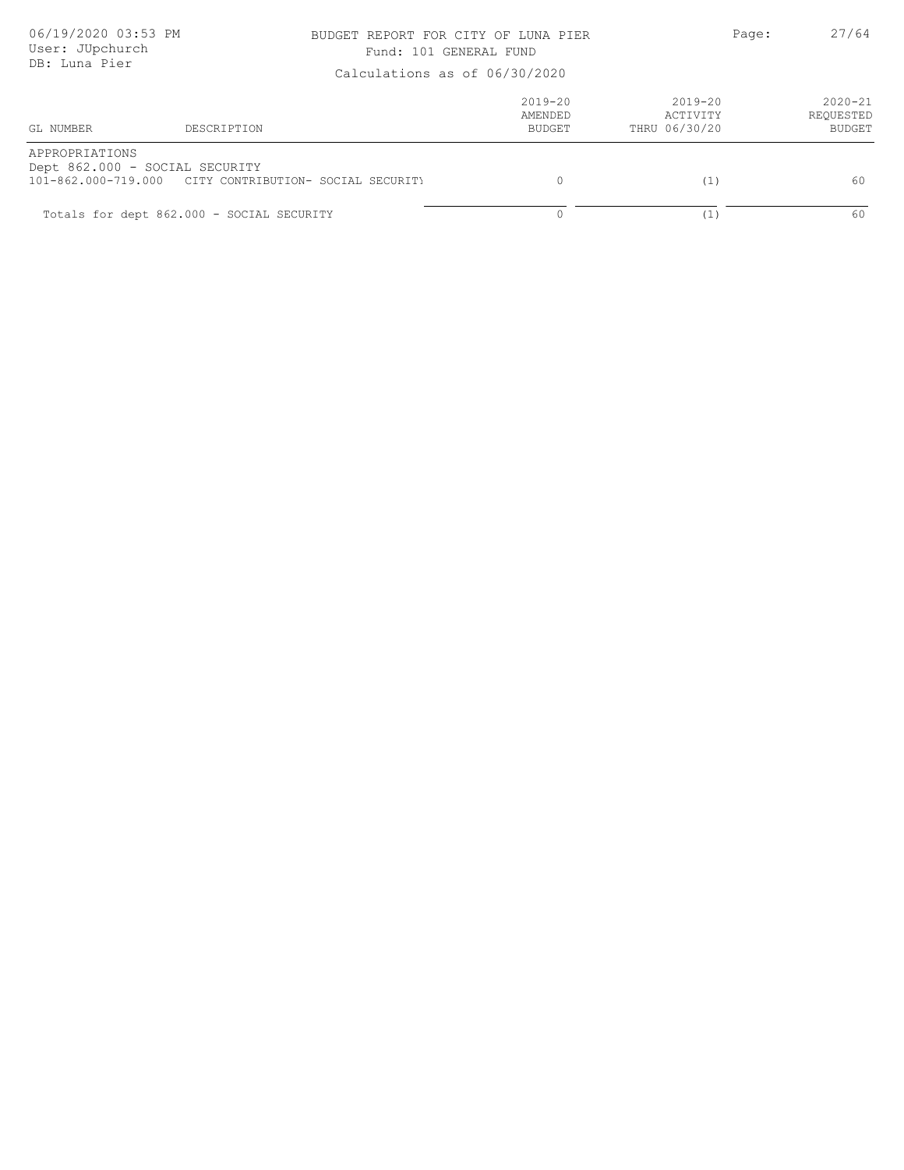### BUDGET REPORT FOR CITY OF LUNA PIER PAGE: 27/64 Fund: 101 GENERAL FUND

|                | Calculations as 01 00/30/2020                                                            |                                         |                                          |                                           |
|----------------|------------------------------------------------------------------------------------------|-----------------------------------------|------------------------------------------|-------------------------------------------|
| GL NUMBER      | DESCRIPTION                                                                              | $2019 - 20$<br>AMENDED<br><b>BUDGET</b> | $2019 - 20$<br>ACTIVITY<br>THRU 06/30/20 | $2020 - 21$<br>REQUESTED<br><b>BUDGET</b> |
| APPROPRIATIONS | Dept 862.000 - SOCIAL SECURITY<br>101-862.000-719.000 CITY CONTRIBUTION- SOCIAL SECURITY |                                         | (1)                                      | 60                                        |
|                | Totals for dept 862.000 - SOCIAL SECURITY                                                |                                         | ۰⊥ ک                                     | 60                                        |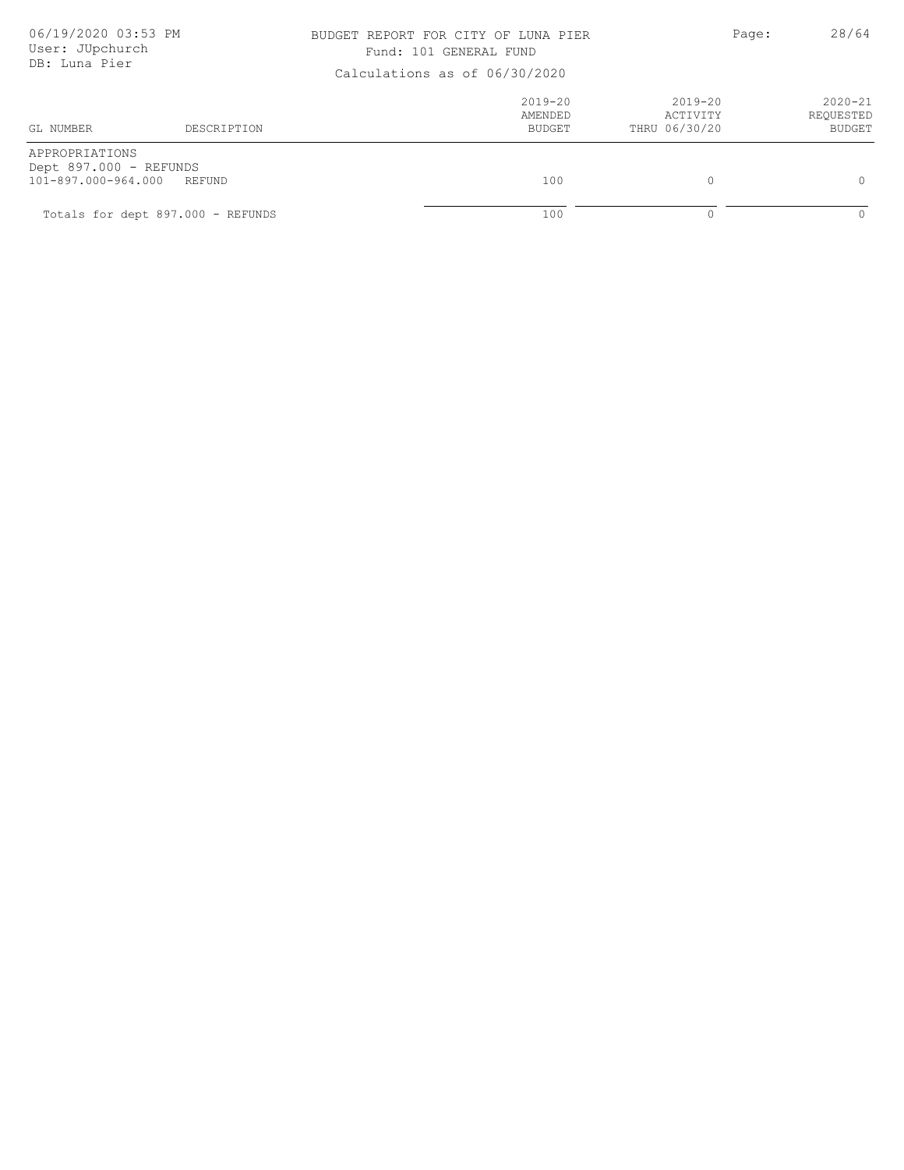### BUDGET REPORT FOR CITY OF LUNA PIER PAGE: Page: 28/64 Fund: 101 GENERAL FUND

|                                                                 | Calculations as 01 00/30/2020     |                                  |                                          |                                    |  |  |
|-----------------------------------------------------------------|-----------------------------------|----------------------------------|------------------------------------------|------------------------------------|--|--|
| GL NUMBER                                                       | DESCRIPTION                       | $2019 - 20$<br>AMENDED<br>BUDGET | $2019 - 20$<br>ACTIVITY<br>THRU 06/30/20 | $2020 - 21$<br>REQUESTED<br>BUDGET |  |  |
| APPROPRIATIONS<br>Dept 897.000 - REFUNDS<br>101-897.000-964.000 | REFUND                            | 100                              | $\Omega$                                 |                                    |  |  |
|                                                                 | Totals for dept 897.000 - REFUNDS | 100                              |                                          |                                    |  |  |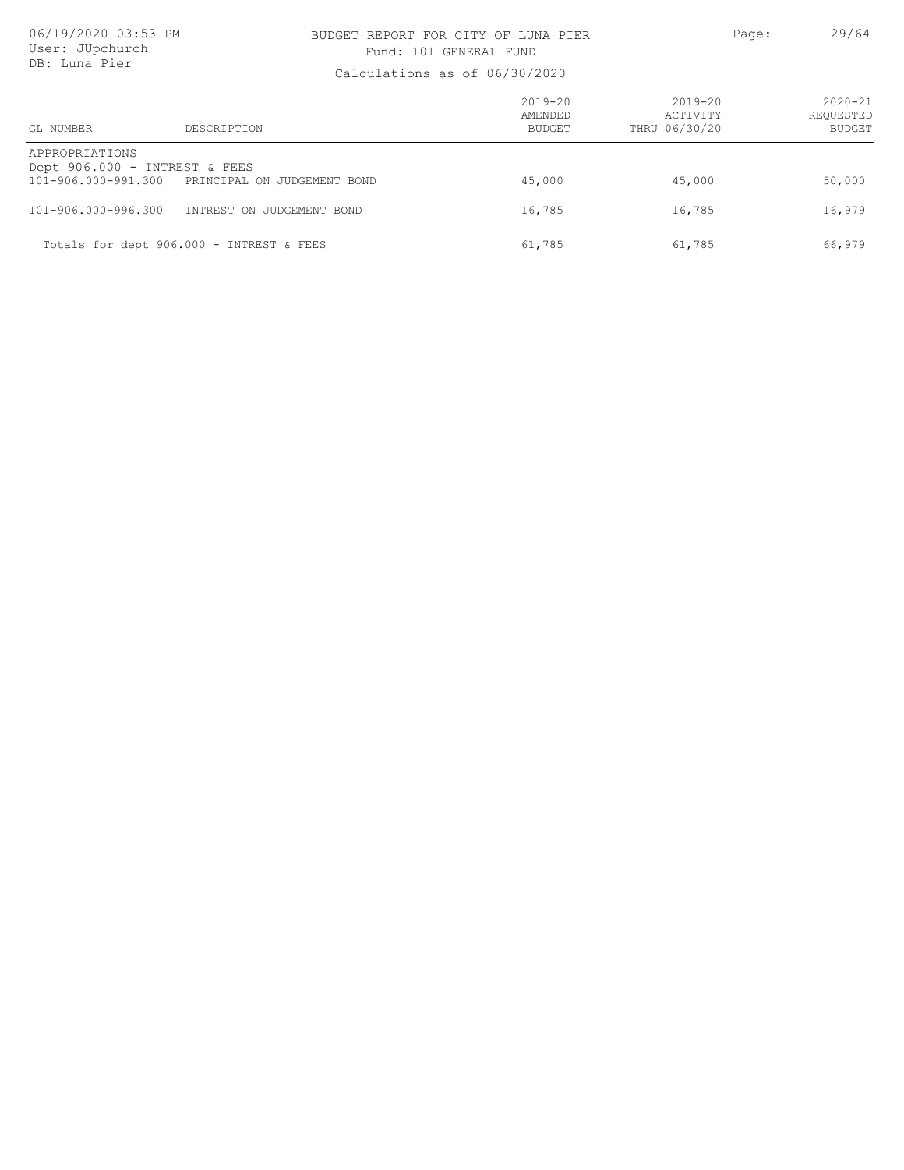### BUDGET REPORT FOR CITY OF LUNA PIER PAGE: 29/64 Fund: 101 GENERAL FUND

| GL NUMBER                                                              | DESCRIPTION                              | $2019 - 20$<br>AMENDED<br><b>BUDGET</b> | $2019 - 20$<br>ACTIVITY<br>THRU 06/30/20 | $2020 - 21$<br>REOUESTED<br><b>BUDGET</b> |
|------------------------------------------------------------------------|------------------------------------------|-----------------------------------------|------------------------------------------|-------------------------------------------|
| APPROPRIATIONS<br>Dept 906.000 - INTREST & FEES<br>101-906.000-991.300 | PRINCIPAL ON JUDGEMENT BOND              | 45,000                                  | 45,000                                   | 50,000                                    |
| $101 - 906.000 - 996.300$                                              | INTREST ON JUDGEMENT BOND                | 16,785                                  | 16,785                                   | 16,979                                    |
|                                                                        | Totals for dept 906.000 - INTREST & FEES | 61,785                                  | 61,785                                   | 66,979                                    |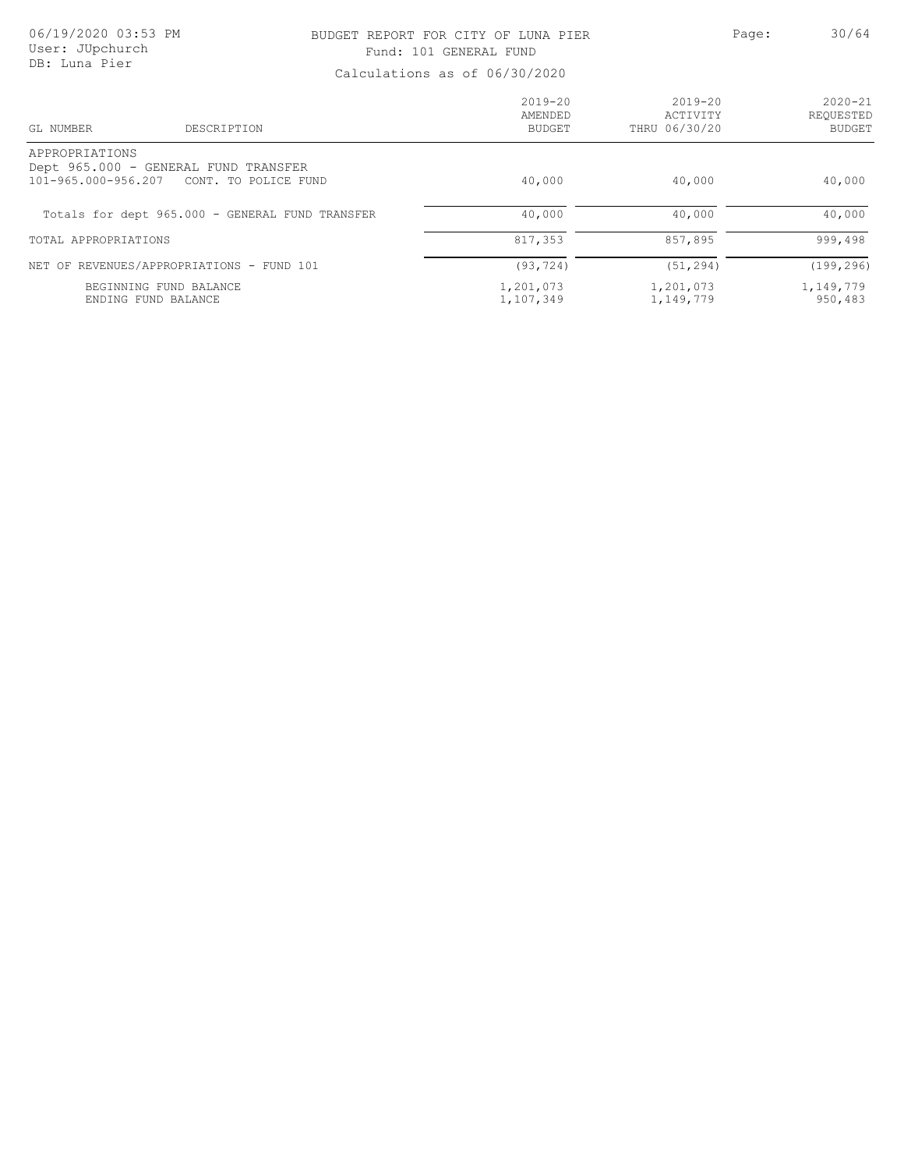### BUDGET REPORT FOR CITY OF LUNA PIER PAGE: Page: 30/64 Fund: 101 GENERAL FUND

| DESCRIPTION<br>GL NUMBER                               | $2019 - 20$<br>AMENDED<br>BUDGET | $2019 - 20$<br>ACTIVITY<br>THRU 06/30/20 | $2020 - 21$<br>REQUESTED<br><b>BUDGET</b> |
|--------------------------------------------------------|----------------------------------|------------------------------------------|-------------------------------------------|
| APPROPRIATIONS<br>Dept 965.000 - GENERAL FUND TRANSFER |                                  |                                          |                                           |
| 101-965.000-956.207 CONT. TO POLICE FUND               | 40,000                           | 40,000                                   | 40,000                                    |
| Totals for dept 965.000 - GENERAL FUND TRANSFER        | 40,000                           | 40,000                                   | 40,000                                    |
| TOTAL APPROPRIATIONS                                   | 817,353                          | 857,895                                  | 999,498                                   |
| NET OF REVENUES/APPROPRIATIONS - FUND 101              | (93, 724)                        | (51, 294)                                | (199, 296)                                |
| BEGINNING FUND BALANCE<br>ENDING FUND BALANCE          | 1,201,073<br>1,107,349           | 1,201,073<br>1,149,779                   | 1,149,779<br>950,483                      |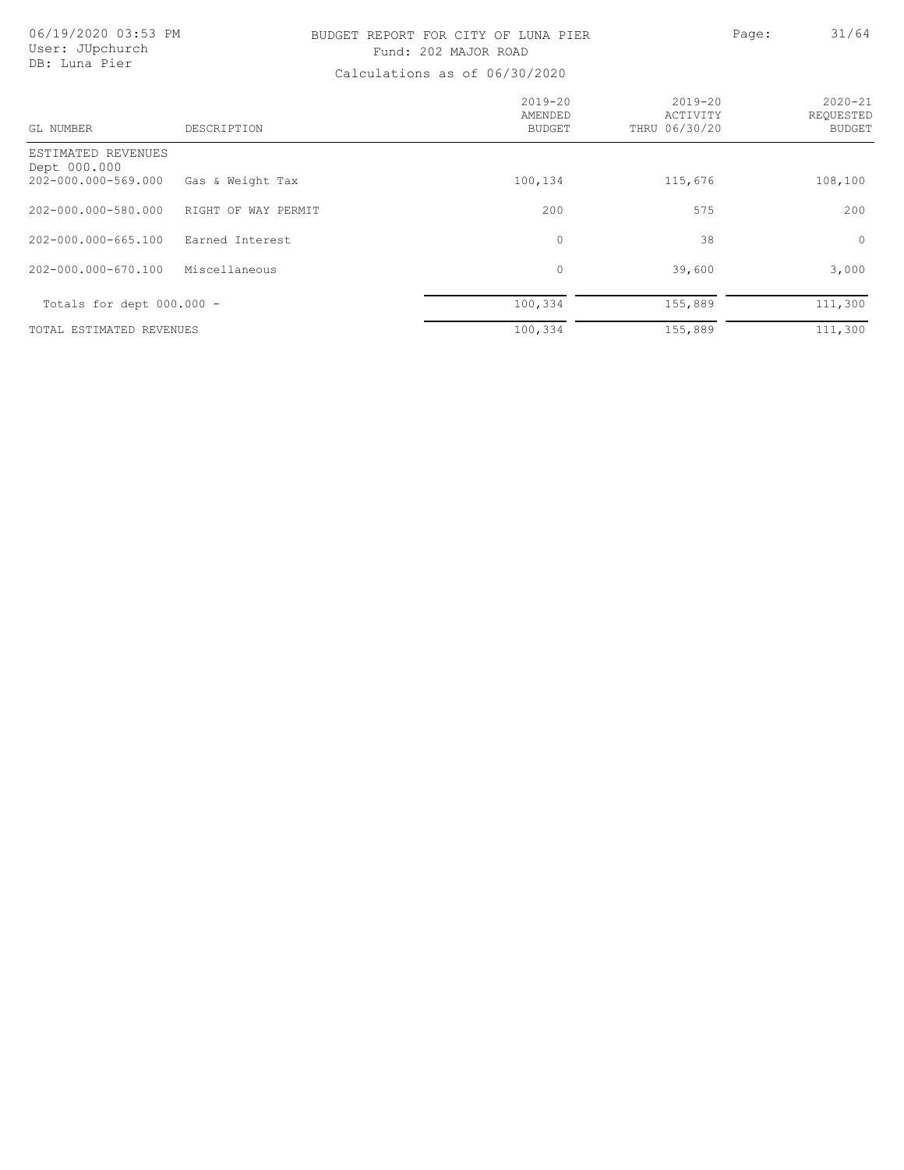## BUDGET REPORT FOR CITY OF LUNA PIER PAGE: Page: 31/64 Fund: 202 MAJOR ROAD

| GL NUMBER                                                 | DESCRIPTION         | $2019 - 20$<br>AMENDED<br><b>BUDGET</b> | $2019 - 20$<br>ACTIVITY<br>THRU 06/30/20 | $2020 - 21$<br>REOUESTED<br><b>BUDGET</b> |
|-----------------------------------------------------------|---------------------|-----------------------------------------|------------------------------------------|-------------------------------------------|
| ESTIMATED REVENUES<br>Dept 000.000<br>202-000.000-569.000 | Gas & Weight Tax    | 100,134                                 | 115,676                                  | 108,100                                   |
| 202-000.000-580.000                                       | RIGHT OF WAY PERMIT | 200                                     | 575                                      | 200                                       |
| 202-000.000-665.100                                       | Earned Interest     | $\mathbf{0}$                            | 38                                       | $\circ$                                   |
| 202-000.000-670.100                                       | Miscellaneous       | $\circ$                                 | 39,600                                   | 3,000                                     |
| Totals for dept $000.000 -$                               |                     | 100,334                                 | 155,889                                  | 111,300                                   |
| TOTAL ESTIMATED REVENUES                                  |                     | 100,334                                 | 155,889                                  | 111,300                                   |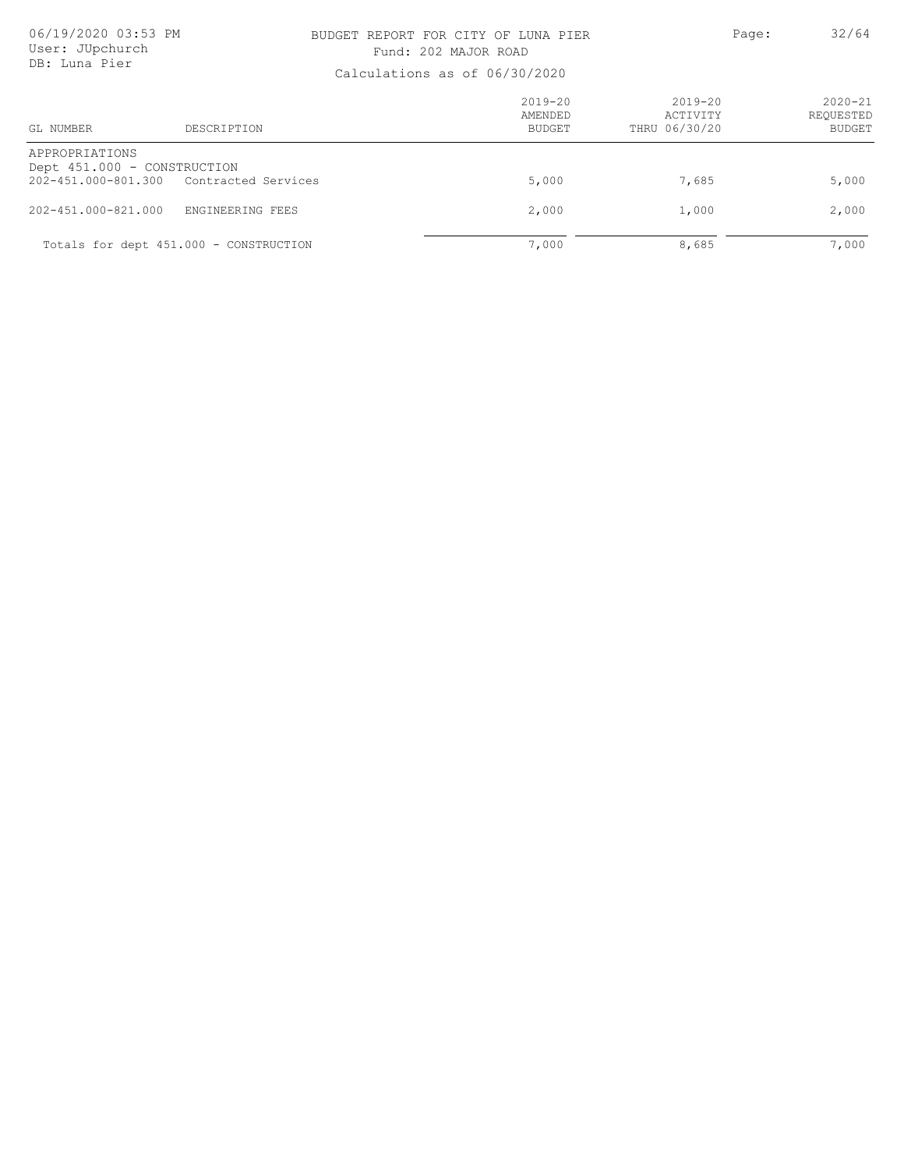### BUDGET REPORT FOR CITY OF LUNA PIER PAGE: Page: 32/64 Fund: 202 MAJOR ROAD

| DESCRIPTION<br>GL NUMBER                                                                 | $2019 - 20$<br>AMENDED<br>BUDGET | $2019 - 20$<br>ACTIVITY<br>THRU 06/30/20 | $2020 - 21$<br>REQUESTED<br><b>BUDGET</b> |
|------------------------------------------------------------------------------------------|----------------------------------|------------------------------------------|-------------------------------------------|
| APPROPRIATIONS<br>Dept 451.000 - CONSTRUCTION<br>202-451.000-801.300 Contracted Services | 5,000                            | 7,685                                    | 5,000                                     |
| 202-451.000-821.000<br>ENGINEERING FEES                                                  | 2,000                            | 1,000                                    | 2,000                                     |
| Totals for dept 451.000 - CONSTRUCTION                                                   | 7,000                            | 8,685                                    | 7,000                                     |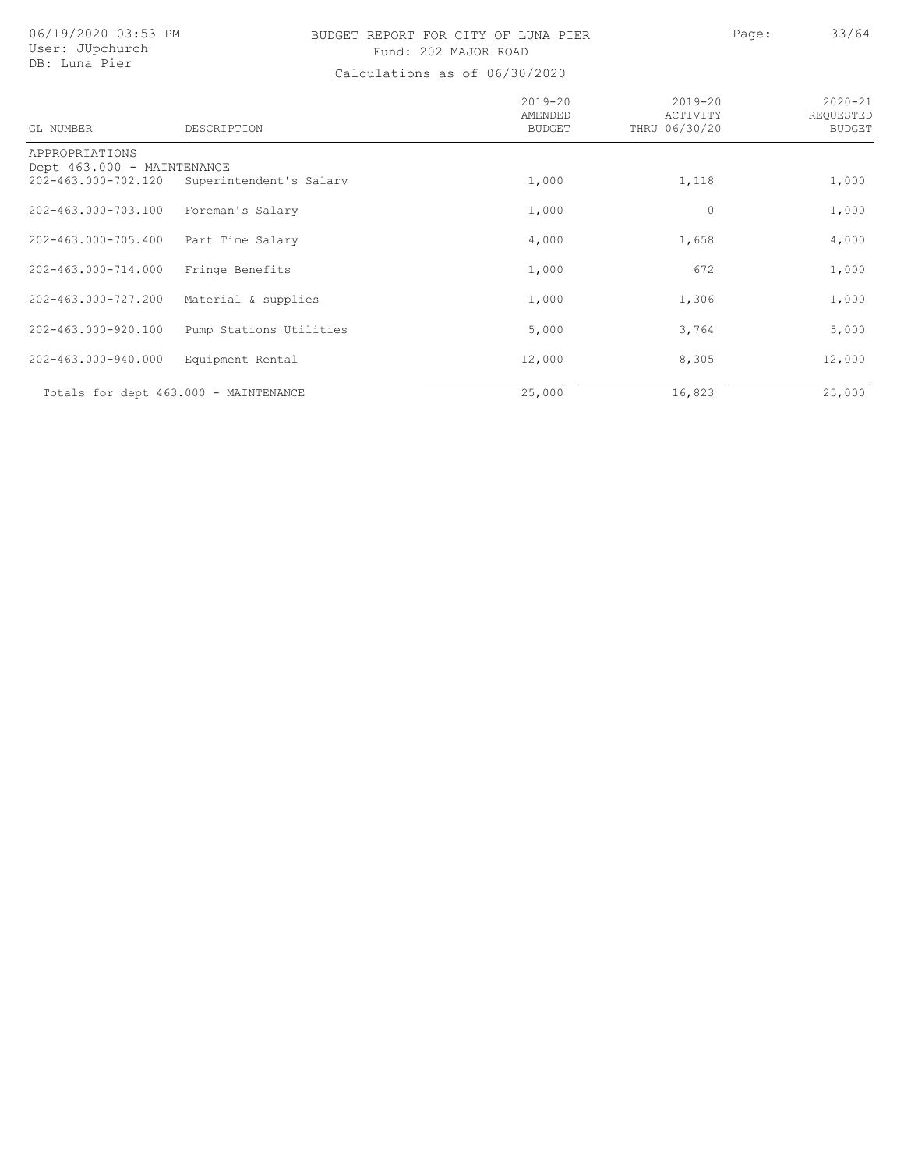# BUDGET REPORT FOR CITY OF LUNA PIER Page: 33/64 Fund: 202 MAJOR ROAD

| GL NUMBER                                    | DESCRIPTION             | $2019 - 20$<br>AMENDED<br><b>BUDGET</b> | $2019 - 20$<br>ACTIVITY<br>THRU 06/30/20 | $2020 - 21$<br>REOUESTED<br><b>BUDGET</b> |
|----------------------------------------------|-------------------------|-----------------------------------------|------------------------------------------|-------------------------------------------|
| APPROPRIATIONS<br>Dept 463.000 - MAINTENANCE |                         |                                         |                                          |                                           |
| 202-463.000-702.120                          | Superintendent's Salary | 1,000                                   | 1,118                                    | 1,000                                     |
| 202-463.000-703.100                          | Foreman's Salary        | 1,000                                   | $\circ$                                  | 1,000                                     |
| 202-463.000-705.400                          | Part Time Salary        | 4,000                                   | 1,658                                    | 4,000                                     |
| 202-463.000-714.000                          | Fringe Benefits         | 1,000                                   | 672                                      | 1,000                                     |
| 202-463.000-727.200                          | Material & supplies     | 1,000                                   | 1,306                                    | 1,000                                     |
| 202-463.000-920.100                          | Pump Stations Utilities | 5,000                                   | 3,764                                    | 5,000                                     |
| 202-463.000-940.000                          | Equipment Rental        | 12,000                                  | 8,305                                    | 12,000                                    |
| Totals for dept 463.000 - MAINTENANCE        |                         | 25,000                                  | 16,823                                   | 25,000                                    |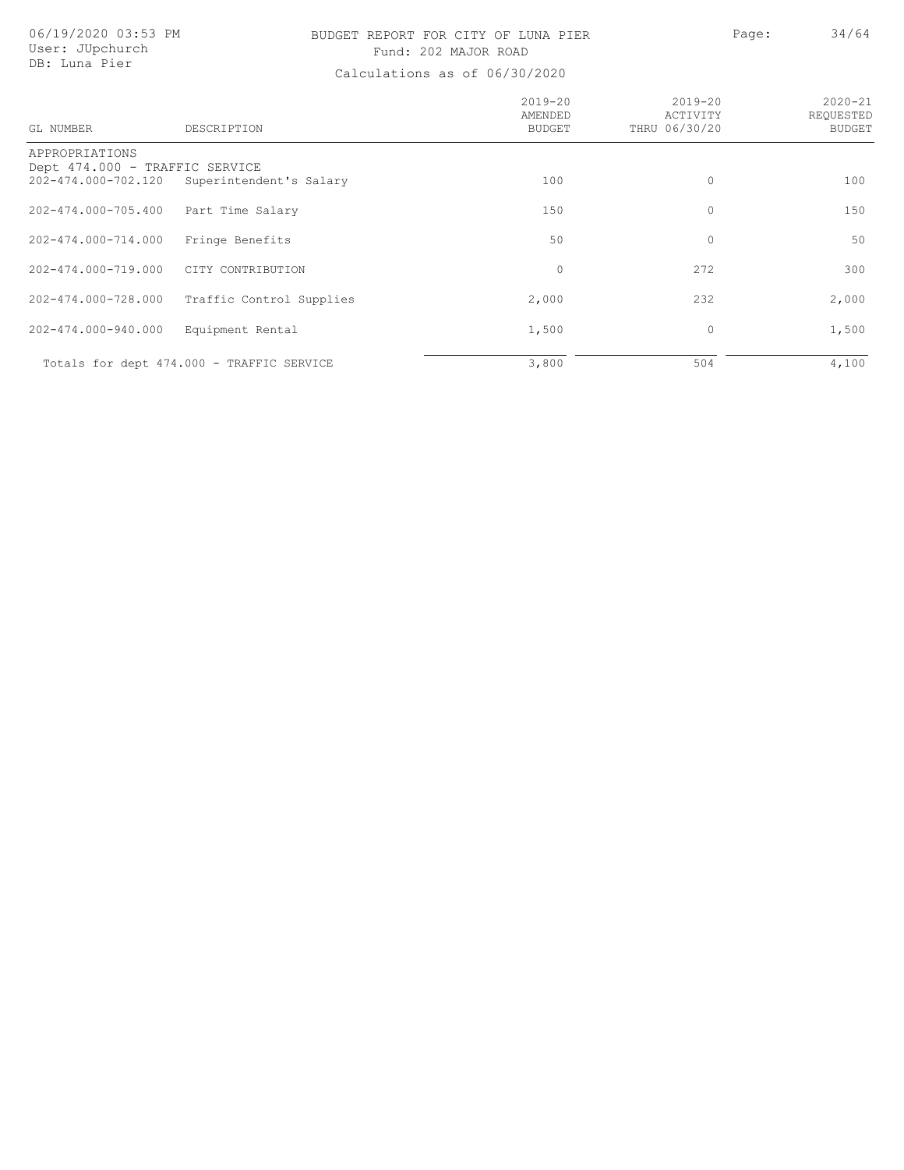## BUDGET REPORT FOR CITY OF LUNA PIER PAGE: Page: 34/64 Fund: 202 MAJOR ROAD

| GL NUMBER                                             | DESCRIPTION                               | $2019 - 20$<br>AMENDED<br><b>BUDGET</b> | $2019 - 20$<br>ACTIVITY<br>THRU 06/30/20 | $2020 - 21$<br>REOUESTED<br><b>BUDGET</b> |
|-------------------------------------------------------|-------------------------------------------|-----------------------------------------|------------------------------------------|-------------------------------------------|
| APPROPRIATIONS                                        |                                           |                                         |                                          |                                           |
| Dept 474.000 - TRAFFIC SERVICE<br>202-474.000-702.120 | Superintendent's Salary                   | 100                                     | $\circ$                                  | 100                                       |
| 202-474.000-705.400                                   | Part Time Salary                          | 150                                     | 0                                        | 150                                       |
| 202-474.000-714.000                                   | Fringe Benefits                           | 50                                      | $\mathbf{0}$                             | 50                                        |
| 202-474.000-719.000                                   | CITY CONTRIBUTION                         | $\circ$                                 | 272                                      | 300                                       |
| 202-474.000-728.000                                   | Traffic Control Supplies                  | 2,000                                   | 232                                      | 2,000                                     |
| 202-474.000-940.000                                   | Equipment Rental                          | 1,500                                   | 0                                        | 1,500                                     |
|                                                       | Totals for dept 474.000 - TRAFFIC SERVICE | 3,800                                   | 504                                      | 4,100                                     |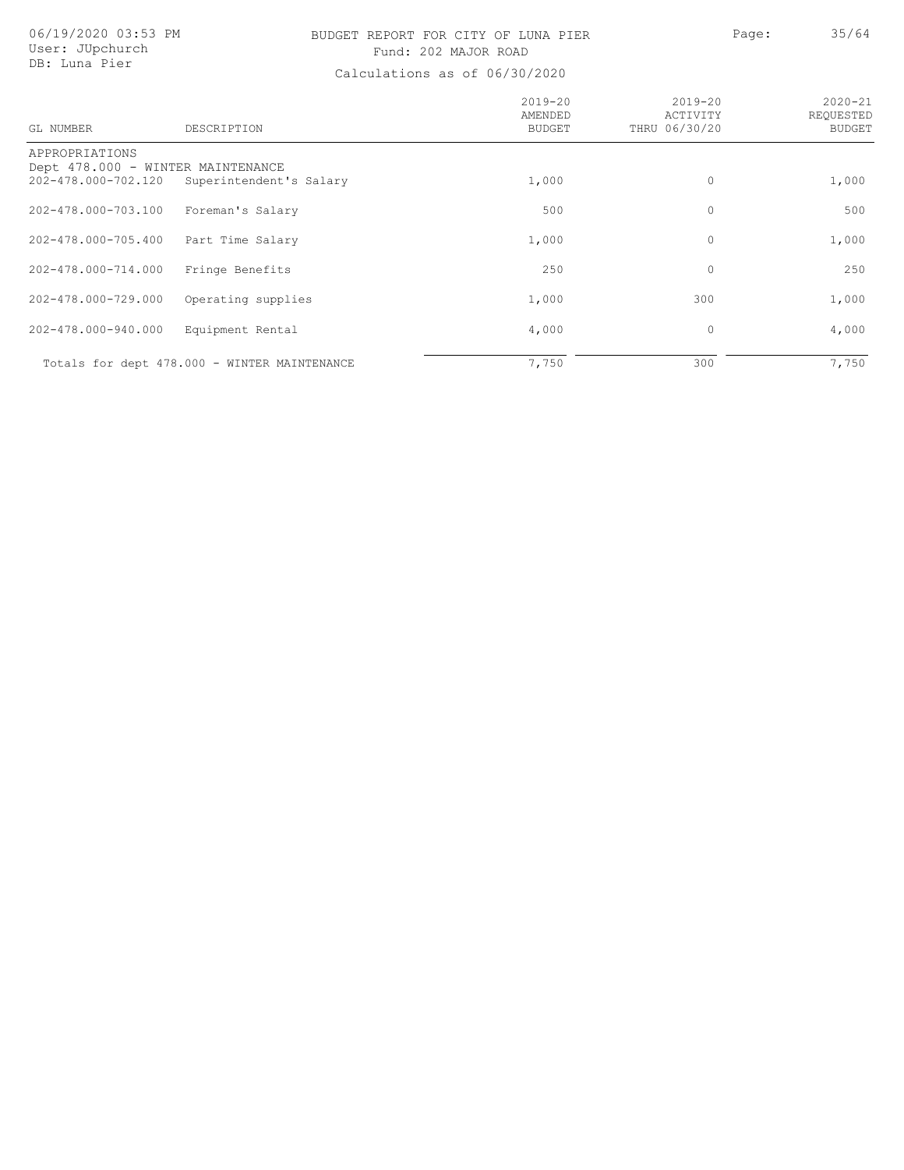## BUDGET REPORT FOR CITY OF LUNA PIER PAGE: Page: 35/64 Fund: 202 MAJOR ROAD

| GL NUMBER                                                | DESCRIPTION                                  | $2019 - 20$<br>AMENDED<br><b>BUDGET</b> | $2019 - 20$<br>ACTIVITY<br>THRU 06/30/20 | $2020 - 21$<br>REOUESTED<br><b>BUDGET</b> |
|----------------------------------------------------------|----------------------------------------------|-----------------------------------------|------------------------------------------|-------------------------------------------|
| APPROPRIATIONS                                           |                                              |                                         |                                          |                                           |
| Dept 478.000 - WINTER MAINTENANCE<br>202-478.000-702.120 | Superintendent's Salary                      | 1,000                                   | 0                                        | 1,000                                     |
| 202-478.000-703.100                                      | Foreman's Salary                             | 500                                     | 0                                        | 500                                       |
| 202-478.000-705.400                                      | Part Time Salary                             | 1,000                                   | $\mathbf 0$                              | 1,000                                     |
| 202-478.000-714.000                                      | Fringe Benefits                              | 250                                     | 0                                        | 250                                       |
| 202-478.000-729.000                                      | Operating supplies                           | 1,000                                   | 300                                      | 1,000                                     |
| 202-478.000-940.000                                      | Equipment Rental                             | 4,000                                   | 0                                        | 4,000                                     |
|                                                          | Totals for dept 478.000 - WINTER MAINTENANCE | 7,750                                   | 300                                      | 7,750                                     |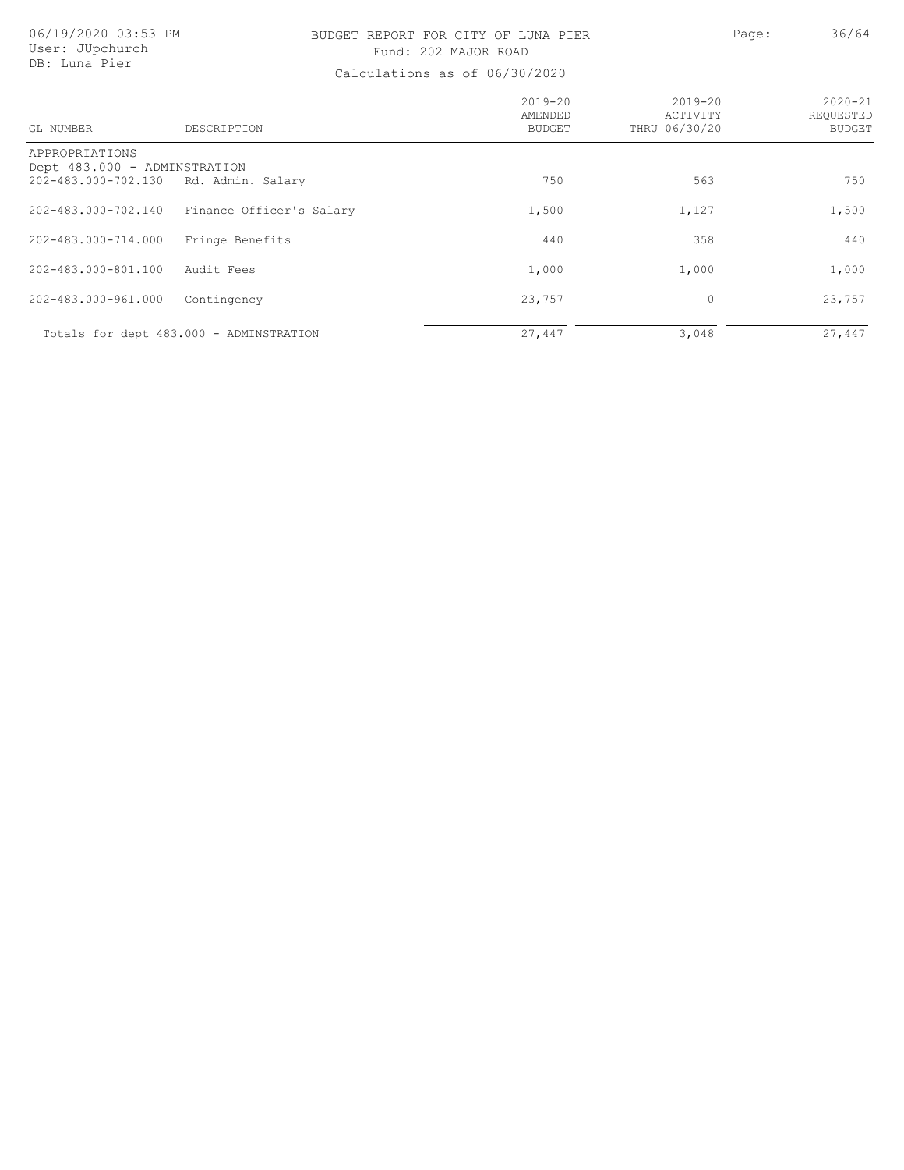## BUDGET REPORT FOR CITY OF LUNA PIER PAGE: Page: 36/64 Fund: 202 MAJOR ROAD

| GL NUMBER                                                             | DESCRIPTION                             | $2019 - 20$<br>AMENDED<br>BUDGET | $2019 - 20$<br>ACTIVITY<br>THRU 06/30/20 | $2020 - 21$<br>REQUESTED<br><b>BUDGET</b> |
|-----------------------------------------------------------------------|-----------------------------------------|----------------------------------|------------------------------------------|-------------------------------------------|
| APPROPRIATIONS<br>Dept 483.000 - ADMINSTRATION<br>202-483.000-702.130 | Rd. Admin. Salary                       | 750                              | 563                                      | 750                                       |
| 202-483.000-702.140                                                   | Finance Officer's Salary                | 1,500                            | 1,127                                    | 1,500                                     |
| 202-483.000-714.000                                                   | Fringe Benefits                         | 440                              | 358                                      | 440                                       |
| 202-483.000-801.100                                                   | Audit Fees                              | 1,000                            | 1,000                                    | 1,000                                     |
| 202-483.000-961.000                                                   | Contingency                             | 23,757                           | 0                                        | 23,757                                    |
|                                                                       | Totals for dept 483.000 - ADMINSTRATION | 27,447                           | 3,048                                    | 27,447                                    |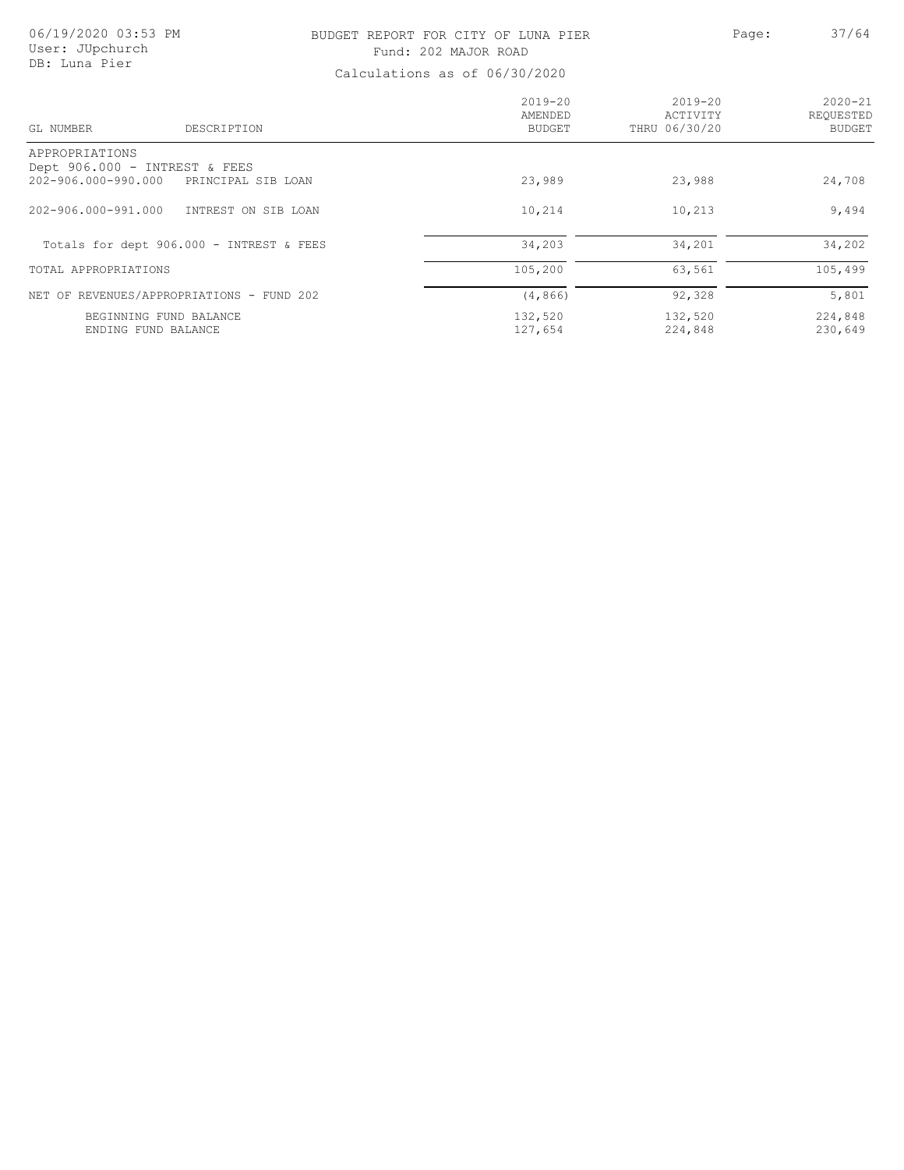### BUDGET REPORT FOR CITY OF LUNA PIER PAGE: 27/64 Fund: 202 MAJOR ROAD

| GL NUMBER                     | DESCRIPTION                               | $2019 - 20$<br>AMENDED<br>BUDGET | $2019 - 20$<br>ACTIVITY<br>THRU 06/30/20 | $2020 - 21$<br>REOUESTED<br><b>BUDGET</b> |
|-------------------------------|-------------------------------------------|----------------------------------|------------------------------------------|-------------------------------------------|
| APPROPRIATIONS                |                                           |                                  |                                          |                                           |
| Dept 906.000 - INTREST & FEES |                                           |                                  |                                          |                                           |
| 202-906.000-990.000           | PRINCIPAL SIB LOAN                        | 23,989                           | 23,988                                   | 24,708                                    |
| 202-906.000-991.000           | INTREST ON SIB LOAN                       | 10,214                           | 10,213                                   | 9,494                                     |
|                               | Totals for dept 906.000 - INTREST & FEES  | 34,203                           | 34,201                                   | 34,202                                    |
| TOTAL APPROPRIATIONS          |                                           | 105,200                          | 63,561                                   | 105,499                                   |
|                               | NET OF REVENUES/APPROPRIATIONS - FUND 202 | (4, 866)                         | 92,328                                   | 5,801                                     |
|                               | BEGINNING FUND BALANCE                    | 132,520                          | 132,520                                  | 224,848                                   |
| ENDING FUND BALANCE           |                                           | 127,654                          | 224,848                                  | 230,649                                   |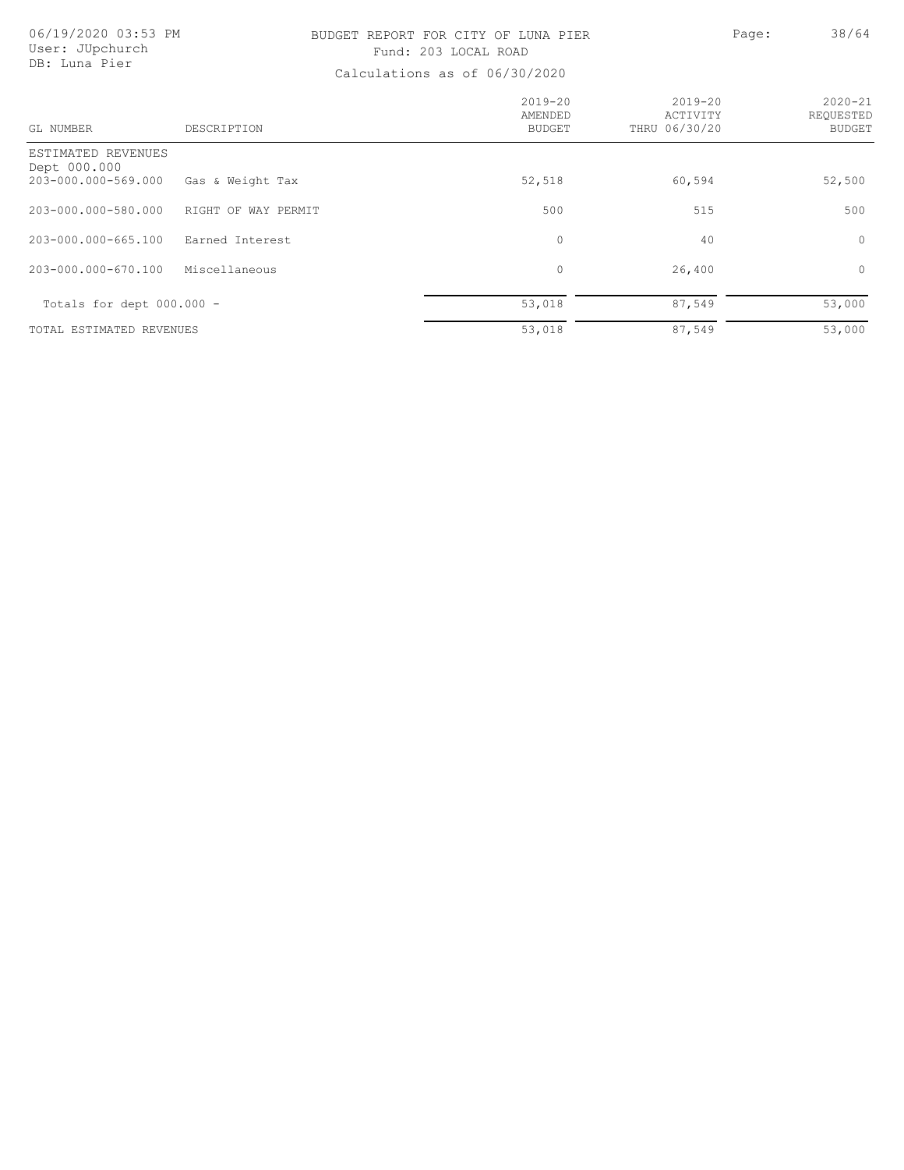## BUDGET REPORT FOR CITY OF LUNA PIER PAGE: Page: 38/64 Fund: 203 LOCAL ROAD

| GL NUMBER                                                 | DESCRIPTION         | $2019 - 20$<br>AMENDED<br><b>BUDGET</b> | $2019 - 20$<br>ACTIVITY<br>THRU 06/30/20 | $2020 - 21$<br>REQUESTED<br><b>BUDGET</b> |
|-----------------------------------------------------------|---------------------|-----------------------------------------|------------------------------------------|-------------------------------------------|
| ESTIMATED REVENUES<br>Dept 000.000<br>203-000.000-569.000 | Gas & Weight Tax    | 52,518                                  | 60,594                                   | 52,500                                    |
| 203-000.000-580.000                                       | RIGHT OF WAY PERMIT | 500                                     | 515                                      | 500                                       |
| 203-000.000-665.100                                       | Earned Interest     | $\mathbf{0}$                            | 40                                       | $\circ$                                   |
| 203-000.000-670.100                                       | Miscellaneous       | $\circ$                                 | 26,400                                   | $\circ$                                   |
| Totals for dept $000.000 -$                               |                     | 53,018                                  | 87,549                                   | 53,000                                    |
| TOTAL ESTIMATED REVENUES                                  |                     | 53,018                                  | 87,549                                   | 53,000                                    |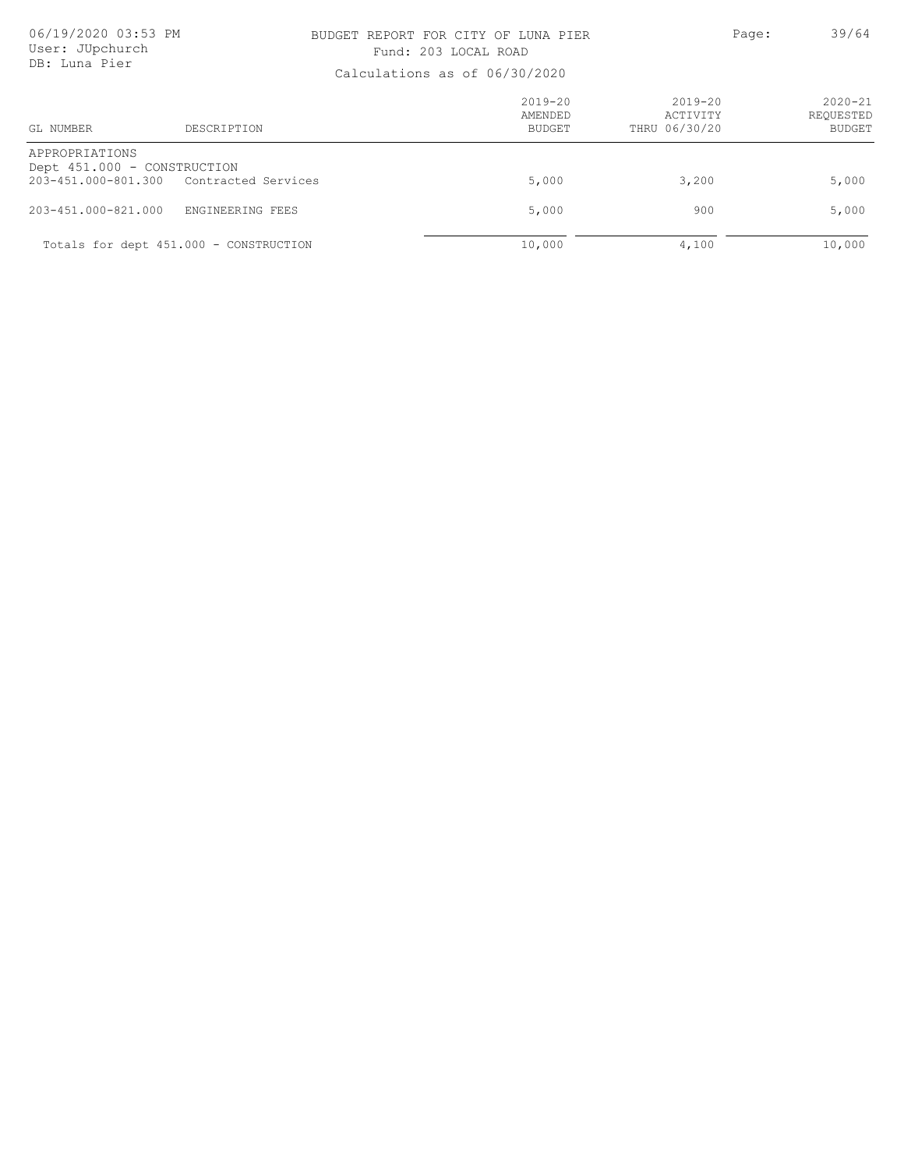### BUDGET REPORT FOR CITY OF LUNA PIER PAGE: Page: 39/64 Fund: 203 LOCAL ROAD

| GL NUMBER<br>DESCRIPTION                                                                 |                  | $2019 - 20$<br>AMENDED<br>BUDGET | 2019-20<br>ACTIVITY<br>THRU 06/30/20 | $2020 - 21$<br>REOUESTED<br><b>BUDGET</b> |
|------------------------------------------------------------------------------------------|------------------|----------------------------------|--------------------------------------|-------------------------------------------|
| APPROPRIATIONS<br>Dept 451.000 - CONSTRUCTION<br>203-451.000-801.300 Contracted Services |                  | 5,000                            | 3,200                                | 5,000                                     |
| 203-451.000-821.000                                                                      | ENGINEERING FEES | 5,000                            | 900                                  | 5,000                                     |
| Totals for dept 451.000 - CONSTRUCTION                                                   |                  | 10,000                           | 4,100                                | 10,000                                    |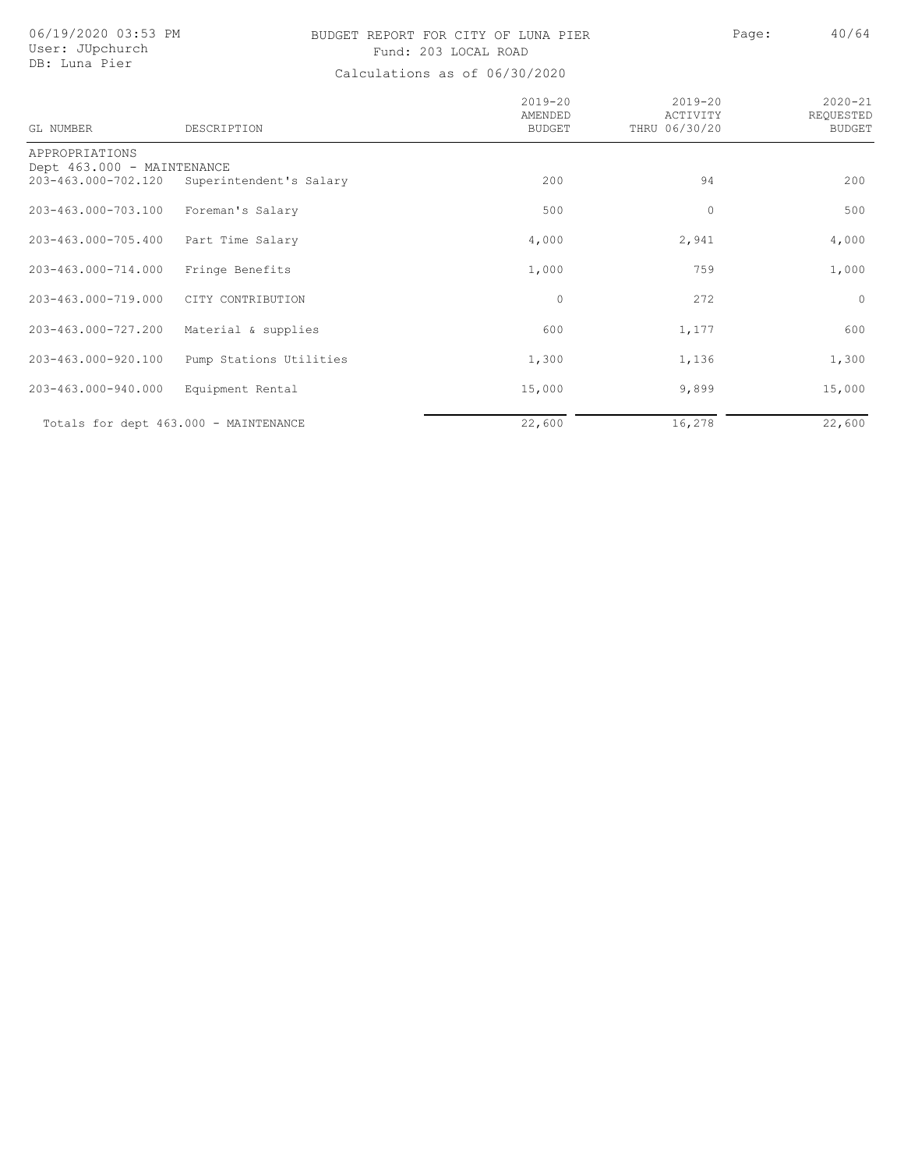# User: JUpchurch DB: Luna Pier

## 06/19/2020 03:53 PM BUDGET REPORT FOR CITY OF LUNA PIER Page: 40/64 Fund: 203 LOCAL ROAD

| GL NUMBER                                         | DESCRIPTION                           | $2019 - 20$<br>AMENDED<br><b>BUDGET</b> | $2019 - 20$<br>ACTIVITY<br>THRU 06/30/20 | $2020 - 21$<br>REQUESTED<br><b>BUDGET</b> |
|---------------------------------------------------|---------------------------------------|-----------------------------------------|------------------------------------------|-------------------------------------------|
| APPROPRIATIONS                                    |                                       |                                         |                                          |                                           |
| Dept 463.000 - MAINTENANCE<br>203-463.000-702.120 | Superintendent's Salary               | 200                                     | 94                                       | 200                                       |
| 203-463.000-703.100                               | Foreman's Salary                      | 500                                     | 0                                        | 500                                       |
| 203-463.000-705.400                               | Part Time Salary                      | 4,000                                   | 2,941                                    | 4,000                                     |
| 203-463.000-714.000                               | Fringe Benefits                       | 1,000                                   | 759                                      | 1,000                                     |
| 203-463.000-719.000                               | CITY CONTRIBUTION                     | $\circ$                                 | 272                                      | $\circ$                                   |
| 203-463.000-727.200                               | Material & supplies                   | 600                                     | 1,177                                    | 600                                       |
| 203-463.000-920.100                               | Pump Stations Utilities               | 1,300                                   | 1,136                                    | 1,300                                     |
| 203-463.000-940.000                               | Equipment Rental                      | 15,000                                  | 9,899                                    | 15,000                                    |
|                                                   | Totals for dept 463.000 - MAINTENANCE | 22,600                                  | 16,278                                   | 22,600                                    |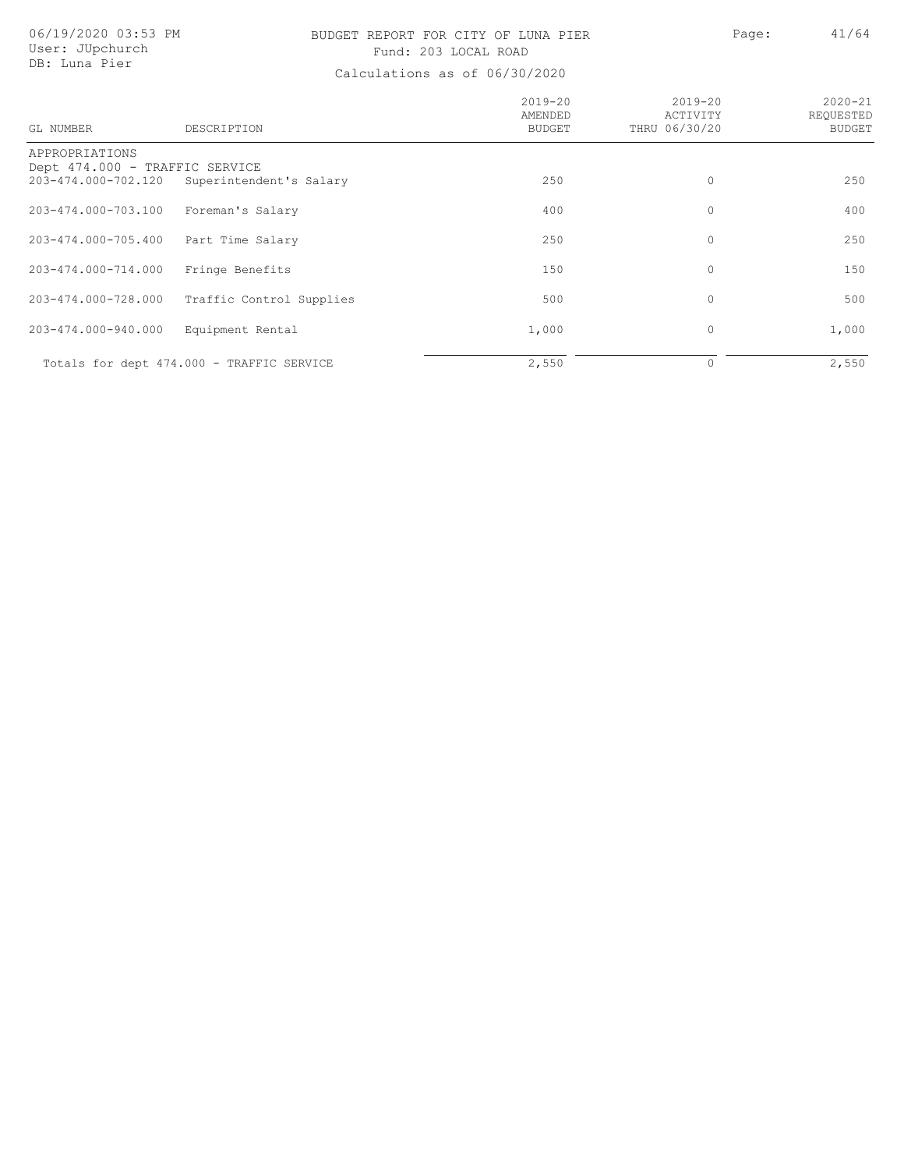### BUDGET REPORT FOR CITY OF LUNA PIER PAGE: 41/64 Fund: 203 LOCAL ROAD

| GL NUMBER                                             | DESCRIPTION                               | $2019 - 20$<br>AMENDED<br><b>BUDGET</b> | $2019 - 20$<br>ACTIVITY<br>THRU 06/30/20 | $2020 - 21$<br>REOUESTED<br><b>BUDGET</b> |
|-------------------------------------------------------|-------------------------------------------|-----------------------------------------|------------------------------------------|-------------------------------------------|
| APPROPRIATIONS                                        |                                           |                                         |                                          |                                           |
| Dept 474.000 - TRAFFIC SERVICE<br>203-474.000-702.120 | Superintendent's Salary                   | 250                                     | 0                                        | 250                                       |
|                                                       |                                           |                                         |                                          |                                           |
| 203-474.000-703.100                                   | Foreman's Salary                          | 400                                     | 0                                        | 400                                       |
| 203-474.000-705.400                                   | Part Time Salary                          | 250                                     | $\mathbf 0$                              | 250                                       |
| 203-474.000-714.000                                   | Fringe Benefits                           | 150                                     | 0                                        | 150                                       |
| 203-474.000-728.000                                   | Traffic Control Supplies                  | 500                                     | 0                                        | 500                                       |
| 203-474.000-940.000                                   | Equipment Rental                          | 1,000                                   | $\circ$                                  | 1,000                                     |
|                                                       | Totals for dept 474.000 - TRAFFIC SERVICE | 2,550                                   | 0                                        | 2,550                                     |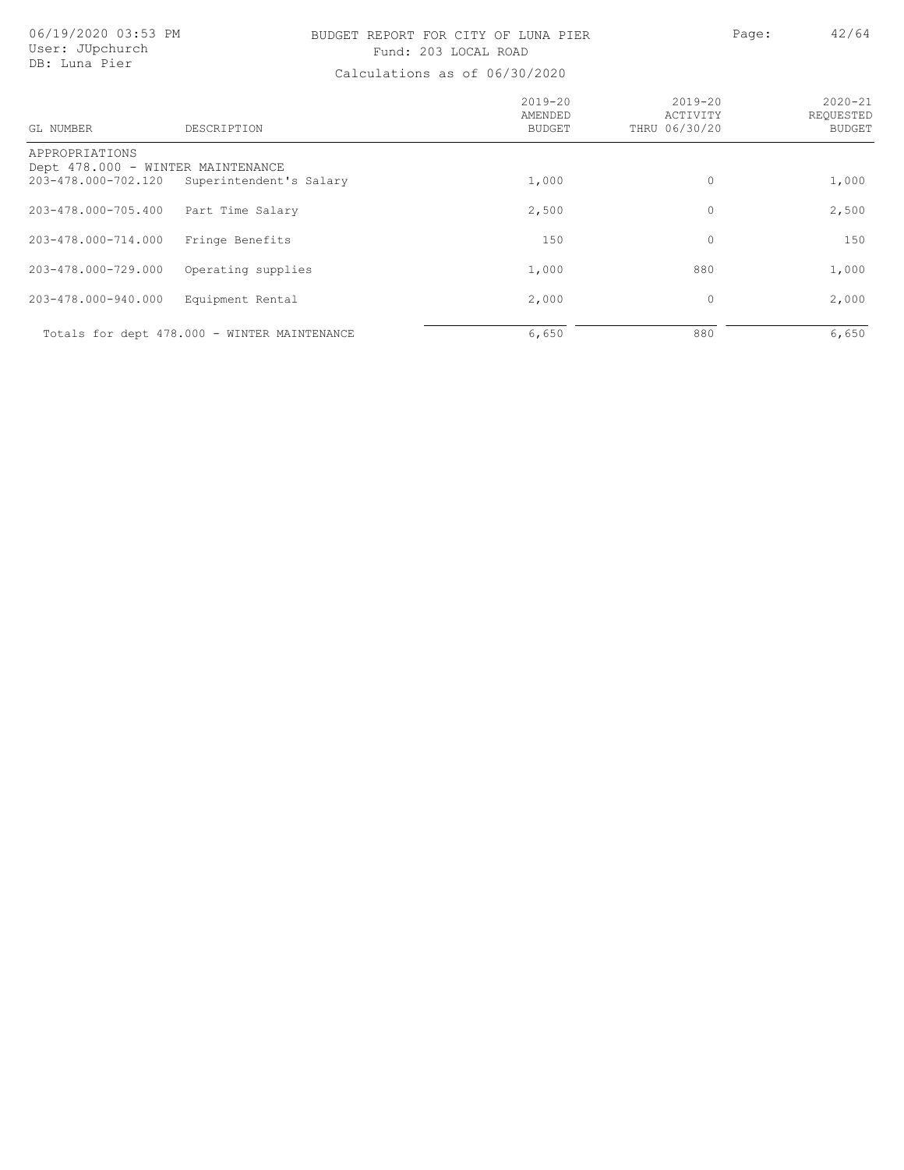### BUDGET REPORT FOR CITY OF LUNA PIER PAGE: 42/64 Fund: 203 LOCAL ROAD

| GL NUMBER                             | DESCRIPTION                                                  | $2019 - 20$<br>AMENDED<br>BUDGET | $2019 - 20$<br>ACTIVITY<br>THRU 06/30/20 | $2020 - 21$<br>REQUESTED<br><b>BUDGET</b> |
|---------------------------------------|--------------------------------------------------------------|----------------------------------|------------------------------------------|-------------------------------------------|
| APPROPRIATIONS<br>203-478.000-702.120 | Dept 478.000 - WINTER MAINTENANCE<br>Superintendent's Salary | 1,000                            | 0                                        | 1,000                                     |
| 203-478.000-705.400                   | Part Time Salary                                             | 2,500                            | 0                                        | 2,500                                     |
| 203-478.000-714.000                   | Fringe Benefits                                              | 150                              | 0                                        | 150                                       |
| 203-478.000-729.000                   | Operating supplies                                           | 1,000                            | 880                                      | 1,000                                     |
| 203-478.000-940.000                   | Equipment Rental                                             | 2,000                            | 0                                        | 2,000                                     |
|                                       | Totals for dept 478.000 - WINTER MAINTENANCE                 | 6,650                            | 880                                      | 6,650                                     |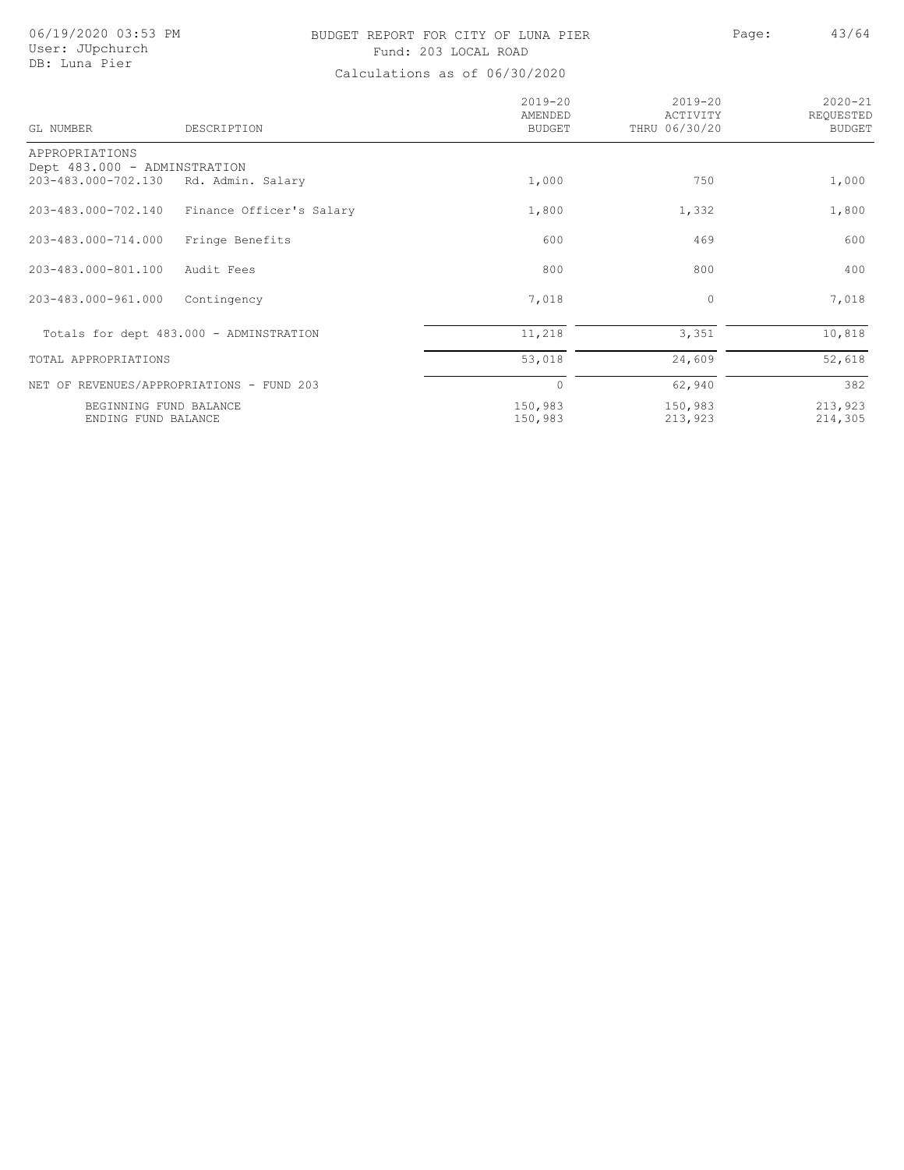# User: JUpchurch DB: Luna Pier

### 06/19/2020 03:53 PM BUDGET REPORT FOR CITY OF LUNA PIER Page: 43/64 Fund: 203 LOCAL ROAD

| GL NUMBER                                           | DESCRIPTION                               | $2019 - 20$<br>AMENDED<br><b>BUDGET</b> | $2019 - 20$<br>ACTIVITY<br>THRU 06/30/20 | $2020 - 21$<br>REQUESTED<br><b>BUDGET</b> |
|-----------------------------------------------------|-------------------------------------------|-----------------------------------------|------------------------------------------|-------------------------------------------|
| APPROPRIATIONS                                      |                                           |                                         |                                          |                                           |
| Dept 483.000 - ADMINSTRATION<br>203-483.000-702.130 | Rd. Admin. Salary                         | 1,000                                   | 750                                      | 1,000                                     |
|                                                     |                                           |                                         |                                          |                                           |
| 203-483.000-702.140                                 | Finance Officer's Salary                  | 1,800                                   | 1,332                                    | 1,800                                     |
| 203-483.000-714.000                                 | Fringe Benefits                           | 600                                     | 469                                      | 600                                       |
| 203-483.000-801.100                                 | Audit Fees                                | 800                                     | 800                                      | 400                                       |
| 203-483.000-961.000                                 | Contingency                               | 7,018                                   | 0                                        | 7,018                                     |
|                                                     | Totals for dept 483.000 - ADMINSTRATION   | 11,218                                  | 3,351                                    | 10,818                                    |
| TOTAL APPROPRIATIONS                                |                                           | 53,018                                  | 24,609                                   | 52,618                                    |
|                                                     | NET OF REVENUES/APPROPRIATIONS - FUND 203 | $\circ$                                 | 62,940                                   | 382                                       |
|                                                     | BEGINNING FUND BALANCE                    | 150,983                                 | 150,983                                  | 213,923                                   |
|                                                     | ENDING FUND BALANCE                       | 150,983                                 | 213,923                                  | 214,305                                   |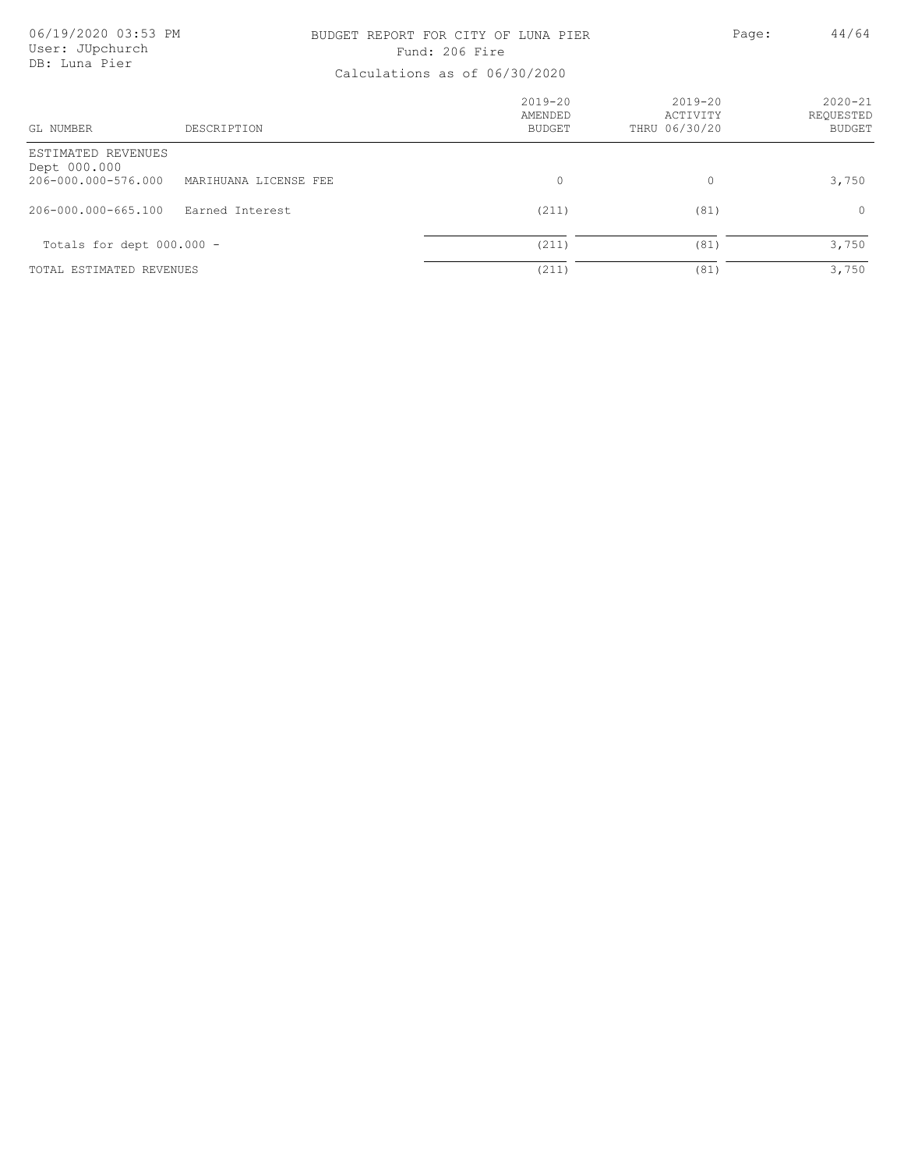## BUDGET REPORT FOR CITY OF LUNA PIER PAGE: Page: 44/64 Fund: 206 Fire

| GL NUMBER                          | DESCRIPTION           | 2019-20<br>AMENDED<br><b>BUDGET</b> | 2019-20<br>ACTIVITY<br>THRU 06/30/20 | $2020 - 21$<br>REOUESTED<br><b>BUDGET</b> |
|------------------------------------|-----------------------|-------------------------------------|--------------------------------------|-------------------------------------------|
| ESTIMATED REVENUES<br>Dept 000.000 |                       |                                     |                                      |                                           |
| 206-000.000-576.000                | MARIHUANA LICENSE FEE | 0                                   | 0                                    | 3,750                                     |
| 206-000.000-665.100                | Earned Interest       | (211)                               | (81)                                 | $\circ$                                   |
| Totals for dept $000.000 -$        |                       | (211)                               | (81)                                 | 3,750                                     |
| TOTAL ESTIMATED REVENUES           |                       | (211)                               | (81)                                 | 3,750                                     |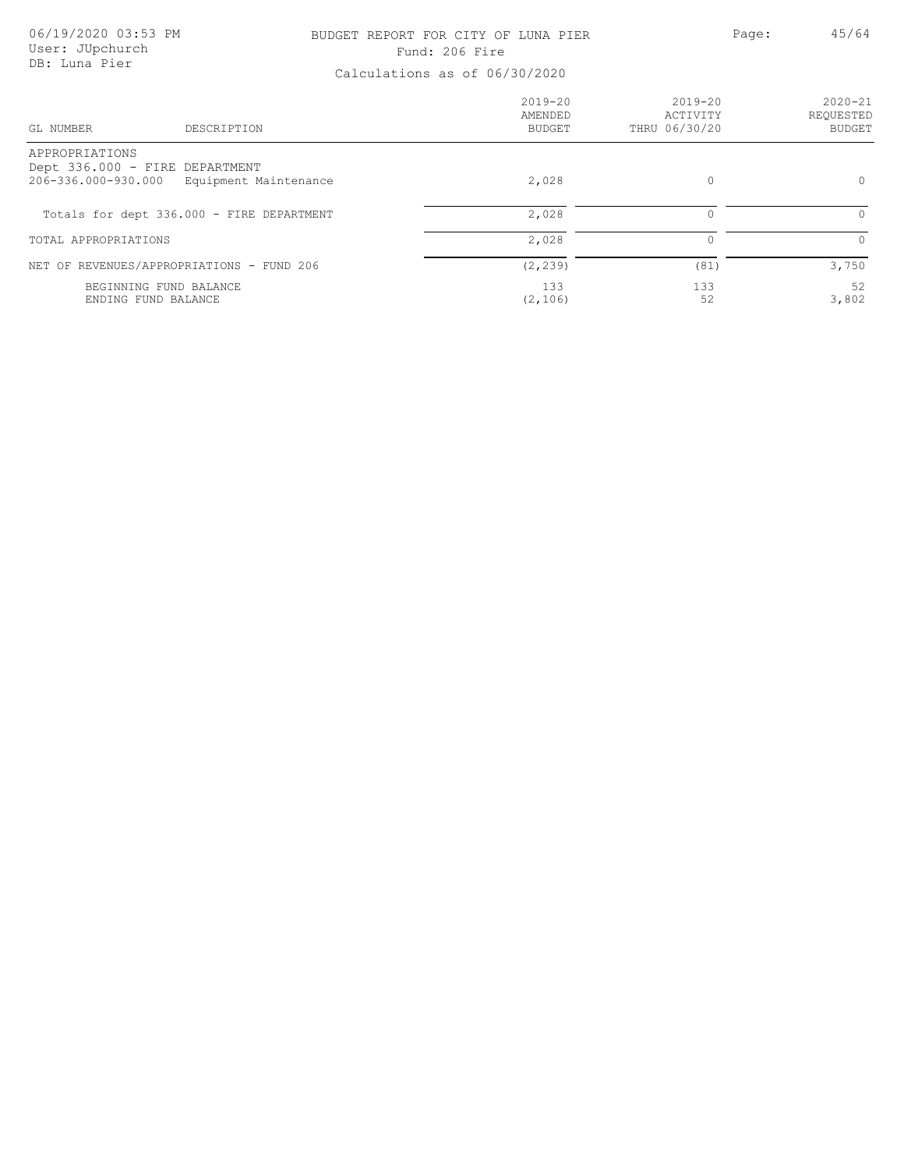### BUDGET REPORT FOR CITY OF LUNA PIER PAGE: Page: 45/64 Fund: 206 Fire

| DESCRIPTION<br>GL NUMBER                                                                         | $2019 - 20$<br>AMENDED<br><b>BUDGET</b> | $2019 - 20$<br>ACTIVITY<br>THRU 06/30/20 | $2020 - 21$<br>REQUESTED<br><b>BUDGET</b> |
|--------------------------------------------------------------------------------------------------|-----------------------------------------|------------------------------------------|-------------------------------------------|
| APPROPRIATIONS<br>Dept 336.000 - FIRE DEPARTMENT<br>206-336.000-930.000<br>Equipment Maintenance | 2,028                                   | $\circ$                                  | $\circ$                                   |
| Totals for dept 336.000 - FIRE DEPARTMENT                                                        | 2,028                                   |                                          | $\Omega$                                  |
| TOTAL APPROPRIATIONS                                                                             | 2,028                                   |                                          | $\Omega$                                  |
| NET OF REVENUES/APPROPRIATIONS - FUND 206                                                        | (2, 239)                                | (81)                                     | 3,750                                     |
| BEGINNING FUND BALANCE<br>ENDING FUND BALANCE                                                    | 133<br>(2, 106)                         | 133<br>52                                | 52<br>3,802                               |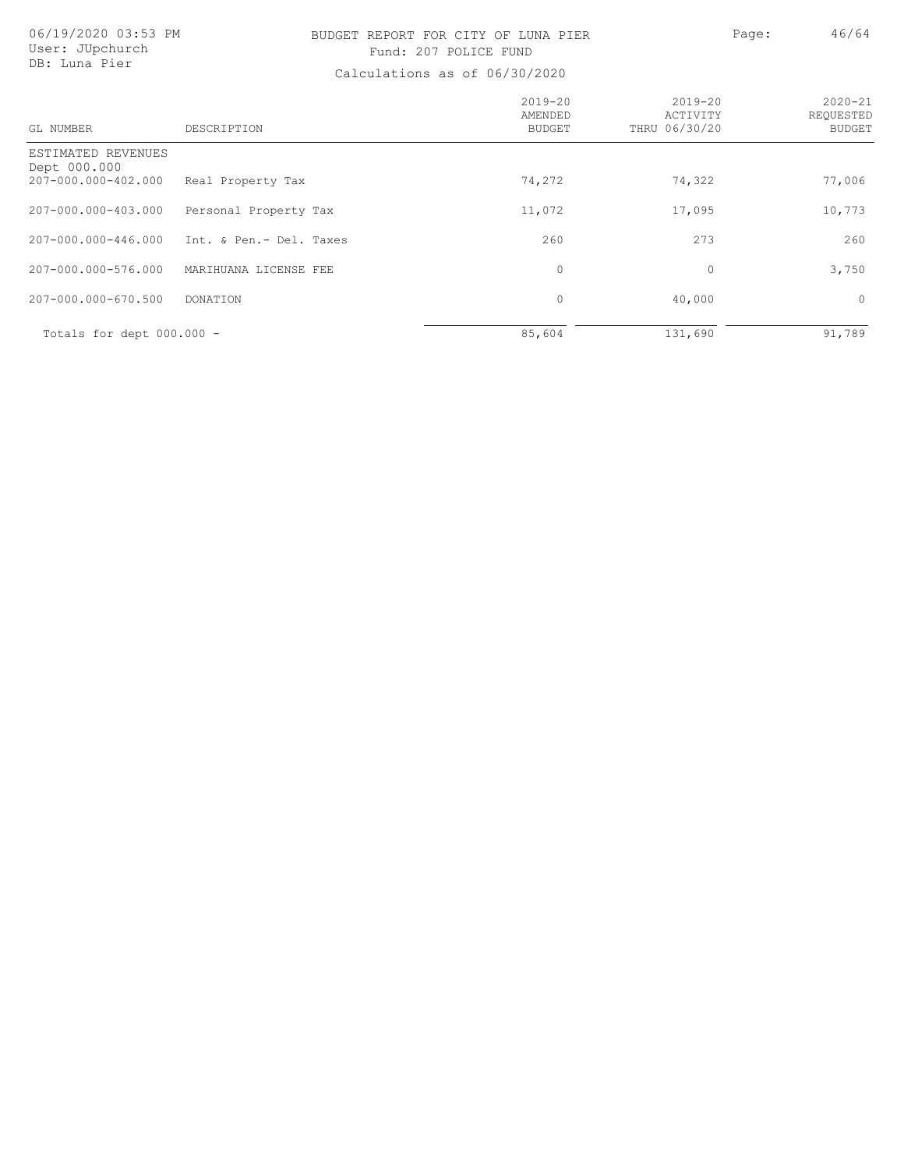## BUDGET REPORT FOR CITY OF LUNA PIER PAGE: Page: 46/64 Fund: 207 POLICE FUND

| GL NUMBER                                                 | DESCRIPTION             | $2019 - 20$<br>AMENDED<br>BUDGET | $2019 - 20$<br>ACTIVITY<br>THRU 06/30/20 | $2020 - 21$<br>REQUESTED<br><b>BUDGET</b> |
|-----------------------------------------------------------|-------------------------|----------------------------------|------------------------------------------|-------------------------------------------|
| ESTIMATED REVENUES<br>Dept 000.000<br>207-000.000-402.000 | Real Property Tax       | 74,272                           | 74,322                                   | 77,006                                    |
| 207-000.000-403.000                                       | Personal Property Tax   | 11,072                           | 17,095                                   | 10,773                                    |
| 207-000.000-446.000                                       | Int. & Pen.- Del. Taxes | 260                              | 273                                      | 260                                       |
| 207-000.000-576.000                                       | MARIHUANA LICENSE FEE   | $\circ$                          | 0                                        | 3,750                                     |
| 207-000.000-670.500                                       | <b>DONATION</b>         | $\circ$                          | 40,000                                   | $\circ$                                   |
| Totals for dept 000.000 -                                 |                         | 85,604                           | 131,690                                  | 91,789                                    |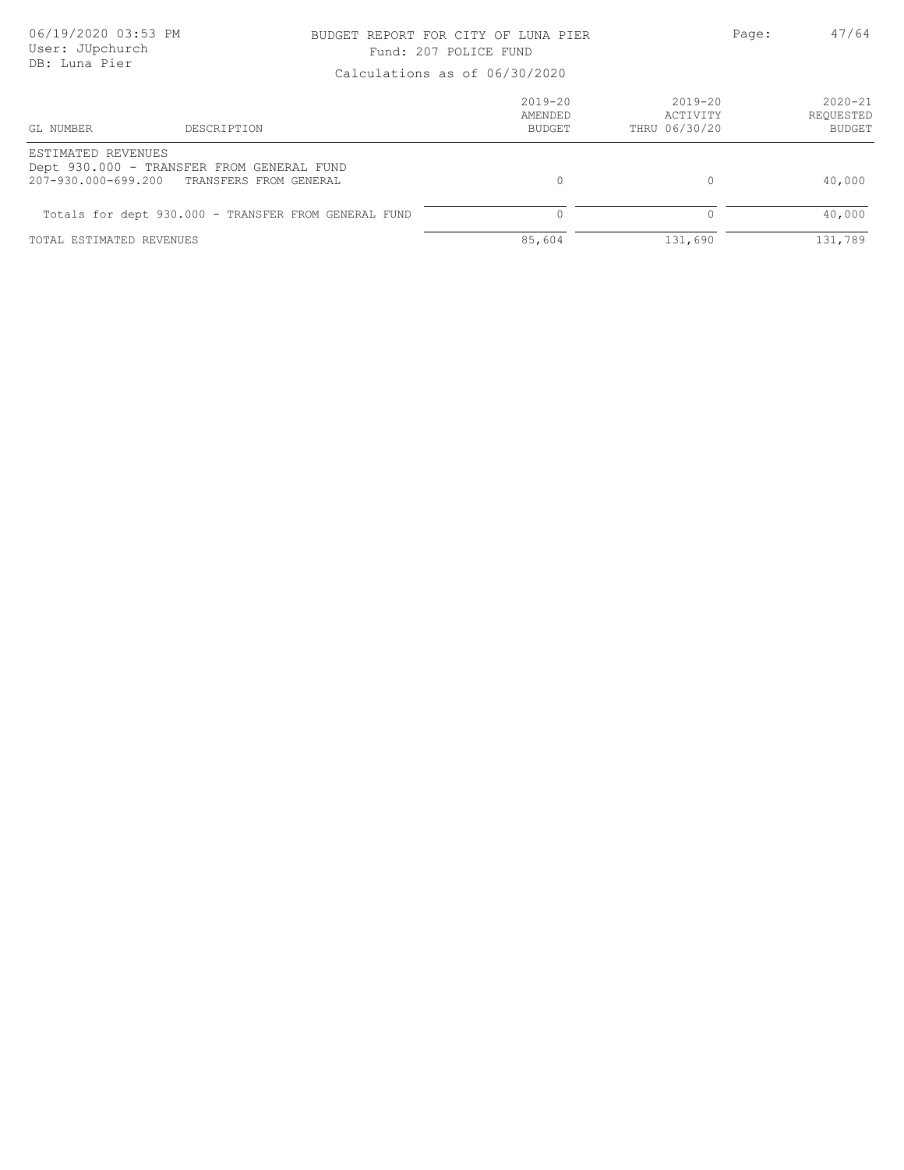### BUDGET REPORT FOR CITY OF LUNA PIER PAGE: 47/64 Fund: 207 POLICE FUND

|                          | Calcalactoric ac of conconcer                                                           |                                  |                                          |                                           |  |
|--------------------------|-----------------------------------------------------------------------------------------|----------------------------------|------------------------------------------|-------------------------------------------|--|
| GL NUMBER                | DESCRIPTION                                                                             | $2019 - 20$<br>AMENDED<br>BUDGET | $2019 - 20$<br>ACTIVITY<br>THRU 06/30/20 | $2020 - 21$<br>REOUESTED<br><b>BUDGET</b> |  |
| ESTIMATED REVENUES       | Dept 930.000 - TRANSFER FROM GENERAL FUND<br>207-930.000-699.200 TRANSFERS FROM GENERAL |                                  |                                          | 40,000                                    |  |
|                          | Totals for dept 930.000 - TRANSFER FROM GENERAL FUND                                    |                                  |                                          | 40,000                                    |  |
| TOTAL ESTIMATED REVENUES |                                                                                         | 85,604                           | 131,690                                  | 131,789                                   |  |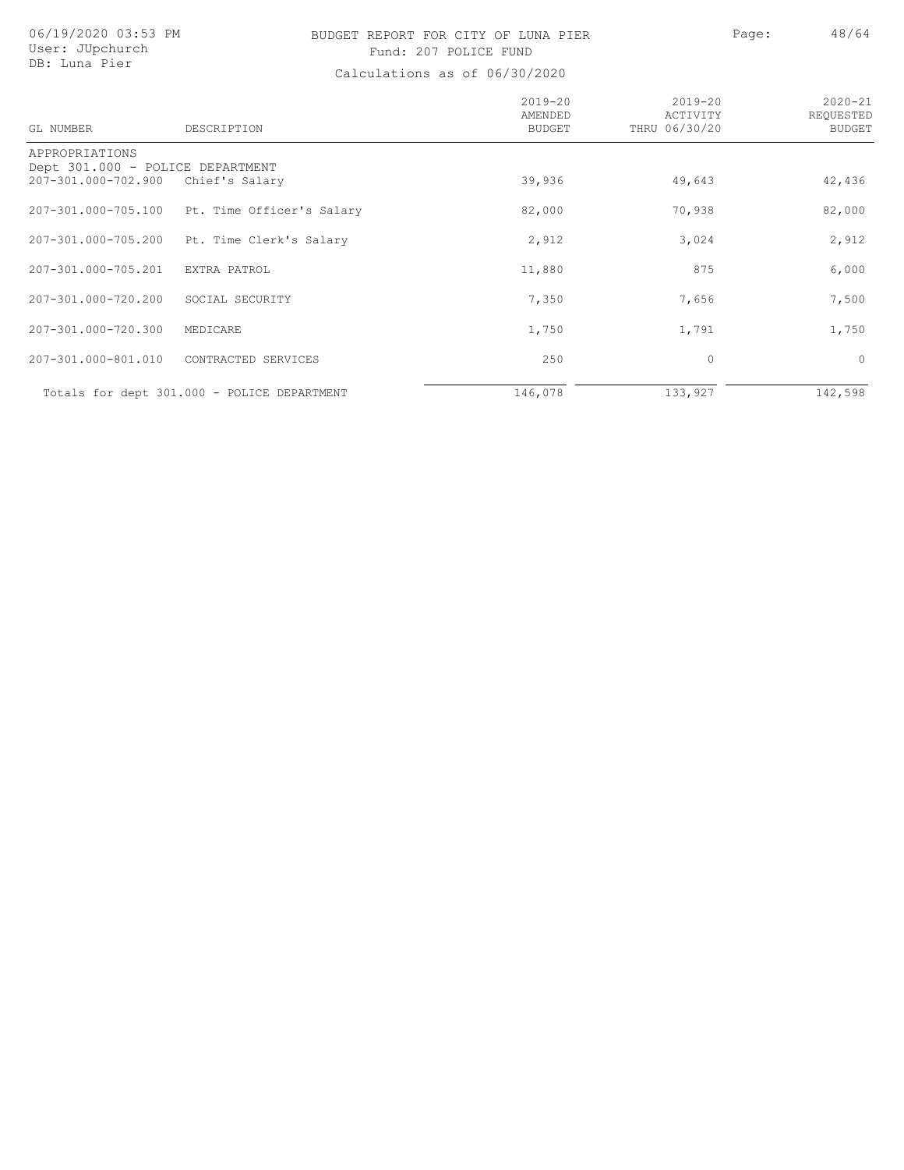# BUDGET REPORT FOR CITY OF LUNA PIER Page: 48/64 Fund: 207 POLICE FUND

| GL NUMBER                                          | DESCRIPTION                                 | $2019 - 20$<br>AMENDED<br><b>BUDGET</b> | $2019 - 20$<br>ACTIVITY<br>THRU 06/30/20 | $2020 - 21$<br>REQUESTED<br><b>BUDGET</b> |
|----------------------------------------------------|---------------------------------------------|-----------------------------------------|------------------------------------------|-------------------------------------------|
| APPROPRIATIONS<br>Dept 301.000 - POLICE DEPARTMENT |                                             |                                         |                                          |                                           |
| 207-301.000-702.900                                | Chief's Salary                              | 39,936                                  | 49,643                                   | 42,436                                    |
| 207-301.000-705.100                                | Pt. Time Officer's Salary                   | 82,000                                  | 70,938                                   | 82,000                                    |
| 207-301.000-705.200                                | Pt. Time Clerk's Salary                     | 2,912                                   | 3,024                                    | 2,912                                     |
| 207-301.000-705.201                                | EXTRA PATROL                                | 11,880                                  | 875                                      | 6,000                                     |
| 207-301.000-720.200                                | SOCIAL SECURITY                             | 7,350                                   | 7,656                                    | 7,500                                     |
| 207-301.000-720.300                                | MEDICARE                                    | 1,750                                   | 1,791                                    | 1,750                                     |
| 207-301.000-801.010                                | CONTRACTED SERVICES                         | 250                                     | 0                                        | $\circ$                                   |
|                                                    | Totals for dept 301.000 - POLICE DEPARTMENT | 146,078                                 | 133,927                                  | 142,598                                   |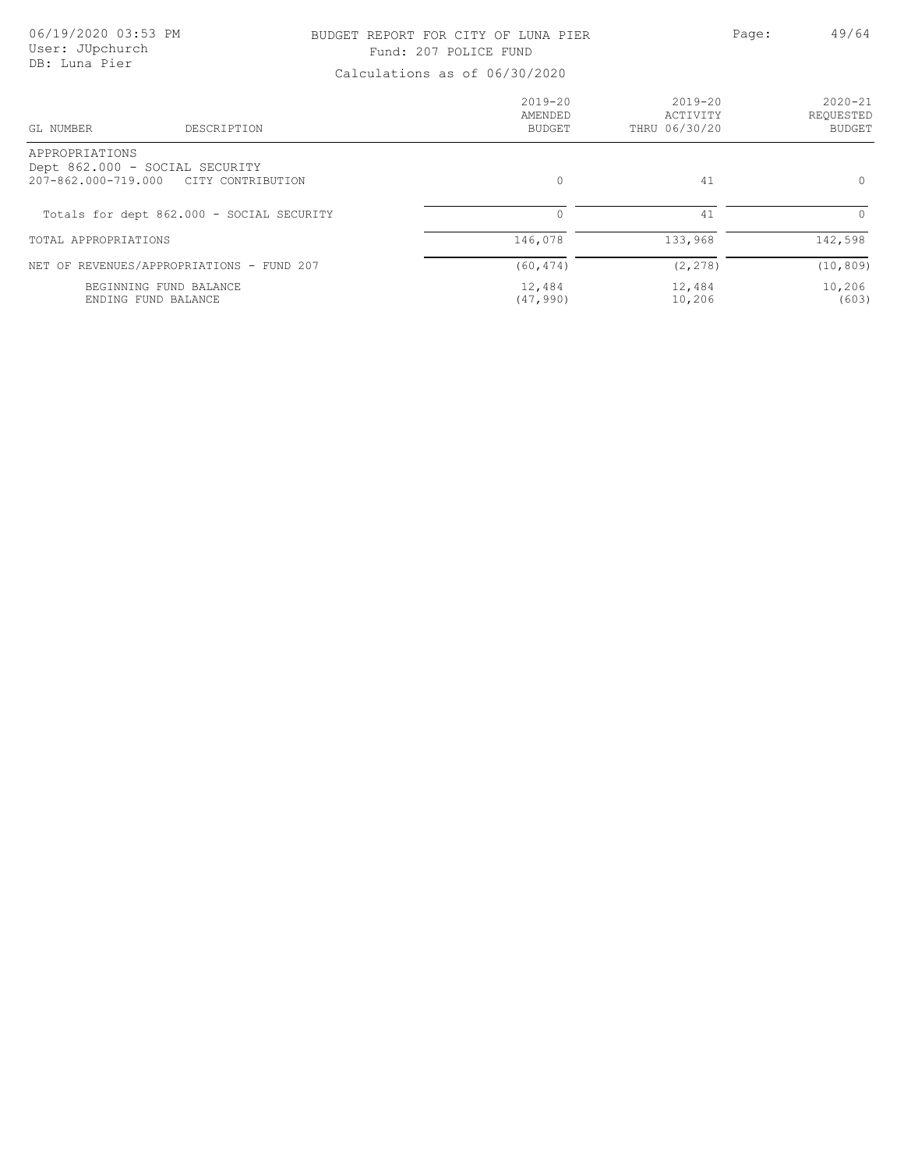### BUDGET REPORT FOR CITY OF LUNA PIER PAGE: A Page: 49/64 Fund: 207 POLICE FUND

| DESCRIPTION<br>GL NUMBER                                                                     | $2019 - 20$<br>AMENDED<br>BUDGET | $2019 - 20$<br>ACTIVITY<br>THRU 06/30/20 | $2020 - 21$<br>REOUESTED<br><b>BUDGET</b> |
|----------------------------------------------------------------------------------------------|----------------------------------|------------------------------------------|-------------------------------------------|
| APPROPRIATIONS<br>Dept 862.000 - SOCIAL SECURITY<br>207-862.000-719.000<br>CITY CONTRIBUTION | $\Omega$                         | 41                                       | $\circ$                                   |
| Totals for dept 862.000 - SOCIAL SECURITY                                                    | 0                                | 41                                       | $\Omega$                                  |
| TOTAL APPROPRIATIONS                                                                         | 146,078                          | 133,968                                  | 142,598                                   |
| NET OF REVENUES/APPROPRIATIONS - FUND 207                                                    | (60, 474)                        | (2, 278)                                 | (10, 809)                                 |
| BEGINNING FUND BALANCE<br>ENDING FUND BALANCE                                                | 12,484<br>(47, 990)              | 12,484<br>10,206                         | 10,206<br>(603)                           |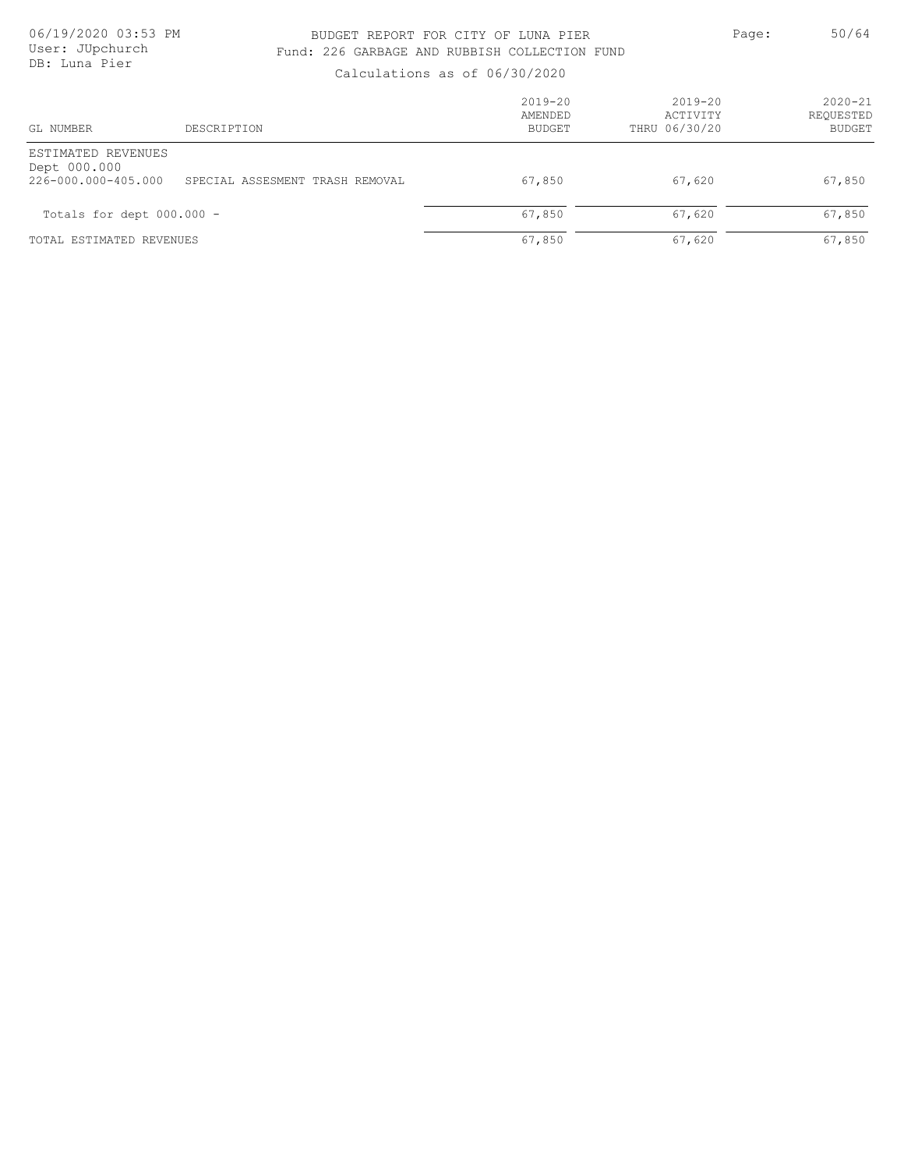### BUDGET REPORT FOR CITY OF LUNA PIER PAGE: 50/64 Fund: 226 GARBAGE AND RUBBISH COLLECTION FUND

| GL NUMBER                                                 | DESCRIPTION                     | $2019 - 20$<br>AMENDED<br>BUDGET | $2019 - 20$<br>ACTIVITY<br>THRU 06/30/20 | $2020 - 21$<br>REOUESTED<br><b>BUDGET</b> |
|-----------------------------------------------------------|---------------------------------|----------------------------------|------------------------------------------|-------------------------------------------|
| ESTIMATED REVENUES<br>Dept 000.000<br>226-000.000-405.000 | SPECIAL ASSESMENT TRASH REMOVAL | 67,850                           | 67,620                                   | 67,850                                    |
| Totals for dept 000.000 -                                 |                                 | 67,850                           | 67,620                                   | 67,850                                    |
| TOTAL ESTIMATED REVENUES                                  |                                 | 67,850                           | 67,620                                   | 67,850                                    |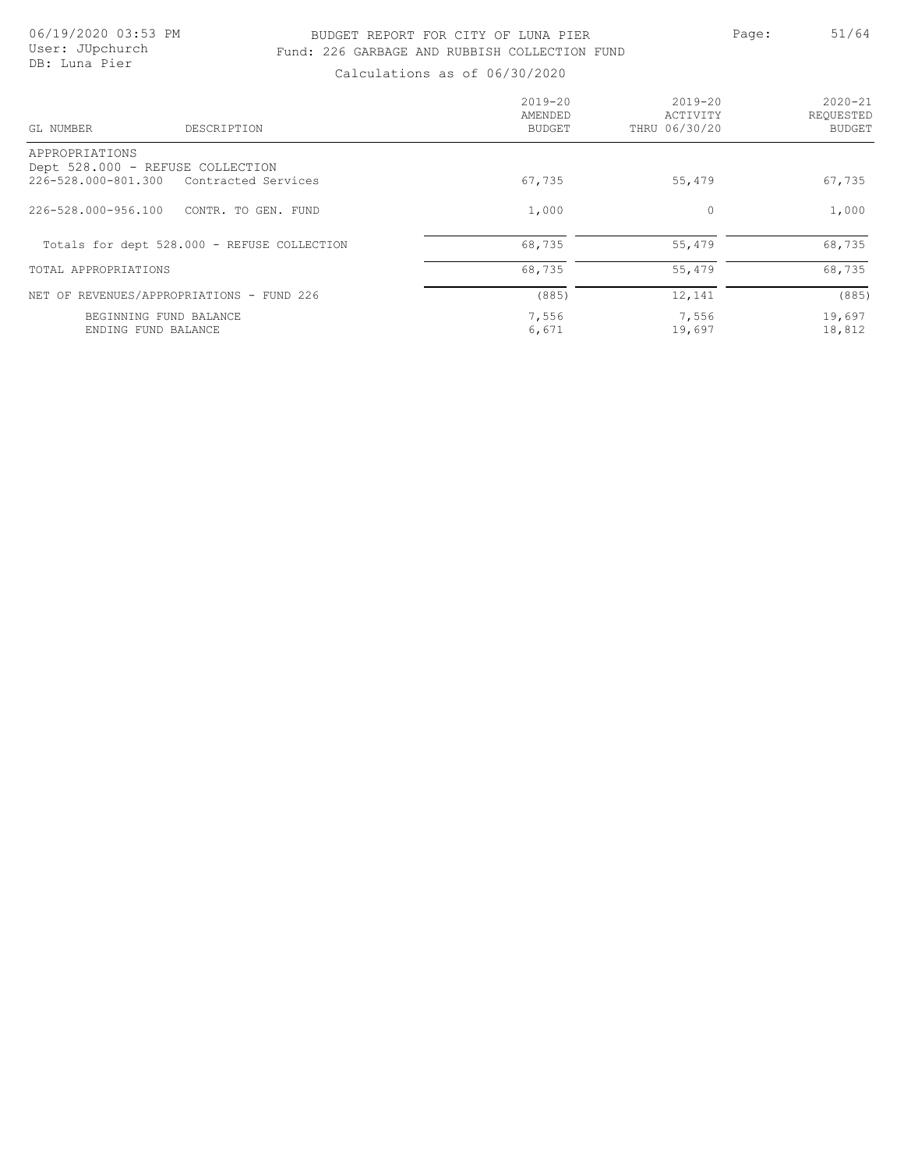## BUDGET REPORT FOR CITY OF LUNA PIER PAGE: 51/64 Fund: 226 GARBAGE AND RUBBISH COLLECTION FUND

| GL NUMBER                                 | DESCRIPTION                                 | $2019 - 20$<br>AMENDED<br><b>BUDGET</b> | $2019 - 20$<br>ACTIVITY<br>THRU 06/30/20 | $2020 - 21$<br>REQUESTED<br><b>BUDGET</b> |
|-------------------------------------------|---------------------------------------------|-----------------------------------------|------------------------------------------|-------------------------------------------|
| APPROPRIATIONS                            |                                             |                                         |                                          |                                           |
| Dept 528.000 - REFUSE COLLECTION          |                                             |                                         |                                          |                                           |
| 226-528.000-801.300 Contracted Services   |                                             | 67,735                                  | 55,479                                   | 67,735                                    |
| 226-528.000-956.100                       | CONTR. TO GEN. FUND                         | 1,000                                   | 0                                        | 1,000                                     |
|                                           | Totals for dept 528.000 - REFUSE COLLECTION | 68,735                                  | 55,479                                   | 68,735                                    |
| TOTAL APPROPRIATIONS                      |                                             | 68,735                                  | 55,479                                   | 68,735                                    |
| NET OF REVENUES/APPROPRIATIONS - FUND 226 |                                             | (885)                                   | 12,141                                   | (885)                                     |
| BEGINNING FUND BALANCE                    |                                             | 7,556                                   | 7,556                                    | 19,697                                    |
| ENDING FUND BALANCE                       |                                             | 6,671                                   | 19,697                                   | 18,812                                    |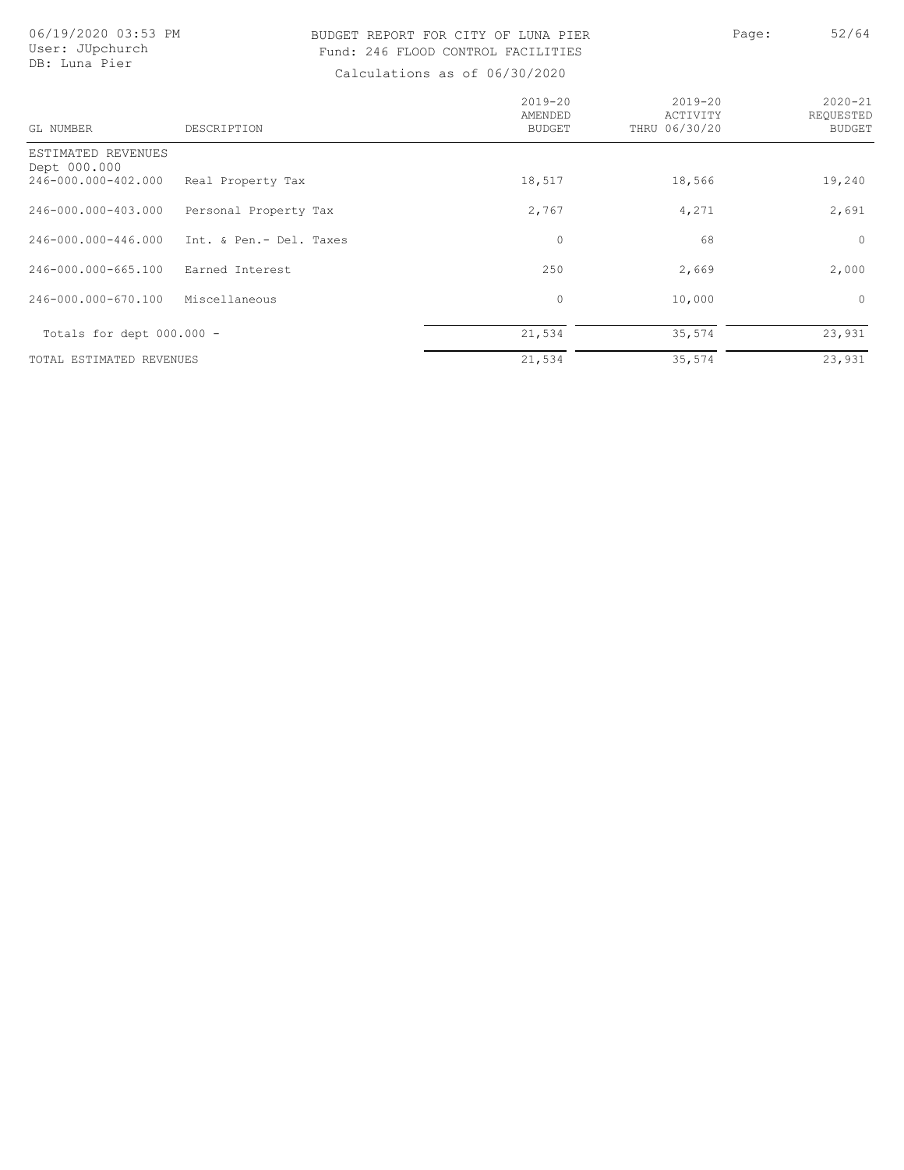# BUDGET REPORT FOR CITY OF LUNA PIER Page: 52/64 Fund: 246 FLOOD CONTROL FACILITIES

| GL NUMBER                                                 | DESCRIPTION             | $2019 - 20$<br>AMENDED<br><b>BUDGET</b> | $2019 - 20$<br>ACTIVITY<br>THRU 06/30/20 | $2020 - 21$<br>REOUESTED<br><b>BUDGET</b> |
|-----------------------------------------------------------|-------------------------|-----------------------------------------|------------------------------------------|-------------------------------------------|
| ESTIMATED REVENUES<br>Dept 000.000<br>246-000.000-402.000 | Real Property Tax       | 18,517                                  | 18,566                                   | 19,240                                    |
| 246-000.000-403.000                                       | Personal Property Tax   | 2,767                                   | 4,271                                    | 2,691                                     |
| 246-000.000-446.000                                       | Int. & Pen.- Del. Taxes | 0                                       | 68                                       | $\circ$                                   |
| 246-000.000-665.100                                       | Earned Interest         | 250                                     | 2,669                                    | 2,000                                     |
| 246-000.000-670.100                                       | Miscellaneous           | $\mathbf{0}$                            | 10,000                                   | $\Omega$                                  |
| Totals for dept $000.000 -$                               |                         | 21,534                                  | 35,574                                   | 23,931                                    |
| TOTAL ESTIMATED REVENUES                                  |                         | 21,534                                  | 35,574                                   | 23,931                                    |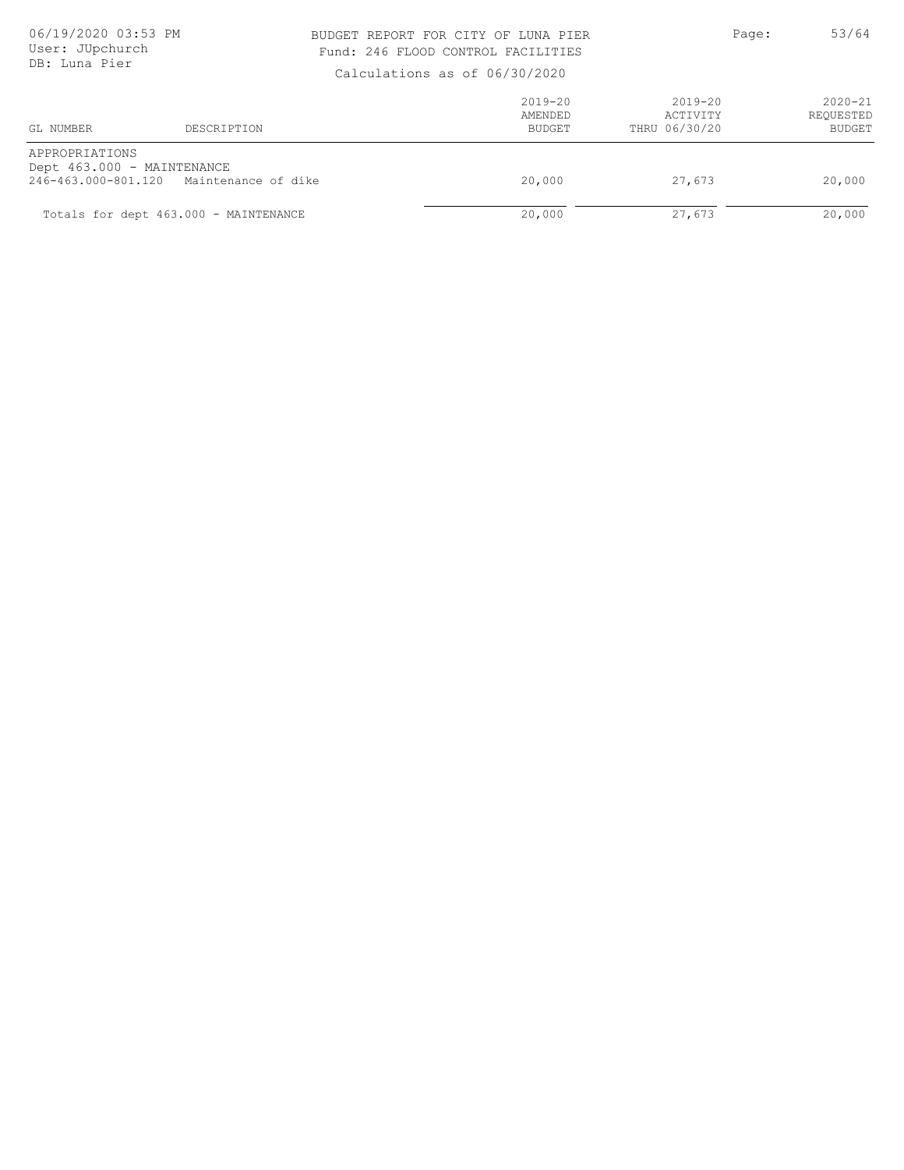### BUDGET REPORT FOR CITY OF LUNA PIER PAGE: 53/64 Fund: 246 FLOOD CONTROL FACILITIES

| GL NUMBER                                    | DESCRIPTION                             | $2019 - 20$<br>AMENDED<br>BUDGET | $2019 - 20$<br>ACTIVITY<br>THRU 06/30/20 | $2020 - 21$<br>REQUESTED<br><b>BUDGET</b> |
|----------------------------------------------|-----------------------------------------|----------------------------------|------------------------------------------|-------------------------------------------|
| APPROPRIATIONS<br>Dept 463.000 - MAINTENANCE | 246-463.000-801.120 Maintenance of dike | 20,000                           | 27,673                                   | 20,000                                    |
|                                              | Totals for dept 463.000 - MAINTENANCE   | 20,000                           | 27,673                                   | 20,000                                    |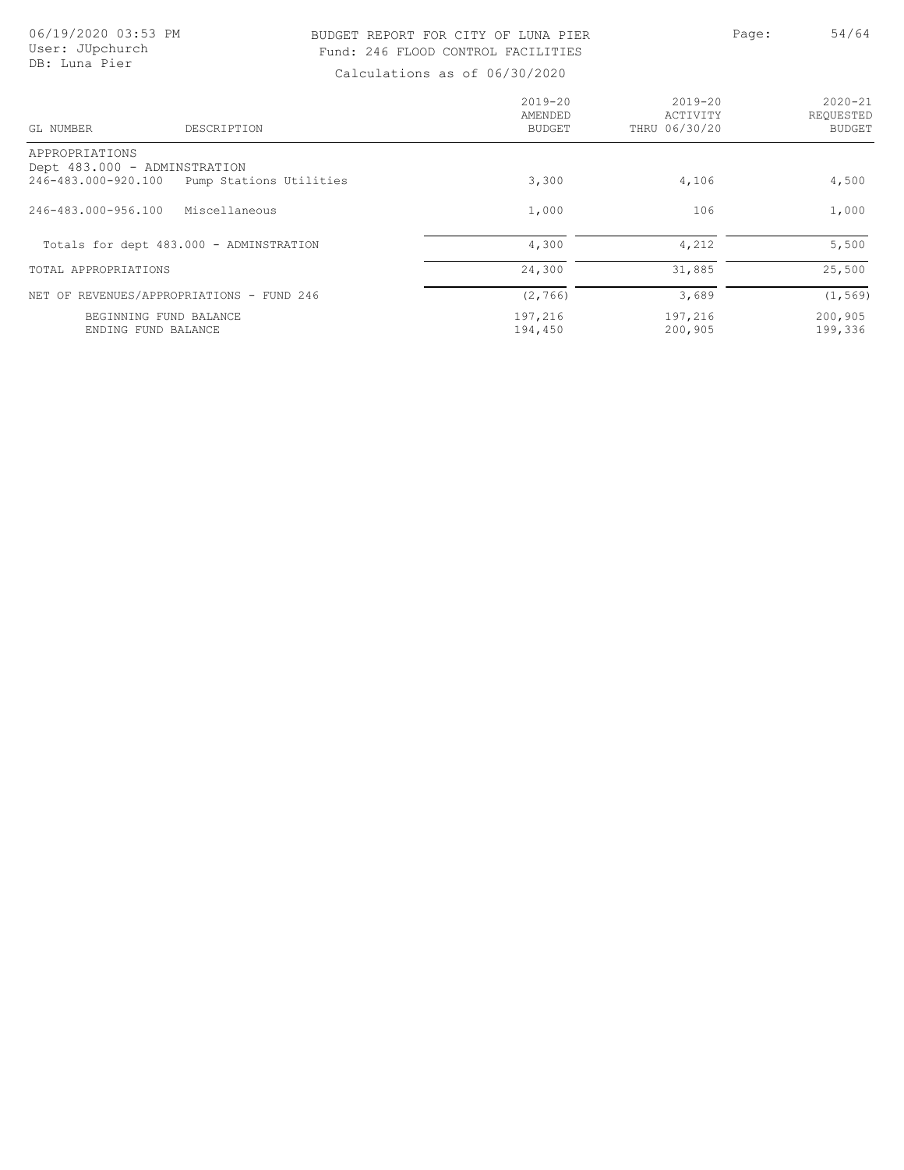### BUDGET REPORT FOR CITY OF LUNA PIER PAGE: Page: 54/64 Fund: 246 FLOOD CONTROL FACILITIES

| GL NUMBER<br>DESCRIPTION                            |                         | $2019 - 20$<br>AMENDED<br>BUDGET | $2019 - 20$<br>ACTIVITY<br>THRU 06/30/20 | $2020 - 21$<br>REOUESTED<br><b>BUDGET</b> |
|-----------------------------------------------------|-------------------------|----------------------------------|------------------------------------------|-------------------------------------------|
| APPROPRIATIONS                                      |                         |                                  |                                          |                                           |
| Dept 483.000 - ADMINSTRATION<br>246-483.000-920.100 | Pump Stations Utilities | 3,300                            | 4,106                                    | 4,500                                     |
| 246-483.000-956.100<br>Miscellaneous                |                         | 1,000                            | 106                                      | 1,000                                     |
| Totals for dept 483.000 - ADMINSTRATION             |                         | 4,300                            | 4,212                                    | 5,500                                     |
| TOTAL APPROPRIATIONS                                |                         | 24,300                           | 31,885                                   | 25,500                                    |
| NET OF REVENUES/APPROPRIATIONS - FUND 246           |                         | (2, 766)                         | 3,689                                    | (1, 569)                                  |
| BEGINNING FUND BALANCE<br>ENDING FUND BALANCE       |                         | 197,216<br>194,450               | 197,216<br>200,905                       | 200,905<br>199,336                        |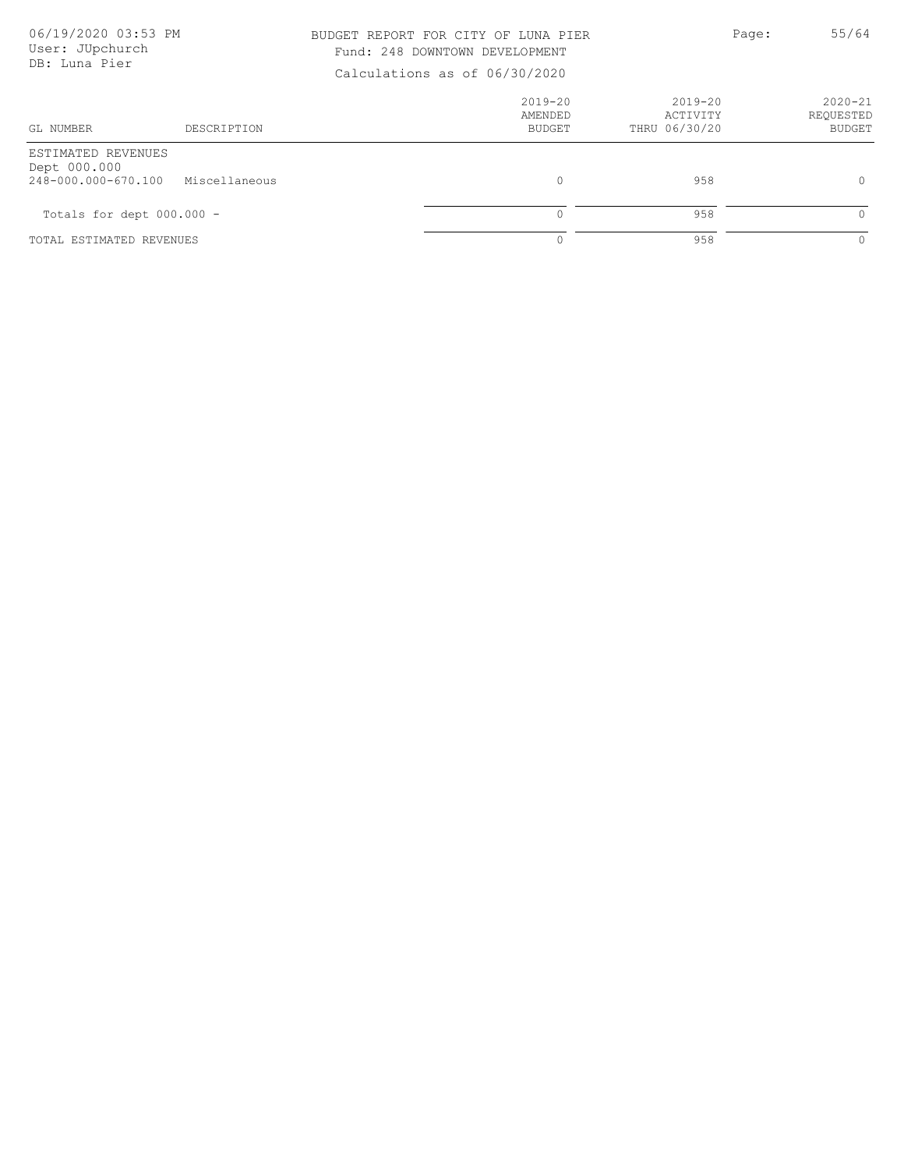| 06/19/2020 03:53 PM<br>User: JUpchurch<br>DB: Luna Pier   |               | BUDGET REPORT FOR CITY OF LUNA PIER<br>Fund: 248 DOWNTOWN DEVELOPMENT<br>Calculations as of 06/30/2020 |                                          | Page: | 55/64                                     |
|-----------------------------------------------------------|---------------|--------------------------------------------------------------------------------------------------------|------------------------------------------|-------|-------------------------------------------|
| GL NUMBER                                                 | DESCRIPTION   | $2019 - 20$<br>AMENDED<br>BUDGET                                                                       | $2019 - 20$<br>ACTIVITY<br>THRU 06/30/20 |       | $2020 - 21$<br>REQUESTED<br><b>BUDGET</b> |
| ESTIMATED REVENUES<br>Dept 000.000<br>248-000.000-670.100 | Miscellaneous | $\circ$                                                                                                | 958                                      |       | $\circ$                                   |
| Totals for dept $000.000 -$                               |               | $\Omega$                                                                                               | 958                                      |       | $\Omega$                                  |
| TOTAL ESTIMATED REVENUES                                  |               |                                                                                                        | 958                                      |       | $\circ$                                   |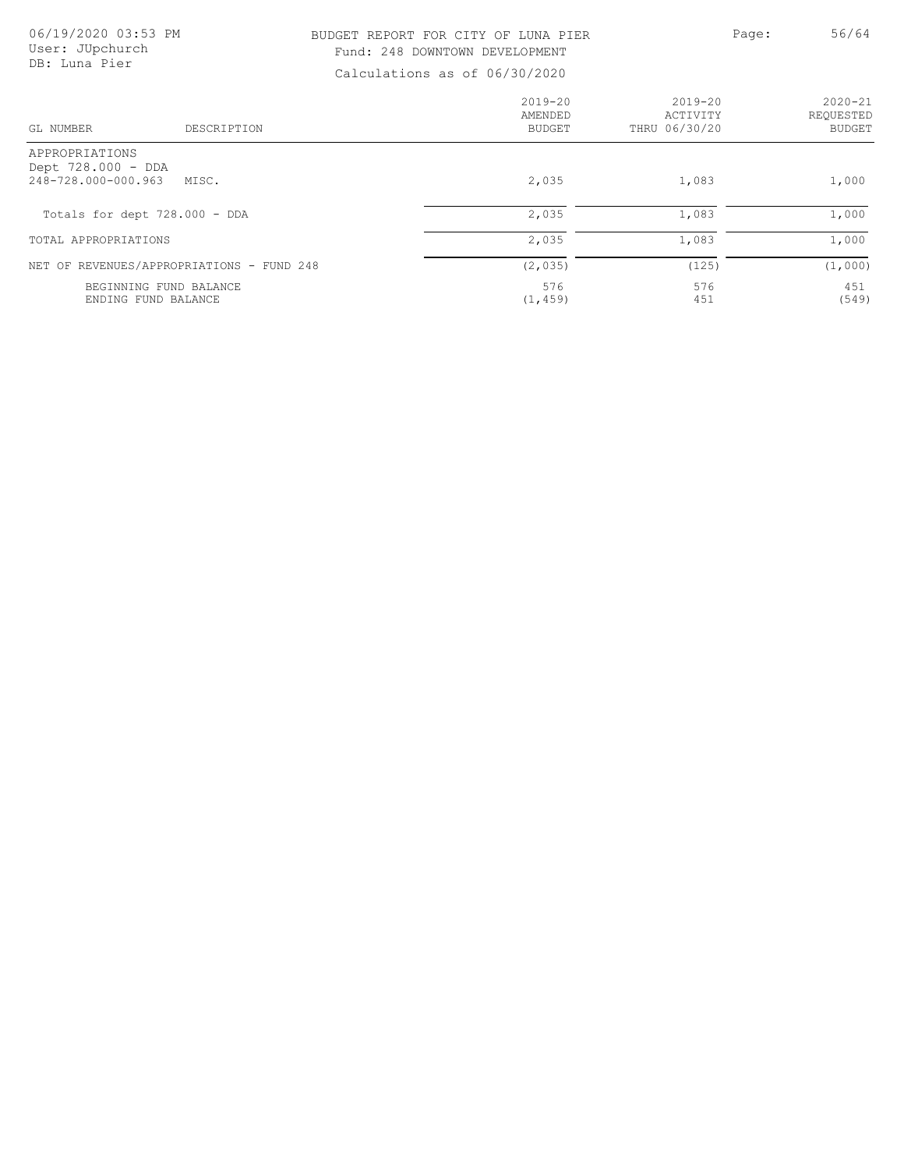| 06/19/2020 03:53 PM<br>User: JUpchurch<br>DB: Luna Pier     |             | BUDGET REPORT FOR CITY OF LUNA PIER<br>Fund: 248 DOWNTOWN DEVELOPMENT<br>Calculations as of 06/30/2020 |                                      | Page: | 56/64                              |
|-------------------------------------------------------------|-------------|--------------------------------------------------------------------------------------------------------|--------------------------------------|-------|------------------------------------|
| GL NUMBER                                                   | DESCRIPTION | $2019 - 20$<br>AMENDED<br><b>BUDGET</b>                                                                | 2019-20<br>ACTIVITY<br>THRU 06/30/20 |       | $2020 - 21$<br>REQUESTED<br>BUDGET |
| APPROPRIATIONS<br>Dept 728.000 - DDA<br>248-728.000-000.963 | MISC.       | 2,035                                                                                                  | 1,083                                |       | 1,000                              |
| Totals for dept 728.000 - DDA                               |             | 2,035                                                                                                  | 1,083                                |       | 1,000                              |
| TOTAL APPROPRIATIONS                                        |             | 2,035                                                                                                  | 1,083                                |       | 1,000                              |
| NET OF REVENUES/APPROPRIATIONS - FUND 248                   |             | (2, 035)                                                                                               | (125)                                |       | (1,000)                            |
| BEGINNING FUND BALANCE<br>ENDING FUND BALANCE               |             | 576<br>(1, 459)                                                                                        | 576<br>451                           |       | 451<br>(549)                       |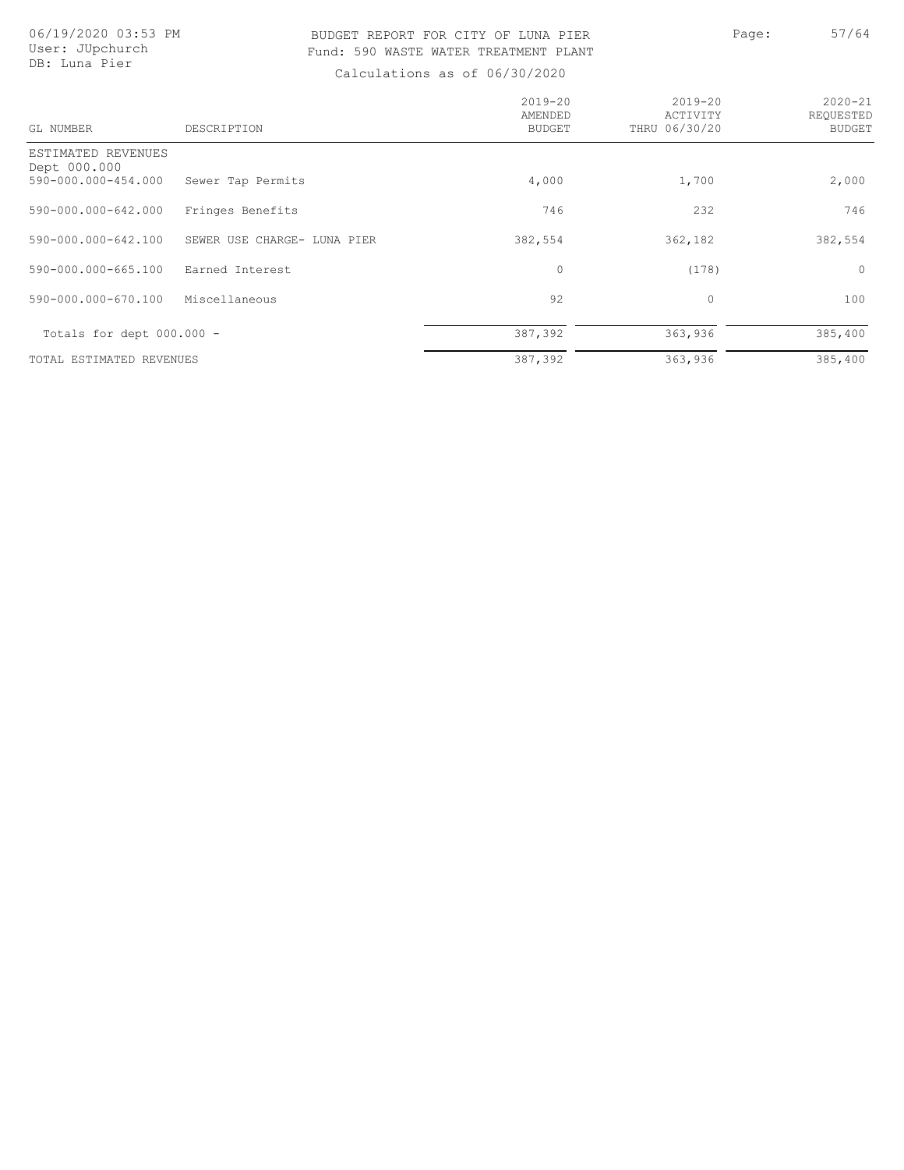### BUDGET REPORT FOR CITY OF LUNA PIER PAGE: 57/64 Fund: 590 WASTE WATER TREATMENT PLANT

| GL NUMBER                                                 | DESCRIPTION                 | $2019 - 20$<br>AMENDED<br><b>BUDGET</b> | $2019 - 20$<br>ACTIVITY<br>THRU 06/30/20 | $2020 - 21$<br>REQUESTED<br><b>BUDGET</b> |
|-----------------------------------------------------------|-----------------------------|-----------------------------------------|------------------------------------------|-------------------------------------------|
| ESTIMATED REVENUES<br>Dept 000.000<br>590-000.000-454.000 | Sewer Tap Permits           | 4,000                                   | 1,700                                    | 2,000                                     |
| 590-000.000-642.000                                       | Fringes Benefits            | 746                                     | 232                                      | 746                                       |
| 590-000.000-642.100                                       | SEWER USE CHARGE- LUNA PIER | 382,554                                 | 362,182                                  | 382,554                                   |
| 590-000.000-665.100                                       | Earned Interest             | 0                                       | (178)                                    | $\circ$                                   |
| 590-000.000-670.100                                       | Miscellaneous               | 92                                      | 0                                        | 100                                       |
| Totals for dept 000.000 -                                 |                             | 387,392                                 | 363,936                                  | 385,400                                   |
| TOTAL ESTIMATED REVENUES                                  |                             | 387,392                                 | 363,936                                  | 385,400                                   |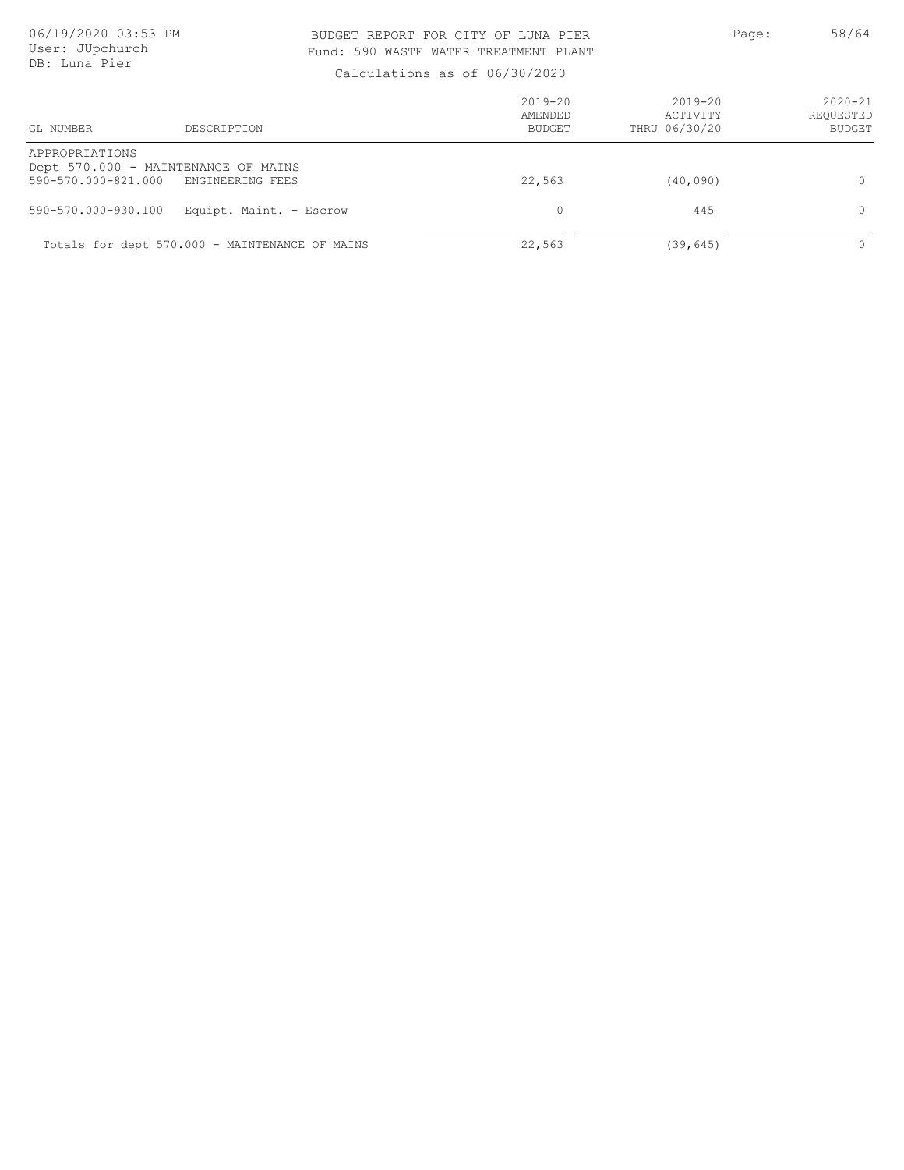### BUDGET REPORT FOR CITY OF LUNA PIER PAGE: 58/64 Fund: 590 WASTE WATER TREATMENT PLANT

| GL NUMBER                             | DESCRIPTION                                             | $2019 - 20$<br>AMENDED<br><b>BUDGET</b> | $2019 - 20$<br>ACTIVITY<br>THRU 06/30/20 | $2020 - 21$<br>REQUESTED<br><b>BUDGET</b> |
|---------------------------------------|---------------------------------------------------------|-----------------------------------------|------------------------------------------|-------------------------------------------|
| APPROPRIATIONS<br>590-570.000-821.000 | Dept 570.000 - MAINTENANCE OF MAINS<br>ENGINEERING FEES | 22,563                                  | (40, 090)                                | $\Omega$                                  |
| 590-570.000-930.100                   | Equipt. Maint. - Escrow                                 | $\Omega$                                | 445                                      | $\Omega$                                  |
|                                       | Totals for dept 570.000 - MAINTENANCE OF MAINS          | 22,563                                  | (39, 645)                                | $\Omega$                                  |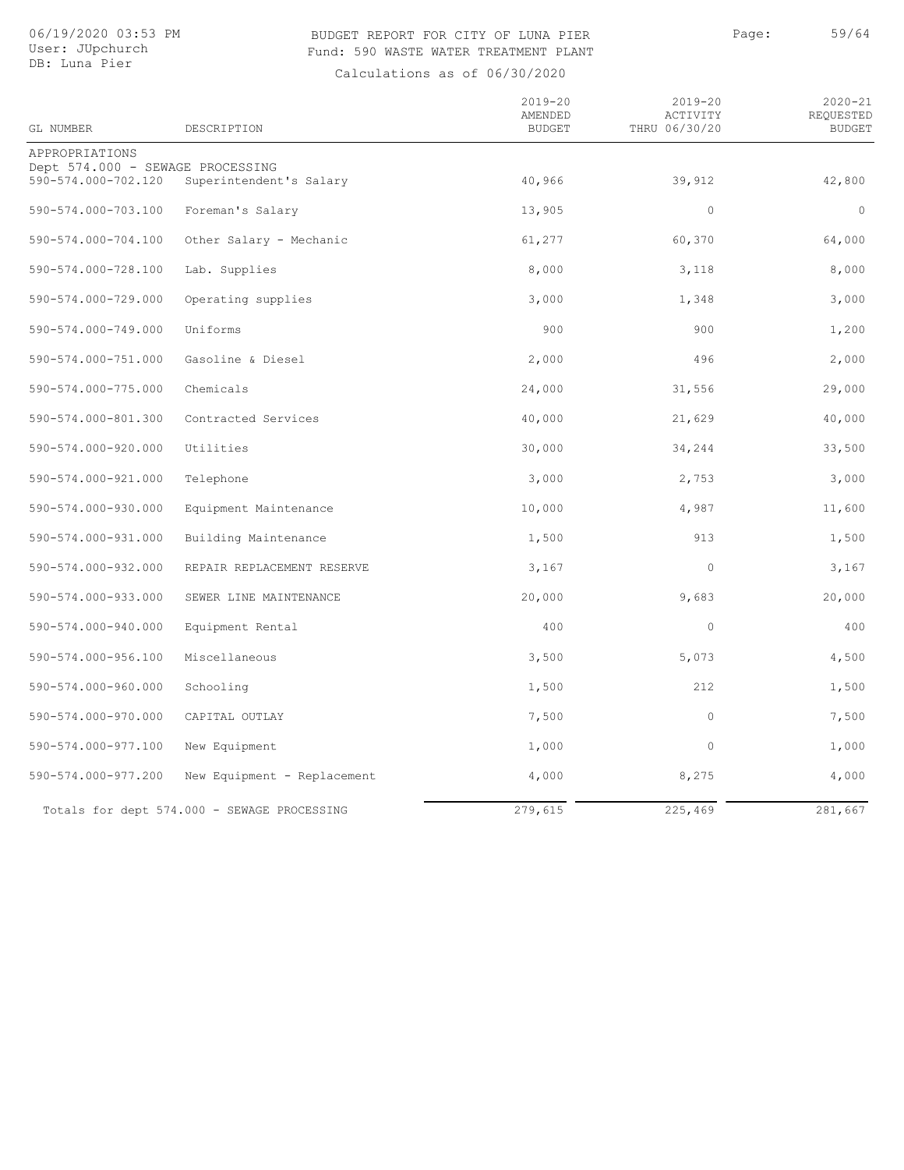### BUDGET REPORT FOR CITY OF LUNA PIER PAGE: 59/64 Fund: 590 WASTE WATER TREATMENT PLANT

| GL NUMBER                                               | DESCRIPTION                                 | $2019 - 20$<br>AMENDED<br><b>BUDGET</b> | $2019 - 20$<br>ACTIVITY<br>THRU 06/30/20 | $2020 - 21$<br>REQUESTED<br><b>BUDGET</b> |
|---------------------------------------------------------|---------------------------------------------|-----------------------------------------|------------------------------------------|-------------------------------------------|
| APPROPRIATIONS                                          |                                             |                                         |                                          |                                           |
| Dept 574.000 - SEWAGE PROCESSING<br>590-574.000-702.120 | Superintendent's Salary                     | 40,966                                  | 39,912                                   | 42,800                                    |
| 590-574.000-703.100                                     | Foreman's Salary                            | 13,905                                  | $\circ$                                  | $\circ$                                   |
| 590-574.000-704.100                                     | Other Salary - Mechanic                     | 61,277                                  | 60, 370                                  | 64,000                                    |
| 590-574.000-728.100                                     | Lab. Supplies                               | 8,000                                   | 3,118                                    | 8,000                                     |
| 590-574.000-729.000                                     | Operating supplies                          | 3,000                                   | 1,348                                    | 3,000                                     |
| 590-574.000-749.000                                     | Uniforms                                    | 900                                     | 900                                      | 1,200                                     |
| 590-574.000-751.000                                     | Gasoline & Diesel                           | 2,000                                   | 496                                      | 2,000                                     |
| 590-574.000-775.000                                     | Chemicals                                   | 24,000                                  | 31,556                                   | 29,000                                    |
| 590-574.000-801.300                                     | Contracted Services                         | 40,000                                  | 21,629                                   | 40,000                                    |
| 590-574.000-920.000                                     | Utilities                                   | 30,000                                  | 34,244                                   | 33,500                                    |
| 590-574.000-921.000                                     | Telephone                                   | 3,000                                   | 2,753                                    | 3,000                                     |
| 590-574.000-930.000                                     | Equipment Maintenance                       | 10,000                                  | 4,987                                    | 11,600                                    |
| 590-574.000-931.000                                     | Building Maintenance                        | 1,500                                   | 913                                      | 1,500                                     |
| 590-574.000-932.000                                     | REPAIR REPLACEMENT RESERVE                  | 3,167                                   | $\circ$                                  | 3,167                                     |
| 590-574.000-933.000                                     | SEWER LINE MAINTENANCE                      | 20,000                                  | 9,683                                    | 20,000                                    |
| 590-574.000-940.000                                     | Equipment Rental                            | 400                                     | $\mathbf 0$                              | 400                                       |
| 590-574.000-956.100                                     | Miscellaneous                               | 3,500                                   | 5,073                                    | 4,500                                     |
| 590-574.000-960.000                                     | Schooling                                   | 1,500                                   | 212                                      | 1,500                                     |
| 590-574.000-970.000                                     | CAPITAL OUTLAY                              | 7,500                                   | $\circ$                                  | 7,500                                     |
| 590-574.000-977.100                                     | New Equipment                               | 1,000                                   | $\mathbf 0$                              | 1,000                                     |
| 590-574.000-977.200                                     | New Equipment - Replacement                 | 4,000                                   | 8,275                                    | 4,000                                     |
|                                                         | Totals for dept 574.000 - SEWAGE PROCESSING | 279,615                                 | 225,469                                  | 281,667                                   |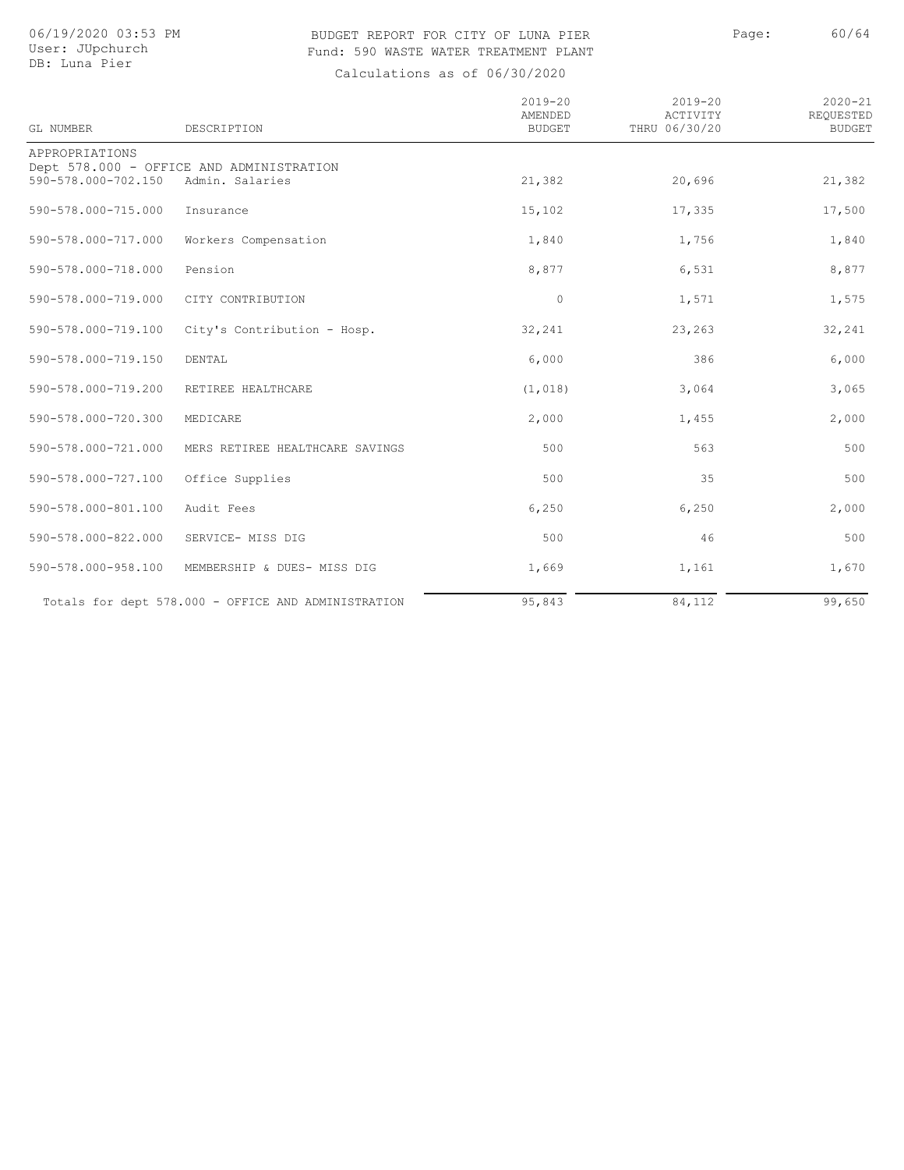### BUDGET REPORT FOR CITY OF LUNA PIER PAGE: Page: 60/64 Fund: 590 WASTE WATER TREATMENT PLANT

| GL NUMBER           | DESCRIPTION                                                 | $2019 - 20$<br>AMENDED<br><b>BUDGET</b> | $2019 - 20$<br>ACTIVITY<br>THRU 06/30/20 | $2020 - 21$<br>REQUESTED<br><b>BUDGET</b> |
|---------------------|-------------------------------------------------------------|-----------------------------------------|------------------------------------------|-------------------------------------------|
| APPROPRIATIONS      |                                                             |                                         |                                          |                                           |
| 590-578.000-702.150 | Dept 578.000 - OFFICE AND ADMINISTRATION<br>Admin. Salaries | 21,382                                  | 20,696                                   | 21,382                                    |
| 590-578.000-715.000 | Insurance                                                   | 15,102                                  | 17,335                                   | 17,500                                    |
| 590-578.000-717.000 | Workers Compensation                                        | 1,840                                   | 1,756                                    | 1,840                                     |
| 590-578.000-718.000 | Pension                                                     | 8,877                                   | 6,531                                    | 8,877                                     |
| 590-578.000-719.000 | CITY CONTRIBUTION                                           | $\circ$                                 | 1,571                                    | 1,575                                     |
| 590-578.000-719.100 | City's Contribution - Hosp.                                 | 32,241                                  | 23,263                                   | 32,241                                    |
| 590-578.000-719.150 | DENTAL                                                      | 6,000                                   | 386                                      | 6,000                                     |
| 590-578.000-719.200 | RETIREE HEALTHCARE                                          | (1, 018)                                | 3,064                                    | 3,065                                     |
| 590-578.000-720.300 | MEDICARE                                                    | 2,000                                   | 1,455                                    | 2,000                                     |
| 590-578.000-721.000 | MERS RETIREE HEALTHCARE SAVINGS                             | 500                                     | 563                                      | 500                                       |
| 590-578.000-727.100 | Office Supplies                                             | 500                                     | 35                                       | 500                                       |
| 590-578.000-801.100 | Audit Fees                                                  | 6,250                                   | 6,250                                    | 2,000                                     |
| 590-578.000-822.000 | SERVICE- MISS DIG                                           | 500                                     | 46                                       | 500                                       |
| 590-578.000-958.100 | MEMBERSHIP & DUES- MISS DIG                                 | 1,669                                   | 1,161                                    | 1,670                                     |
|                     | Totals for dept 578.000 - OFFICE AND ADMINISTRATION         | 95,843                                  | 84,112                                   | 99,650                                    |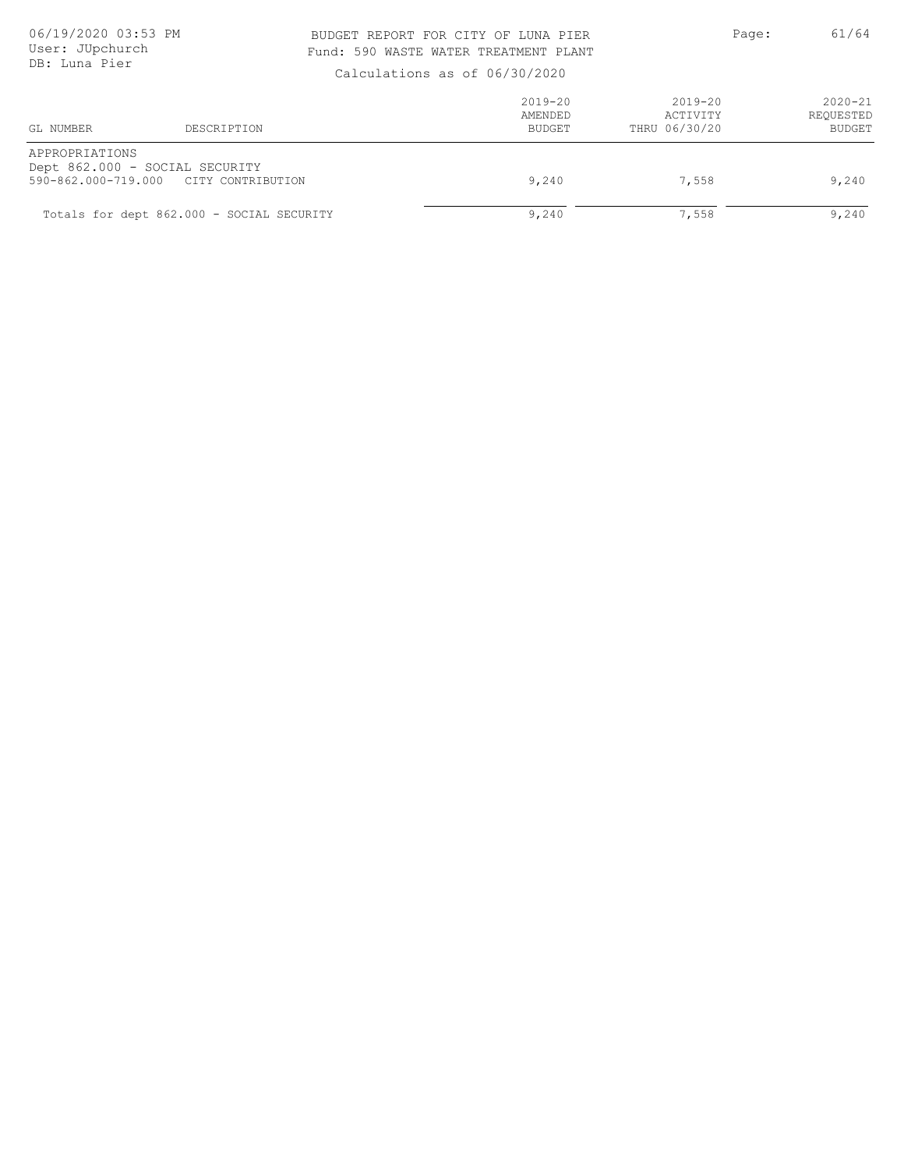### BUDGET REPORT FOR CITY OF LUNA PIER PAGE: 961/64 Fund: 590 WASTE WATER TREATMENT PLANT

| GL NUMBER                             | DESCRIPTION                                         | $2019 - 20$<br>AMENDED<br>BUDGET | 2019-20<br>ACTIVITY<br>THRU 06/30/20 | $2020 - 21$<br>REOUESTED<br><b>BUDGET</b> |
|---------------------------------------|-----------------------------------------------------|----------------------------------|--------------------------------------|-------------------------------------------|
| APPROPRIATIONS<br>590-862.000-719.000 | Dept 862.000 - SOCIAL SECURITY<br>CITY CONTRIBUTION | 9,240                            | 7,558                                | 9,240                                     |
|                                       | Totals for dept 862.000 - SOCIAL SECURITY           | 9,240                            | 7,558                                | 9,240                                     |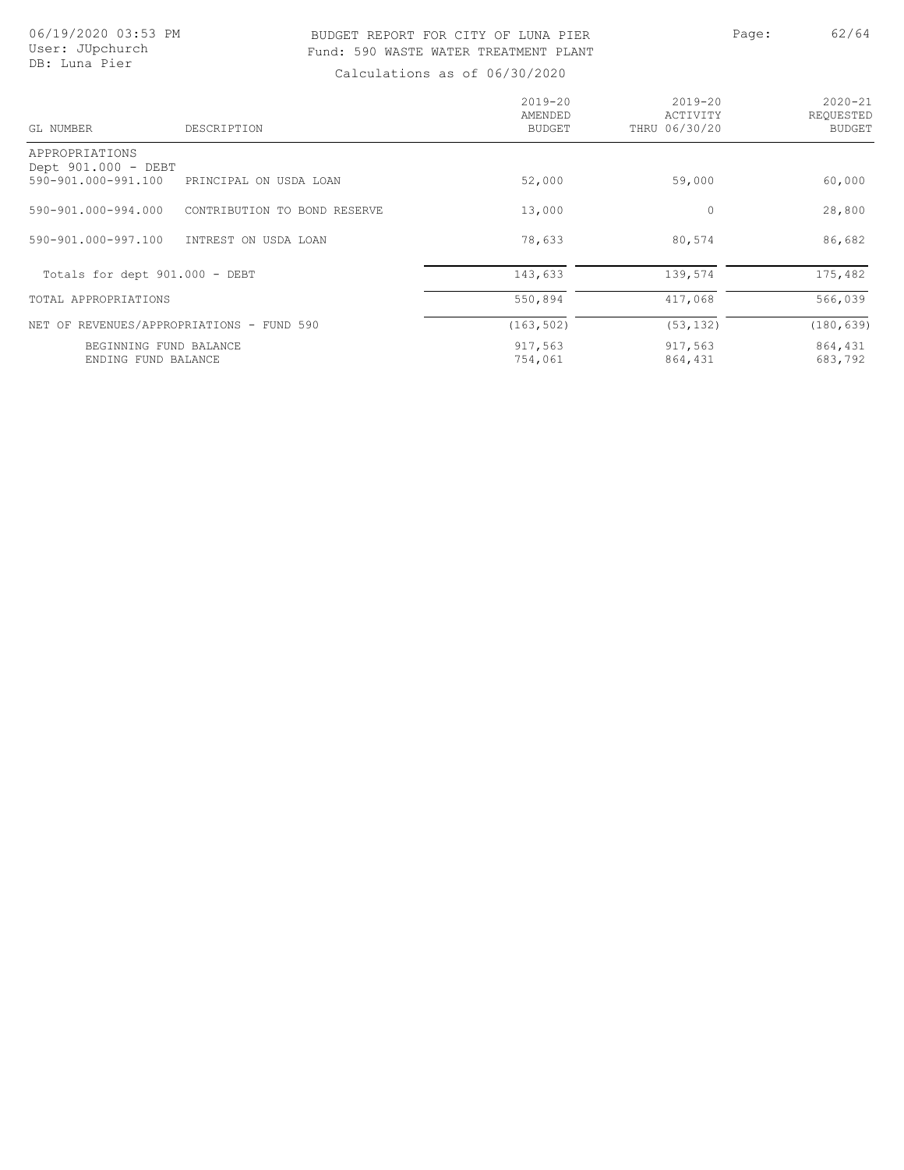### BUDGET REPORT FOR CITY OF LUNA PIER PAGE: Page: 62/64 Fund: 590 WASTE WATER TREATMENT PLANT

| GL NUMBER                                     | DESCRIPTION                  | $2019 - 20$<br>AMENDED<br>BUDGET | $2019 - 20$<br>ACTIVITY<br>THRU 06/30/20 | $2020 - 21$<br>REQUESTED<br>BUDGET |
|-----------------------------------------------|------------------------------|----------------------------------|------------------------------------------|------------------------------------|
| APPROPRIATIONS                                |                              |                                  |                                          |                                    |
| Dept 901.000 - DEBT<br>590-901.000-991.100    | PRINCIPAL ON USDA LOAN       | 52,000                           | 59,000                                   | 60,000                             |
| 590-901.000-994.000                           | CONTRIBUTION TO BOND RESERVE | 13,000                           | 0                                        | 28,800                             |
| 590-901.000-997.100                           | INTREST ON USDA LOAN         | 78,633                           | 80,574                                   | 86,682                             |
| Totals for dept 901.000 - DEBT                |                              | 143,633                          | 139,574                                  | 175,482                            |
| TOTAL APPROPRIATIONS                          |                              | 550,894                          | 417,068                                  | 566,039                            |
| NET OF REVENUES/APPROPRIATIONS - FUND 590     |                              | (163, 502)                       | (53, 132)                                | (180, 639)                         |
| BEGINNING FUND BALANCE<br>ENDING FUND BALANCE |                              | 917,563<br>754,061               | 917,563<br>864,431                       | 864,431<br>683,792                 |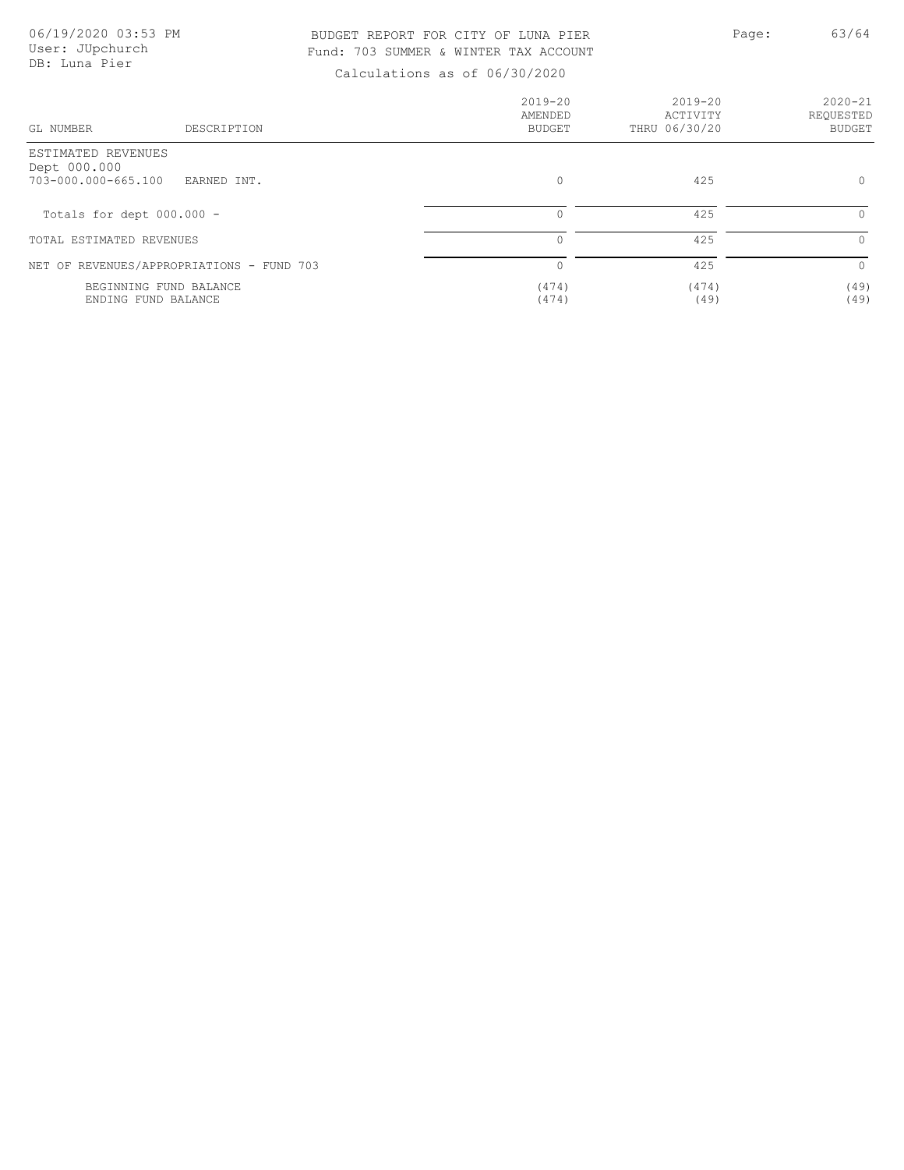### BUDGET REPORT FOR CITY OF LUNA PIER PAGE: Page: 63/64 Fund: 703 SUMMER & WINTER TAX ACCOUNT

| GL NUMBER<br>DESCRIPTION                                                 | $2019 - 20$<br>AMENDED<br><b>BUDGET</b> | 2019-20<br>ACTIVITY<br>THRU 06/30/20 | $2020 - 21$<br>REQUESTED<br><b>BUDGET</b> |
|--------------------------------------------------------------------------|-----------------------------------------|--------------------------------------|-------------------------------------------|
| ESTIMATED REVENUES<br>Dept 000.000<br>703-000.000-665.100<br>EARNED INT. | $\circ$                                 | 425                                  | $\circ$                                   |
| Totals for dept 000.000 -                                                | $\Omega$                                | 425                                  | $\Omega$                                  |
| TOTAL ESTIMATED REVENUES                                                 |                                         | 425                                  | $\circ$                                   |
| NET OF REVENUES/APPROPRIATIONS - FUND 703                                | $\bigcap$                               | 425                                  | $\Omega$                                  |
| BEGINNING FUND BALANCE<br>ENDING FUND BALANCE                            | (474)<br>(474)                          | (474)<br>(49)                        | (49)<br>(49)                              |